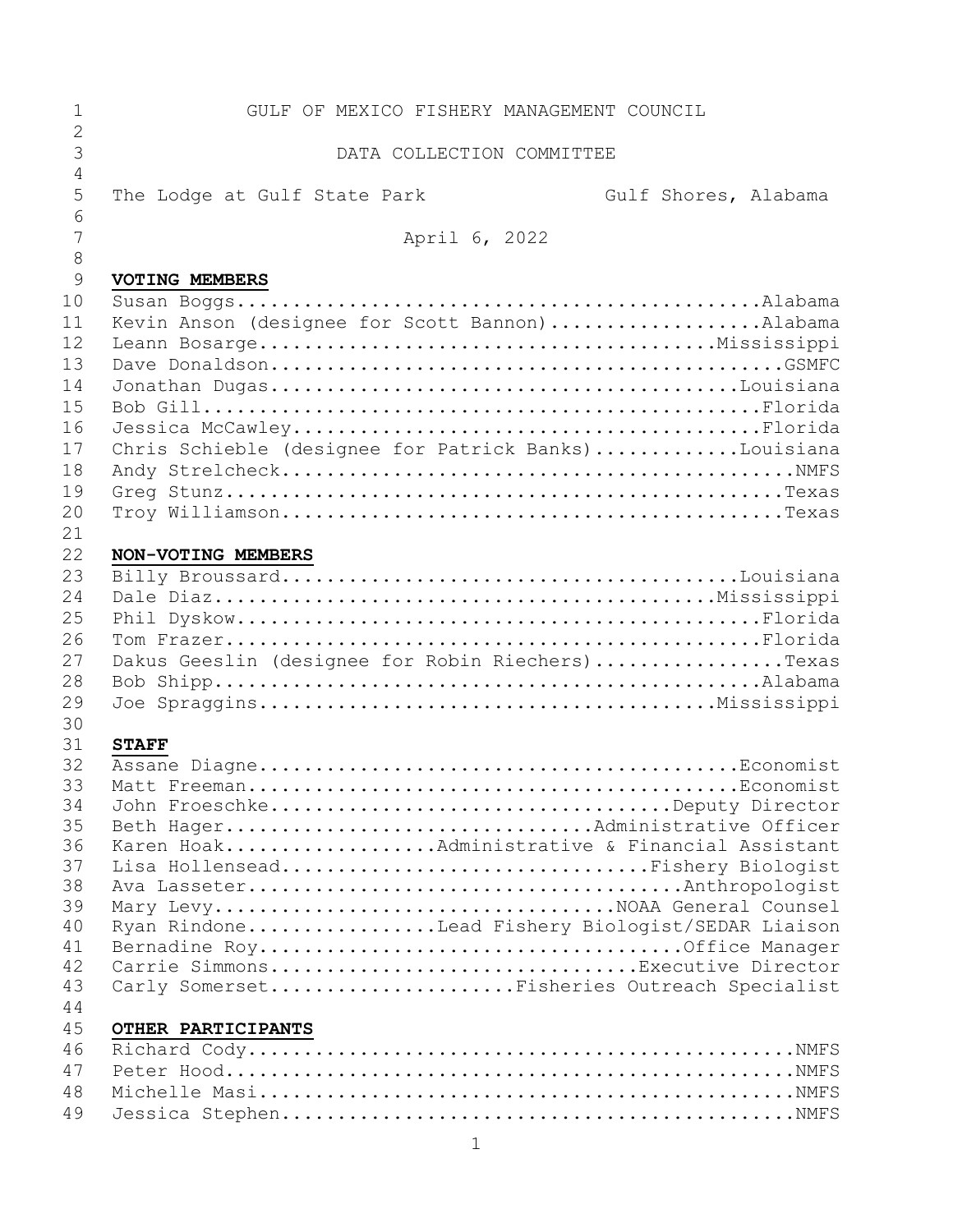| 1                   | GULF OF MEXICO FISHERY MANAGEMENT COUNCIL                                         |
|---------------------|-----------------------------------------------------------------------------------|
| $\overline{2}$      |                                                                                   |
| 3<br>$\overline{4}$ | DATA COLLECTION COMMITTEE                                                         |
| 5                   | The Lodge at Gulf State Park<br>Gulf Shores, Alabama                              |
| 6                   |                                                                                   |
| 7                   | April 6, 2022                                                                     |
| 8                   |                                                                                   |
| 9                   | VOTING MEMBERS                                                                    |
| 10                  |                                                                                   |
| 11                  | Kevin Anson (designee for Scott Bannon)Alabama                                    |
| 12                  |                                                                                   |
| 13                  |                                                                                   |
| 14                  |                                                                                   |
| 15<br>16            |                                                                                   |
| 17                  | Chris Schieble (designee for Patrick Banks)Louisiana                              |
| 18                  |                                                                                   |
| 19                  |                                                                                   |
| 20                  |                                                                                   |
| 21                  |                                                                                   |
| 22                  | NON-VOTING MEMBERS                                                                |
| 23                  |                                                                                   |
| 24                  |                                                                                   |
| 25                  |                                                                                   |
| 26                  |                                                                                   |
| 27                  | Dakus Geeslin (designee for Robin Riechers)Texas                                  |
| 28                  |                                                                                   |
| 29<br>30            |                                                                                   |
| 31                  | <b>STAFF</b>                                                                      |
| 32                  |                                                                                   |
| 33                  |                                                                                   |
| 34                  | John FroeschkeDeputy Director                                                     |
| 35                  | Beth HagerAdministrative Officer                                                  |
| 36                  | Karen HoakAdministrative & Financial Assistant                                    |
| 37                  | Lisa HollenseadFishery Biologist                                                  |
| 38                  |                                                                                   |
| 39<br>40            | Mary LevyNOAA General Counsel<br>Ryan RindoneLead Fishery Biologist/SEDAR Liaison |
| 41                  |                                                                                   |
| 42                  | Carrie SimmonsExecutive Director                                                  |
| 43                  | Carly SomersetFisheries Outreach Specialist                                       |
| 44                  |                                                                                   |
| 45                  | OTHER PARTICIPANTS                                                                |
| 46                  |                                                                                   |
| 47                  |                                                                                   |
| 48                  |                                                                                   |
| 49                  |                                                                                   |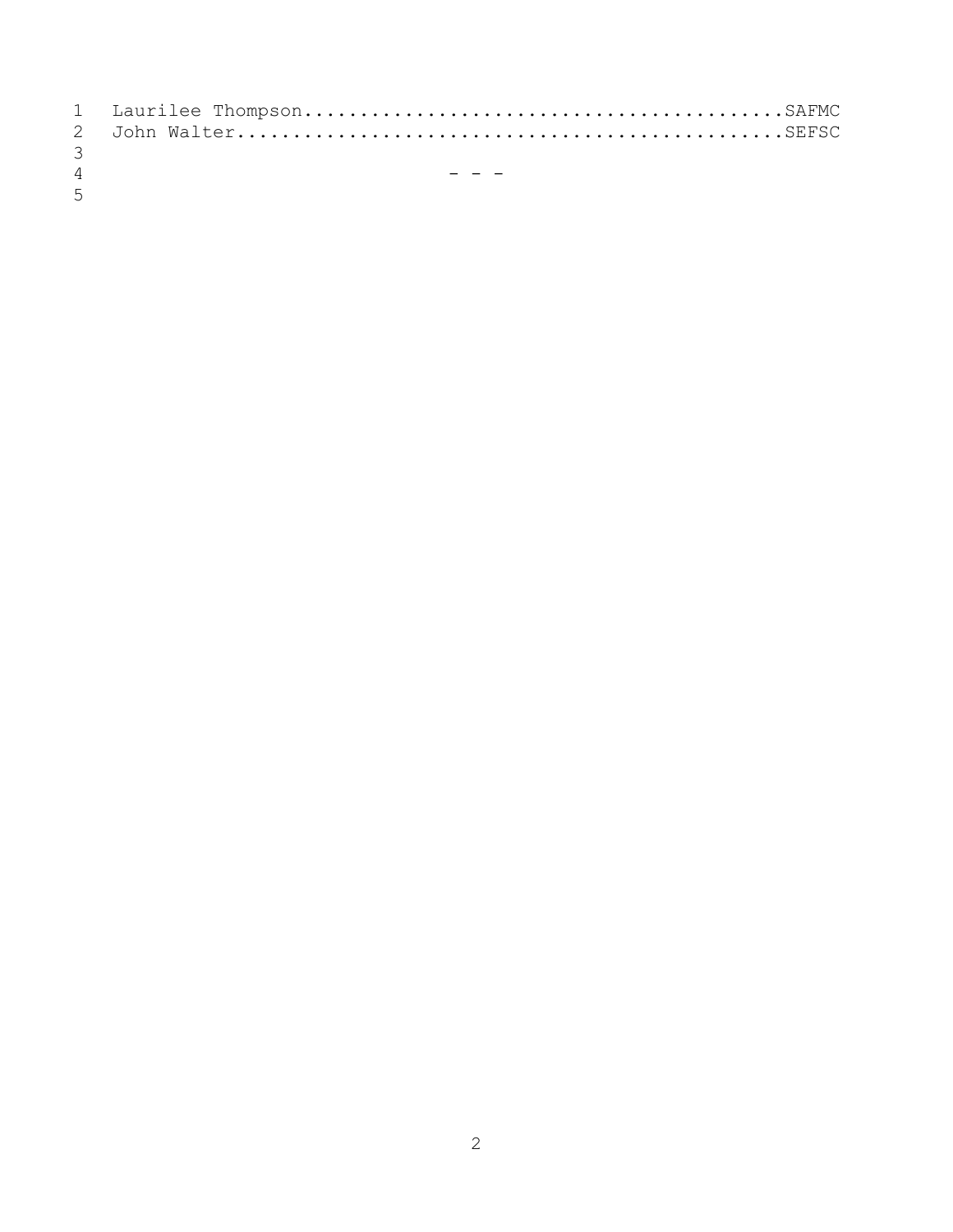| $\mathcal{B}$  |       |
|----------------|-------|
| $\overline{4}$ | ----- |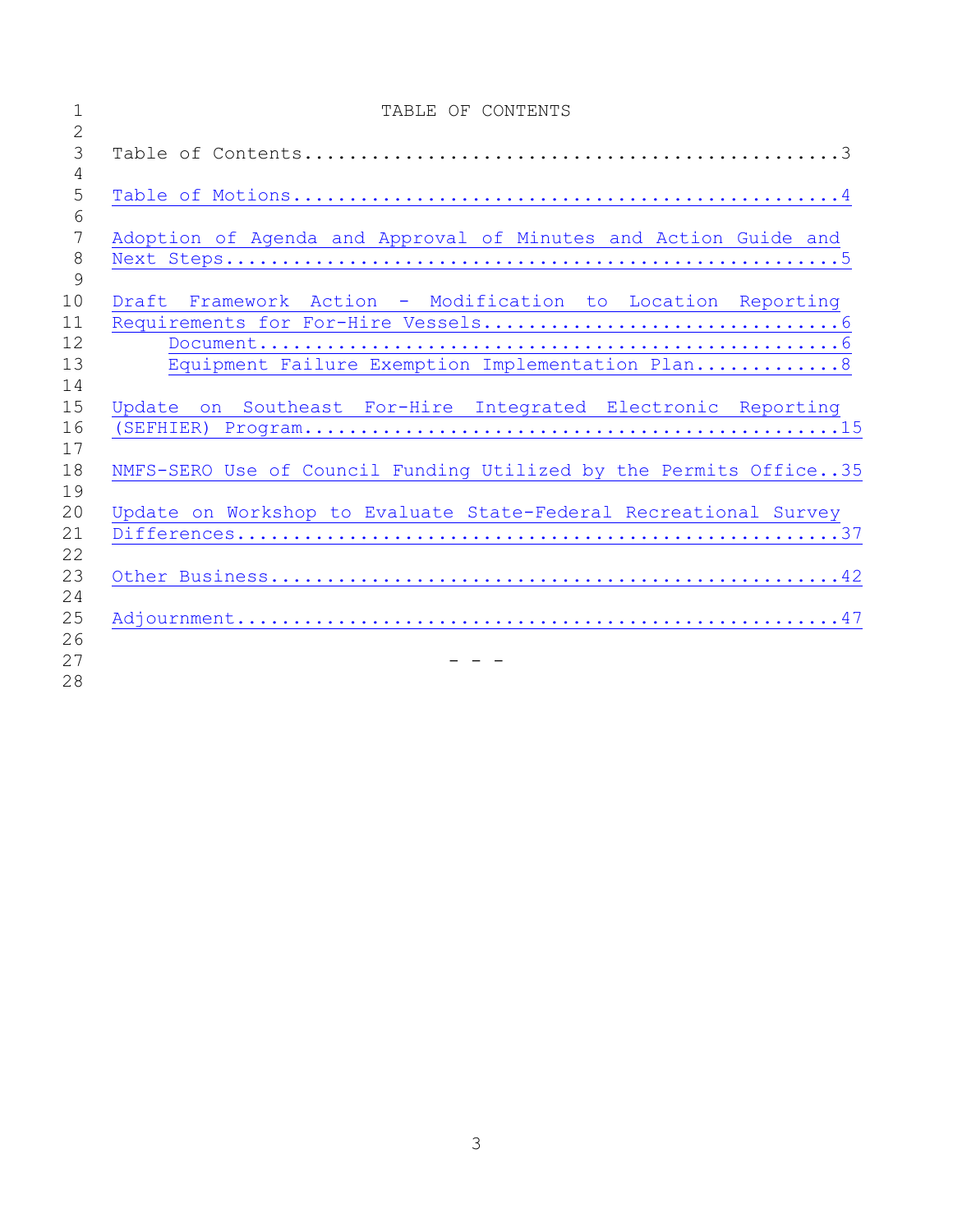| $\mathbf{1}$         | TABLE OF CONTENTS                                                 |
|----------------------|-------------------------------------------------------------------|
| $\overline{c}$       |                                                                   |
| $\mathfrak{Z}$<br>4  |                                                                   |
| 5                    |                                                                   |
| 6<br>$7\phantom{.0}$ | Adoption of Agenda and Approval of Minutes and Action Guide and   |
| $8\,$                |                                                                   |
| 9                    |                                                                   |
| 10                   | Draft Framework Action - Modification to Location Reporting       |
| 11                   |                                                                   |
| 12                   |                                                                   |
| 13                   | Equipment Failure Exemption Implementation Plan 8                 |
| 14                   |                                                                   |
| 15                   | Update on Southeast For-Hire Integrated Electronic Reporting      |
| 16                   |                                                                   |
| 17                   |                                                                   |
| 18<br>19             | NMFS-SERO Use of Council Funding Utilized by the Permits Office35 |
| 20                   | Update on Workshop to Evaluate State-Federal Recreational Survey  |
| 21                   |                                                                   |
| 22                   |                                                                   |
| 23                   |                                                                   |
| 24                   |                                                                   |
| 25                   |                                                                   |
| 26                   |                                                                   |
| 27                   |                                                                   |
| 28                   |                                                                   |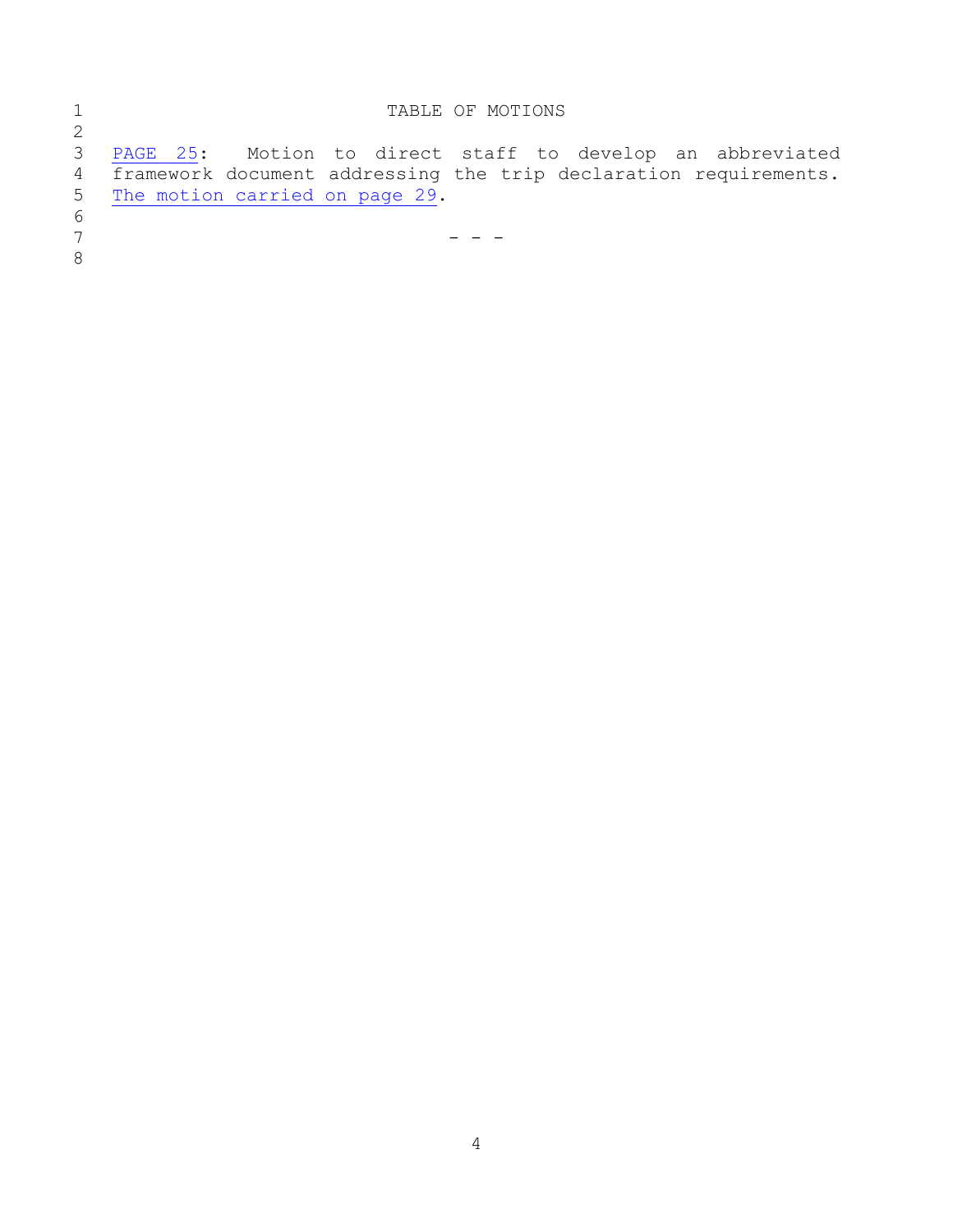<span id="page-3-0"></span>

|                 | TABLE OF MOTIONS                                                 |
|-----------------|------------------------------------------------------------------|
| 2               |                                                                  |
| 3               | PAGE 25: Motion to direct staff to develop an abbreviated        |
| $4\overline{ }$ | framework document addressing the trip declaration requirements. |
|                 | 5 The motion carried on page 29.                                 |
| 6               |                                                                  |
|                 |                                                                  |
| 8               |                                                                  |
|                 |                                                                  |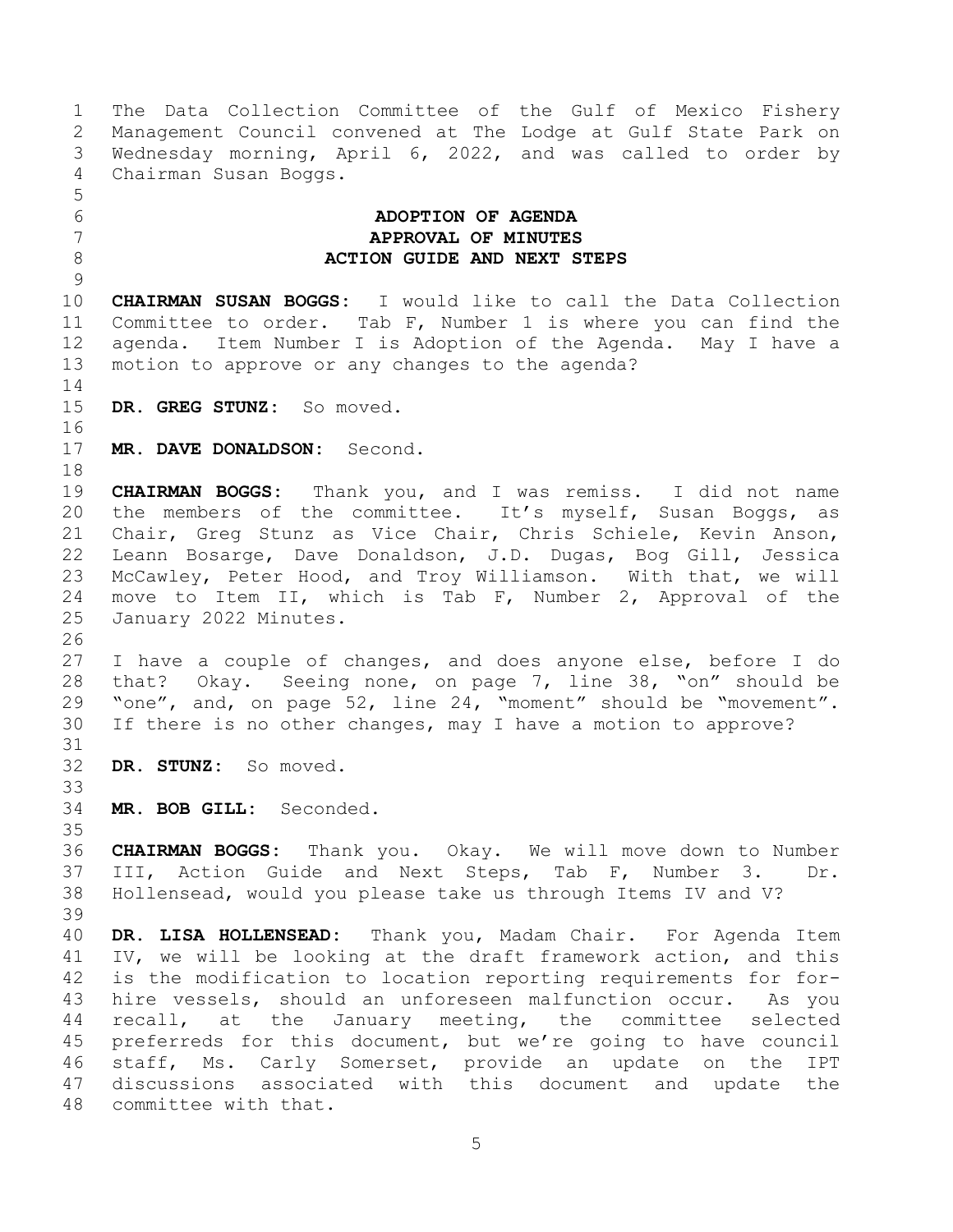<span id="page-4-0"></span> The Data Collection Committee of the Gulf of Mexico Fishery Management Council convened at The Lodge at Gulf State Park on Wednesday morning, April 6, 2022, and was called to order by Chairman Susan Boggs. **ADOPTION OF AGENDA APPROVAL OF MINUTES ACTION GUIDE AND NEXT STEPS CHAIRMAN SUSAN BOGGS:** I would like to call the Data Collection Committee to order. Tab F, Number 1 is where you can find the agenda. Item Number I is Adoption of the Agenda. May I have a motion to approve or any changes to the agenda? **DR. GREG STUNZ:** So moved. **MR. DAVE DONALDSON:** Second. **CHAIRMAN BOGGS:** Thank you, and I was remiss. I did not name 20 the members of the committee. It's myself, Susan Boggs, as Chair, Greg Stunz as Vice Chair, Chris Schiele, Kevin Anson, Leann Bosarge, Dave Donaldson, J.D. Dugas, Bog Gill, Jessica McCawley, Peter Hood, and Troy Williamson. With that, we will move to Item II, which is Tab F, Number 2, Approval of the January 2022 Minutes. I have a couple of changes, and does anyone else, before I do that? Okay. Seeing none, on page 7, line 38, "on" should be "one", and, on page 52, line 24, "moment" should be "movement". If there is no other changes, may I have a motion to approve? **DR. STUNZ:** So moved. **MR. BOB GILL:** Seconded. **CHAIRMAN BOGGS:** Thank you. Okay. We will move down to Number III, Action Guide and Next Steps, Tab F, Number 3. Dr. Hollensead, would you please take us through Items IV and V? **DR. LISA HOLLENSEAD:** Thank you, Madam Chair. For Agenda Item IV, we will be looking at the draft framework action, and this is the modification to location reporting requirements for for- hire vessels, should an unforeseen malfunction occur. As you recall, at the January meeting, the committee selected preferreds for this document, but we're going to have council staff, Ms. Carly Somerset, provide an update on the IPT discussions associated with this document and update the committee with that.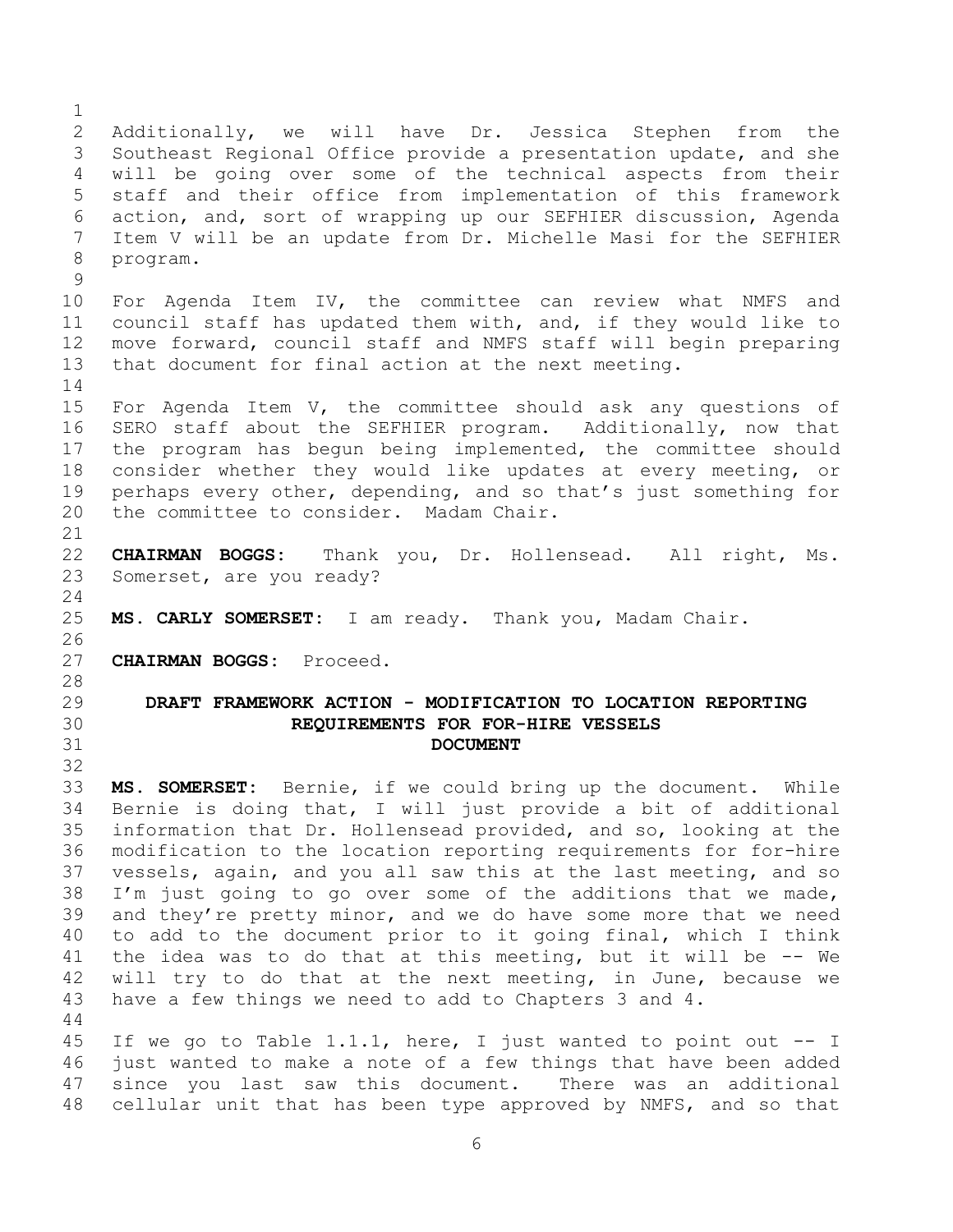<span id="page-5-1"></span><span id="page-5-0"></span> Additionally, we will have Dr. Jessica Stephen from the Southeast Regional Office provide a presentation update, and she will be going over some of the technical aspects from their staff and their office from implementation of this framework action, and, sort of wrapping up our SEFHIER discussion, Agenda Item V will be an update from Dr. Michelle Masi for the SEFHIER program. For Agenda Item IV, the committee can review what NMFS and council staff has updated them with, and, if they would like to move forward, council staff and NMFS staff will begin preparing that document for final action at the next meeting. 15 For Agenda Item V, the committee should ask any questions of SERO staff about the SEFHIER program. Additionally, now that the program has begun being implemented, the committee should consider whether they would like updates at every meeting, or perhaps every other, depending, and so that's just something for the committee to consider. Madam Chair. **CHAIRMAN BOGGS:** Thank you, Dr. Hollensead. All right, Ms. Somerset, are you ready? **MS. CARLY SOMERSET:** I am ready. Thank you, Madam Chair. **CHAIRMAN BOGGS:** Proceed. **DRAFT FRAMEWORK ACTION - MODIFICATION TO LOCATION REPORTING REQUIREMENTS FOR FOR-HIRE VESSELS DOCUMENT MS. SOMERSET:** Bernie, if we could bring up the document. While Bernie is doing that, I will just provide a bit of additional information that Dr. Hollensead provided, and so, looking at the modification to the location reporting requirements for for-hire vessels, again, and you all saw this at the last meeting, and so I'm just going to go over some of the additions that we made, and they're pretty minor, and we do have some more that we need to add to the document prior to it going final, which I think the idea was to do that at this meeting, but it will be -- We will try to do that at the next meeting, in June, because we have a few things we need to add to Chapters 3 and 4. If we go to Table 1.1.1, here, I just wanted to point out -- I just wanted to make a note of a few things that have been added since you last saw this document. There was an additional cellular unit that has been type approved by NMFS, and so that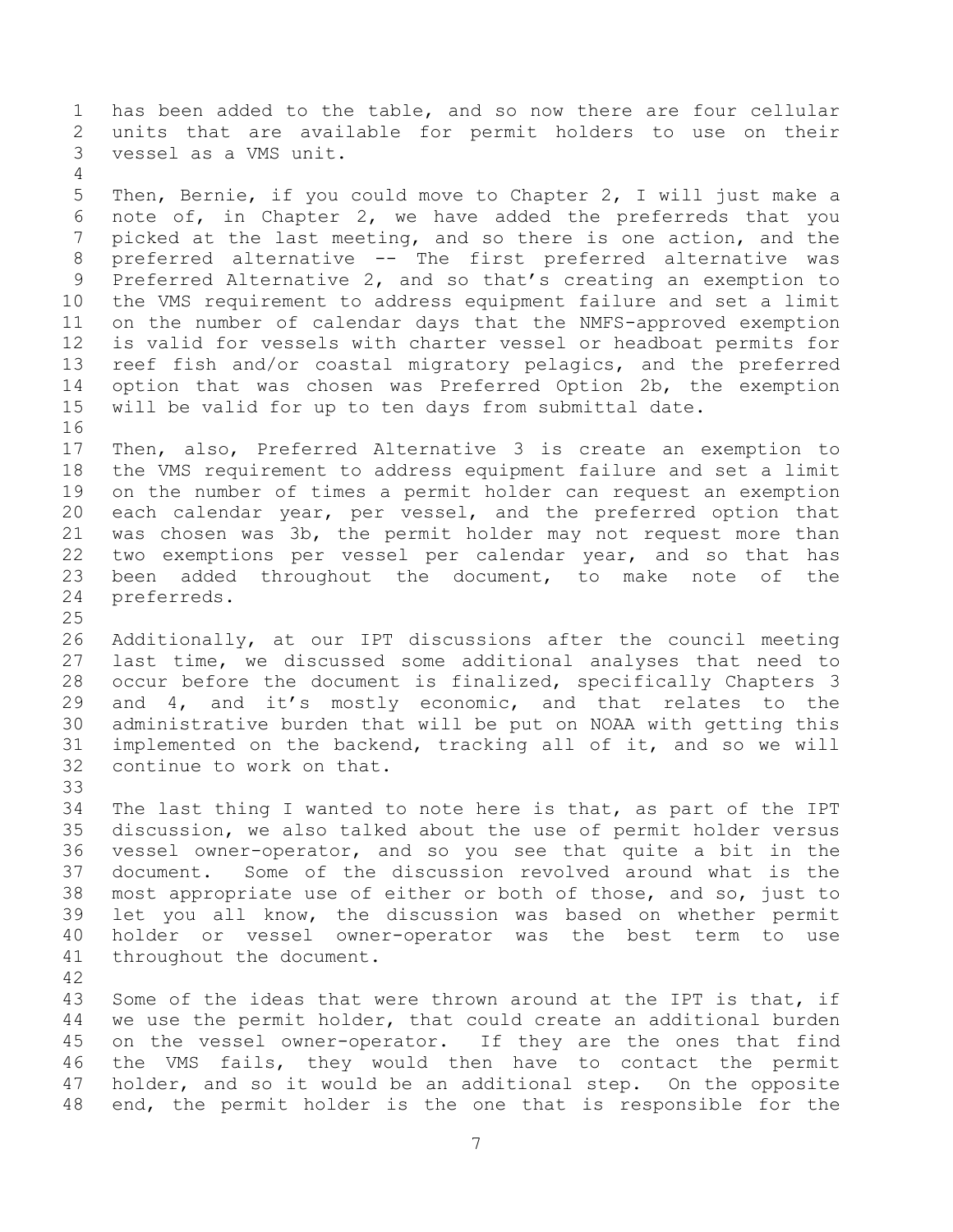has been added to the table, and so now there are four cellular units that are available for permit holders to use on their vessel as a VMS unit.

 Then, Bernie, if you could move to Chapter 2, I will just make a note of, in Chapter 2, we have added the preferreds that you picked at the last meeting, and so there is one action, and the preferred alternative -- The first preferred alternative was Preferred Alternative 2, and so that's creating an exemption to the VMS requirement to address equipment failure and set a limit on the number of calendar days that the NMFS-approved exemption is valid for vessels with charter vessel or headboat permits for reef fish and/or coastal migratory pelagics, and the preferred option that was chosen was Preferred Option 2b, the exemption will be valid for up to ten days from submittal date. 

 Then, also, Preferred Alternative 3 is create an exemption to the VMS requirement to address equipment failure and set a limit on the number of times a permit holder can request an exemption each calendar year, per vessel, and the preferred option that was chosen was 3b, the permit holder may not request more than two exemptions per vessel per calendar year, and so that has been added throughout the document, to make note of the preferreds.

 Additionally, at our IPT discussions after the council meeting last time, we discussed some additional analyses that need to occur before the document is finalized, specifically Chapters 3 and 4, and it's mostly economic, and that relates to the administrative burden that will be put on NOAA with getting this implemented on the backend, tracking all of it, and so we will continue to work on that.

 The last thing I wanted to note here is that, as part of the IPT discussion, we also talked about the use of permit holder versus vessel owner-operator, and so you see that quite a bit in the document. Some of the discussion revolved around what is the most appropriate use of either or both of those, and so, just to let you all know, the discussion was based on whether permit holder or vessel owner-operator was the best term to use throughout the document.

 Some of the ideas that were thrown around at the IPT is that, if we use the permit holder, that could create an additional burden on the vessel owner-operator. If they are the ones that find the VMS fails, they would then have to contact the permit holder, and so it would be an additional step. On the opposite end, the permit holder is the one that is responsible for the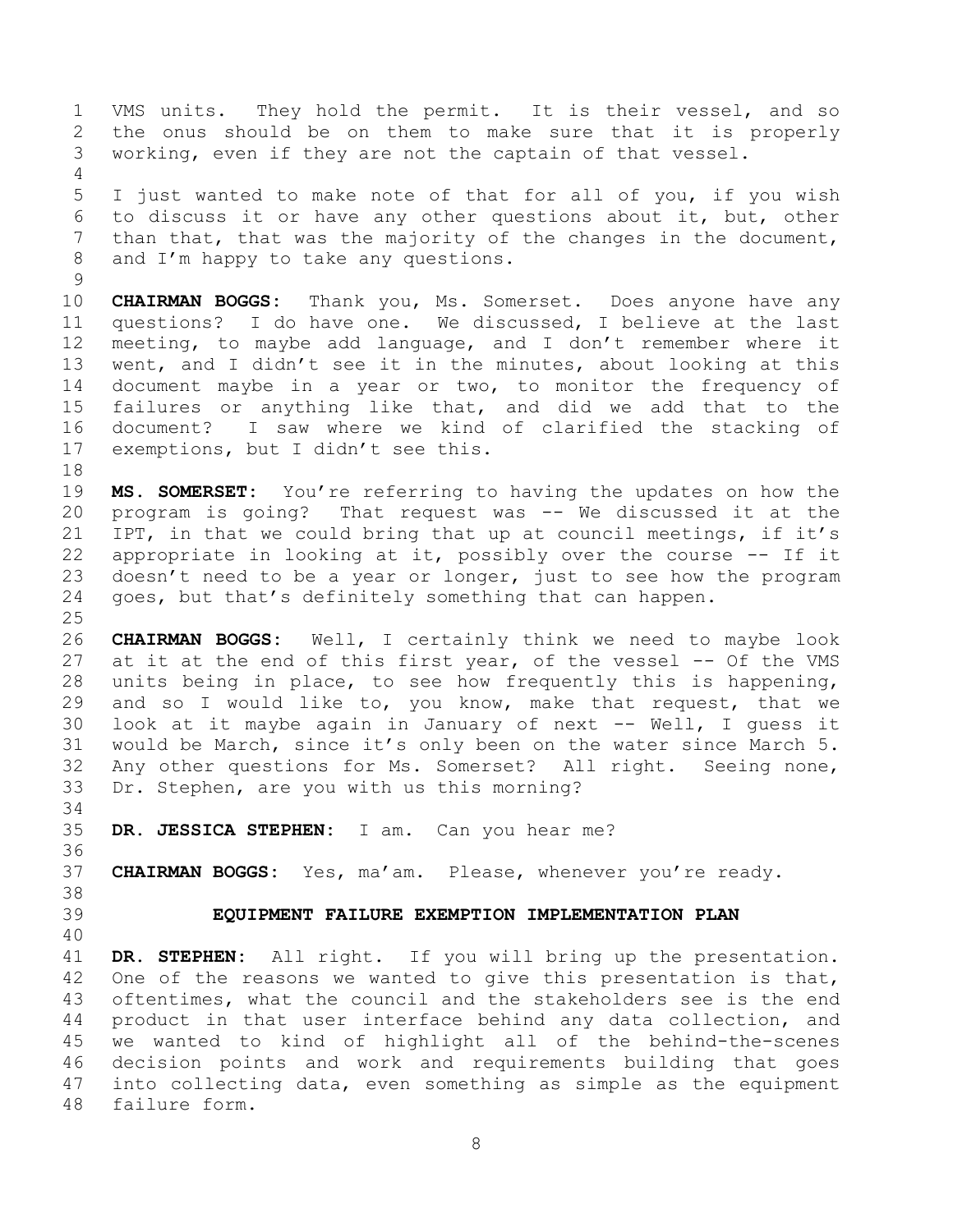VMS units. They hold the permit. It is their vessel, and so the onus should be on them to make sure that it is properly working, even if they are not the captain of that vessel. 

 I just wanted to make note of that for all of you, if you wish to discuss it or have any other questions about it, but, other than that, that was the majority of the changes in the document, and I'm happy to take any questions.

 **CHAIRMAN BOGGS:** Thank you, Ms. Somerset. Does anyone have any questions? I do have one. We discussed, I believe at the last meeting, to maybe add language, and I don't remember where it went, and I didn't see it in the minutes, about looking at this document maybe in a year or two, to monitor the frequency of failures or anything like that, and did we add that to the document? I saw where we kind of clarified the stacking of exemptions, but I didn't see this.

 **MS. SOMERSET:** You're referring to having the updates on how the program is going? That request was -- We discussed it at the IPT, in that we could bring that up at council meetings, if it's appropriate in looking at it, possibly over the course -- If it doesn't need to be a year or longer, just to see how the program goes, but that's definitely something that can happen.

 **CHAIRMAN BOGGS:** Well, I certainly think we need to maybe look 27 at it at the end of this first year, of the vessel -- Of the VMS units being in place, to see how frequently this is happening, and so I would like to, you know, make that request, that we look at it maybe again in January of next -- Well, I guess it would be March, since it's only been on the water since March 5. Any other questions for Ms. Somerset? All right. Seeing none, Dr. Stephen, are you with us this morning?

**DR. JESSICA STEPHEN:** I am. Can you hear me?

**CHAIRMAN BOGGS:** Yes, ma'am. Please, whenever you're ready.

- 
- 

<span id="page-7-0"></span>**EQUIPMENT FAILURE EXEMPTION IMPLEMENTATION PLAN**

 **DR. STEPHEN:** All right. If you will bring up the presentation. 42 One of the reasons we wanted to give this presentation is that, oftentimes, what the council and the stakeholders see is the end product in that user interface behind any data collection, and we wanted to kind of highlight all of the behind-the-scenes decision points and work and requirements building that goes into collecting data, even something as simple as the equipment failure form.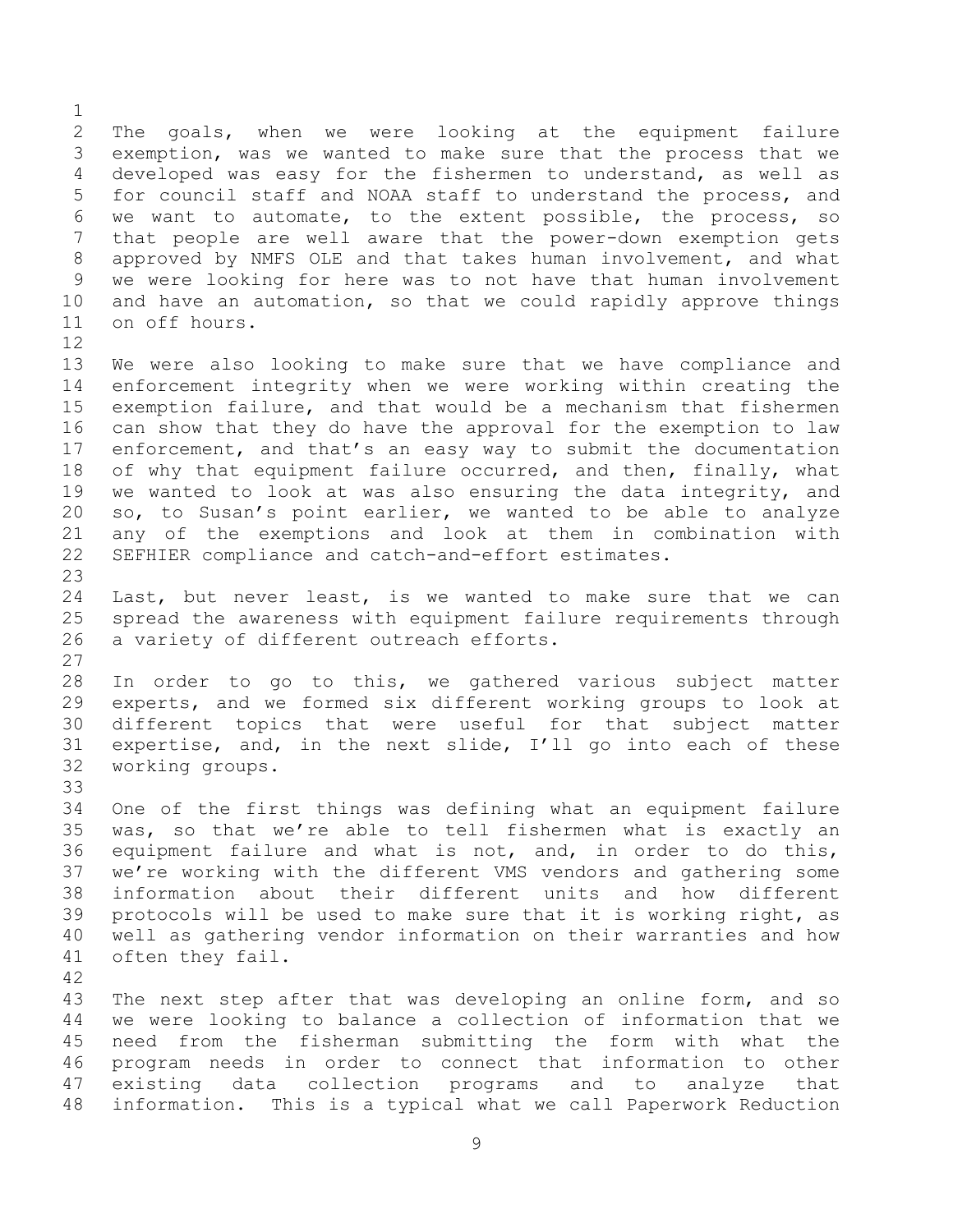The goals, when we were looking at the equipment failure exemption, was we wanted to make sure that the process that we developed was easy for the fishermen to understand, as well as for council staff and NOAA staff to understand the process, and we want to automate, to the extent possible, the process, so that people are well aware that the power-down exemption gets approved by NMFS OLE and that takes human involvement, and what we were looking for here was to not have that human involvement and have an automation, so that we could rapidly approve things on off hours. 

 We were also looking to make sure that we have compliance and enforcement integrity when we were working within creating the exemption failure, and that would be a mechanism that fishermen can show that they do have the approval for the exemption to law enforcement, and that's an easy way to submit the documentation 18 of why that equipment failure occurred, and then, finally, what we wanted to look at was also ensuring the data integrity, and so, to Susan's point earlier, we wanted to be able to analyze any of the exemptions and look at them in combination with SEFHIER compliance and catch-and-effort estimates. 

 Last, but never least, is we wanted to make sure that we can spread the awareness with equipment failure requirements through a variety of different outreach efforts. 

 In order to go to this, we gathered various subject matter experts, and we formed six different working groups to look at different topics that were useful for that subject matter expertise, and, in the next slide, I'll go into each of these working groups.

 One of the first things was defining what an equipment failure was, so that we're able to tell fishermen what is exactly an equipment failure and what is not, and, in order to do this, we're working with the different VMS vendors and gathering some information about their different units and how different protocols will be used to make sure that it is working right, as well as gathering vendor information on their warranties and how often they fail.

 The next step after that was developing an online form, and so we were looking to balance a collection of information that we need from the fisherman submitting the form with what the program needs in order to connect that information to other existing data collection programs and to analyze that information. This is a typical what we call Paperwork Reduction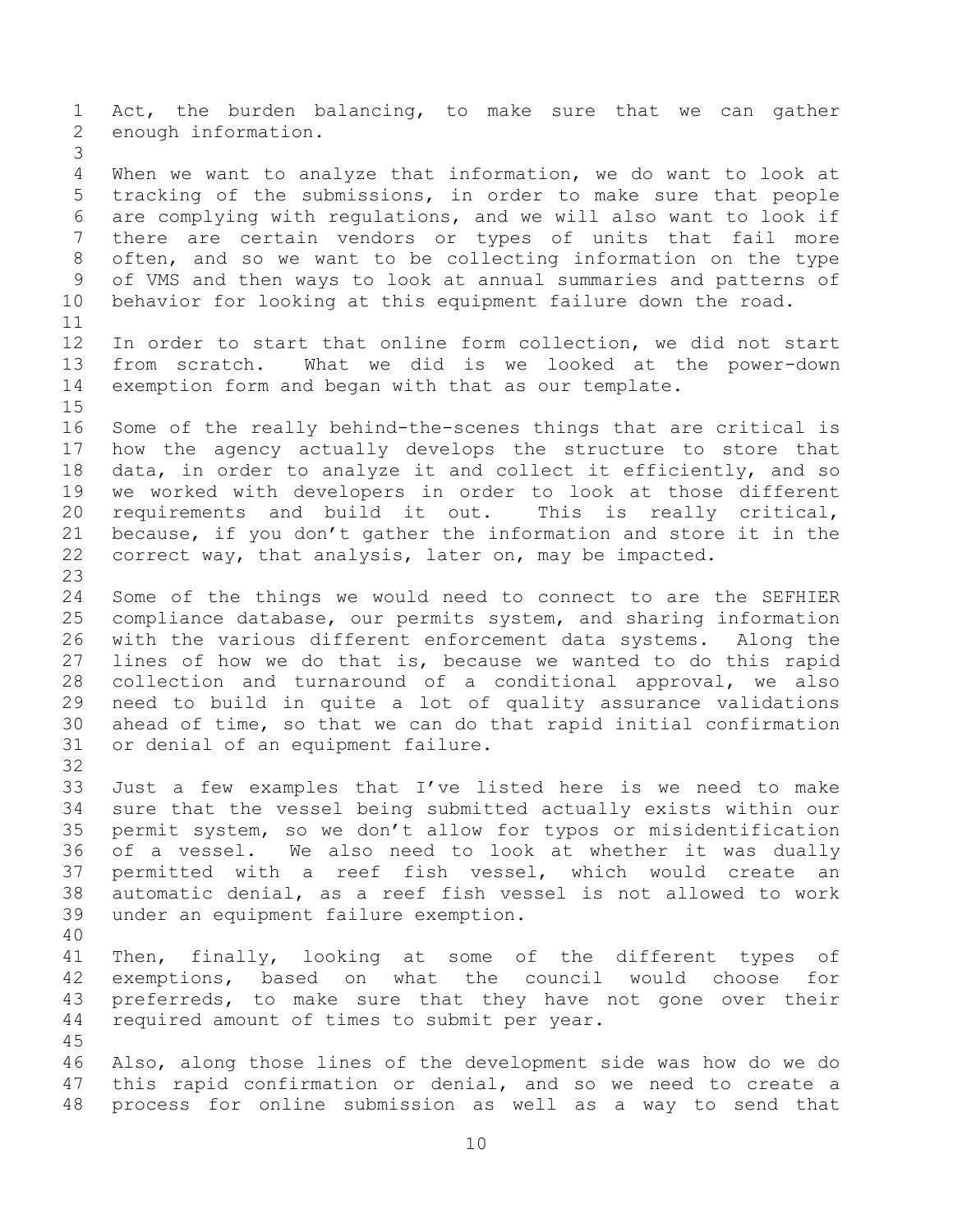Act, the burden balancing, to make sure that we can gather enough information. When we want to analyze that information, we do want to look at tracking of the submissions, in order to make sure that people are complying with regulations, and we will also want to look if there are certain vendors or types of units that fail more often, and so we want to be collecting information on the type of VMS and then ways to look at annual summaries and patterns of behavior for looking at this equipment failure down the road. In order to start that online form collection, we did not start from scratch. What we did is we looked at the power-down exemption form and began with that as our template. Some of the really behind-the-scenes things that are critical is how the agency actually develops the structure to store that data, in order to analyze it and collect it efficiently, and so we worked with developers in order to look at those different requirements and build it out. This is really critical, because, if you don't gather the information and store it in the correct way, that analysis, later on, may be impacted. Some of the things we would need to connect to are the SEFHIER compliance database, our permits system, and sharing information with the various different enforcement data systems. Along the lines of how we do that is, because we wanted to do this rapid collection and turnaround of a conditional approval, we also need to build in quite a lot of quality assurance validations ahead of time, so that we can do that rapid initial confirmation or denial of an equipment failure. Just a few examples that I've listed here is we need to make sure that the vessel being submitted actually exists within our permit system, so we don't allow for typos or misidentification of a vessel. We also need to look at whether it was dually permitted with a reef fish vessel, which would create an automatic denial, as a reef fish vessel is not allowed to work under an equipment failure exemption. Then, finally, looking at some of the different types of exemptions, based on what the council would choose for 43 preferreds, to make sure that they have not gone over their required amount of times to submit per year. Also, along those lines of the development side was how do we do this rapid confirmation or denial, and so we need to create a process for online submission as well as a way to send that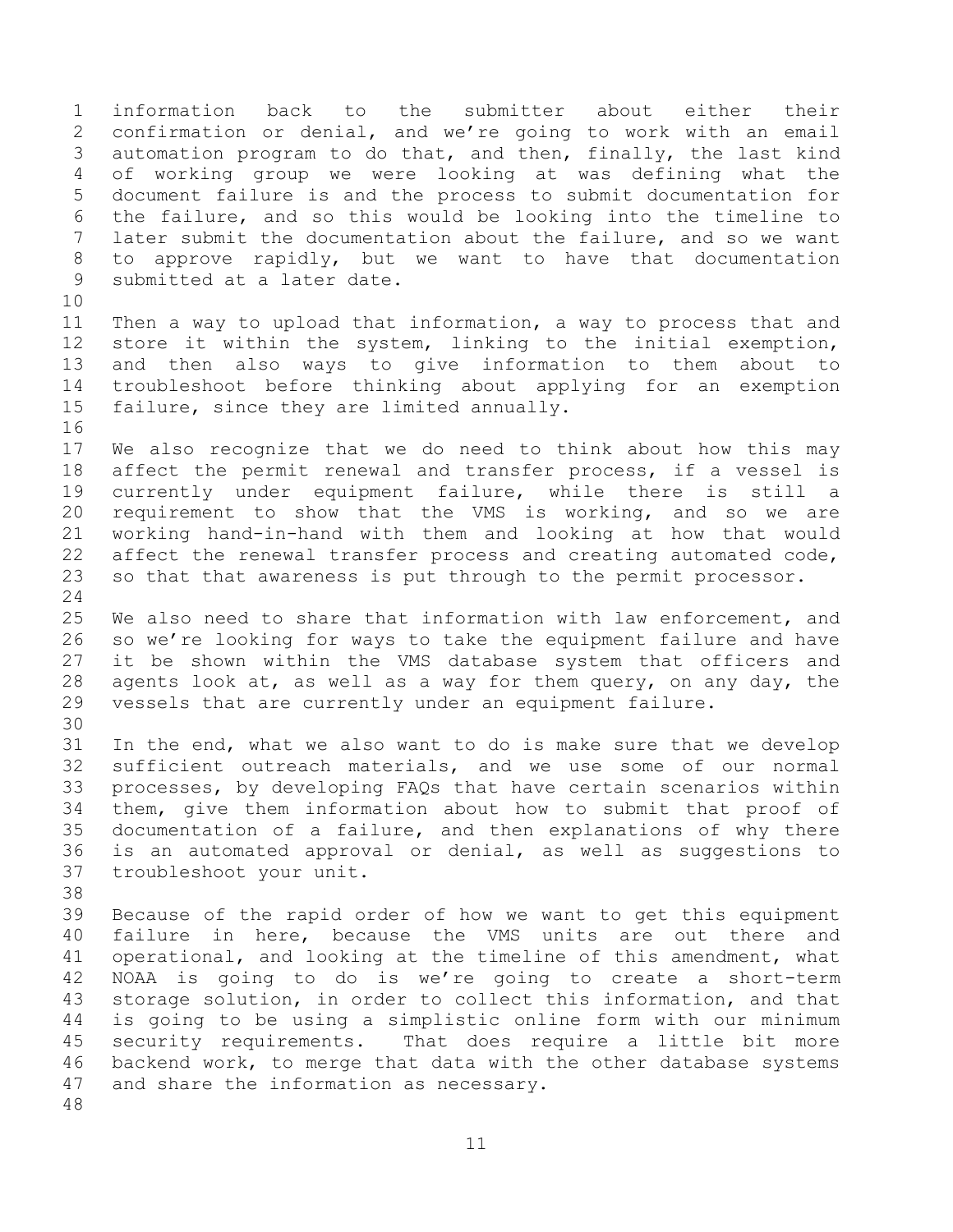information back to the submitter about either their confirmation or denial, and we're going to work with an email automation program to do that, and then, finally, the last kind of working group we were looking at was defining what the document failure is and the process to submit documentation for the failure, and so this would be looking into the timeline to later submit the documentation about the failure, and so we want to approve rapidly, but we want to have that documentation submitted at a later date. Then a way to upload that information, a way to process that and store it within the system, linking to the initial exemption, and then also ways to give information to them about to troubleshoot before thinking about applying for an exemption failure, since they are limited annually. We also recognize that we do need to think about how this may affect the permit renewal and transfer process, if a vessel is currently under equipment failure, while there is still a requirement to show that the VMS is working, and so we are working hand-in-hand with them and looking at how that would affect the renewal transfer process and creating automated code, so that that awareness is put through to the permit processor. We also need to share that information with law enforcement, and so we're looking for ways to take the equipment failure and have it be shown within the VMS database system that officers and agents look at, as well as a way for them query, on any day, the vessels that are currently under an equipment failure. In the end, what we also want to do is make sure that we develop sufficient outreach materials, and we use some of our normal processes, by developing FAQs that have certain scenarios within them, give them information about how to submit that proof of documentation of a failure, and then explanations of why there is an automated approval or denial, as well as suggestions to troubleshoot your unit. Because of the rapid order of how we want to get this equipment failure in here, because the VMS units are out there and operational, and looking at the timeline of this amendment, what NOAA is going to do is we're going to create a short-term storage solution, in order to collect this information, and that is going to be using a simplistic online form with our minimum security requirements. That does require a little bit more backend work, to merge that data with the other database systems and share the information as necessary.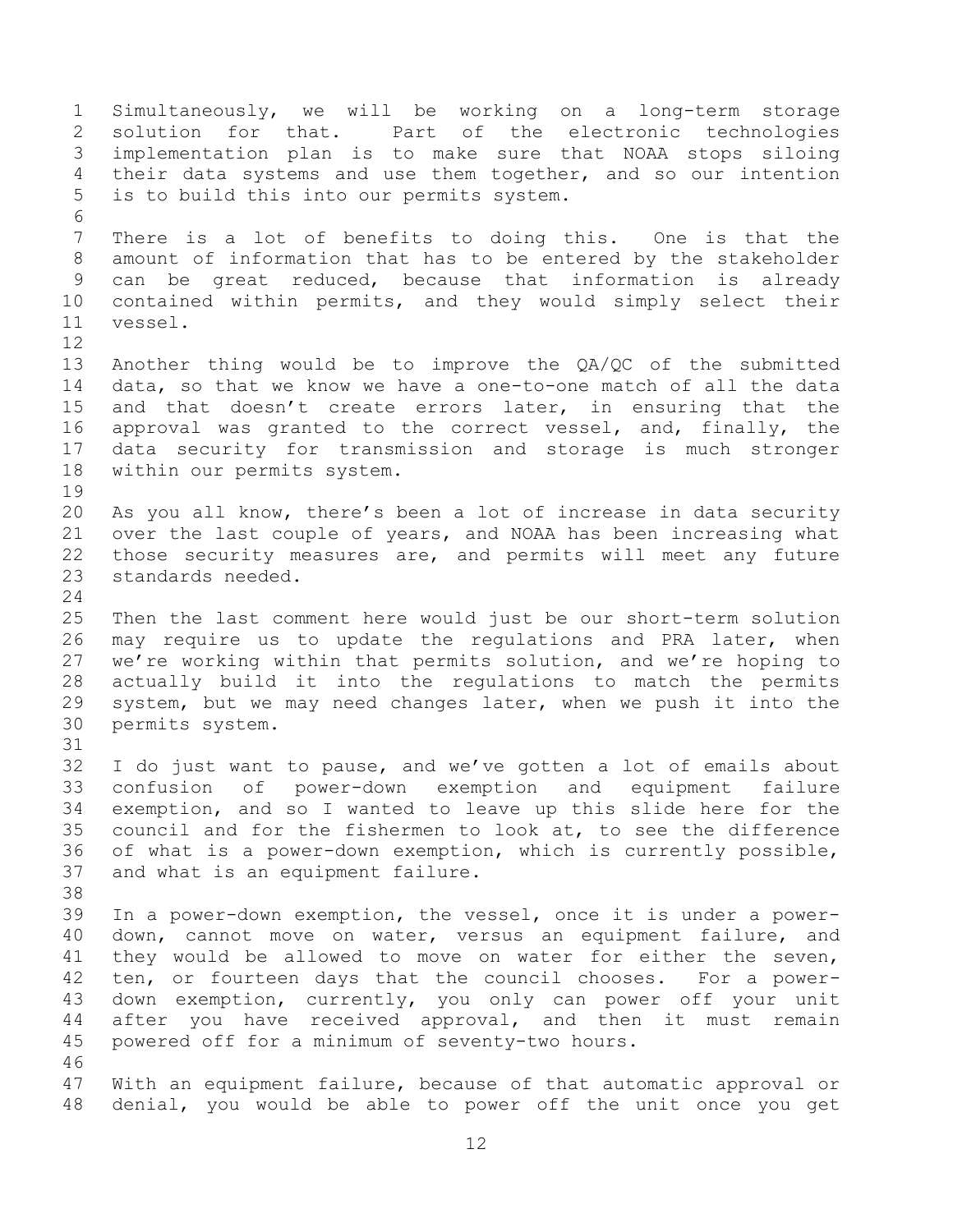Simultaneously, we will be working on a long-term storage solution for that. Part of the electronic technologies implementation plan is to make sure that NOAA stops siloing their data systems and use them together, and so our intention is to build this into our permits system. There is a lot of benefits to doing this. One is that the amount of information that has to be entered by the stakeholder can be great reduced, because that information is already contained within permits, and they would simply select their vessel. Another thing would be to improve the QA/QC of the submitted data, so that we know we have a one-to-one match of all the data and that doesn't create errors later, in ensuring that the approval was granted to the correct vessel, and, finally, the data security for transmission and storage is much stronger within our permits system. As you all know, there's been a lot of increase in data security over the last couple of years, and NOAA has been increasing what those security measures are, and permits will meet any future standards needed. Then the last comment here would just be our short-term solution may require us to update the regulations and PRA later, when we're working within that permits solution, and we're hoping to actually build it into the regulations to match the permits system, but we may need changes later, when we push it into the permits system. I do just want to pause, and we've gotten a lot of emails about confusion of power-down exemption and equipment failure exemption, and so I wanted to leave up this slide here for the council and for the fishermen to look at, to see the difference of what is a power-down exemption, which is currently possible, and what is an equipment failure. In a power-down exemption, the vessel, once it is under a power- down, cannot move on water, versus an equipment failure, and they would be allowed to move on water for either the seven, ten, or fourteen days that the council chooses. For a power- down exemption, currently, you only can power off your unit after you have received approval, and then it must remain powered off for a minimum of seventy-two hours. With an equipment failure, because of that automatic approval or denial, you would be able to power off the unit once you get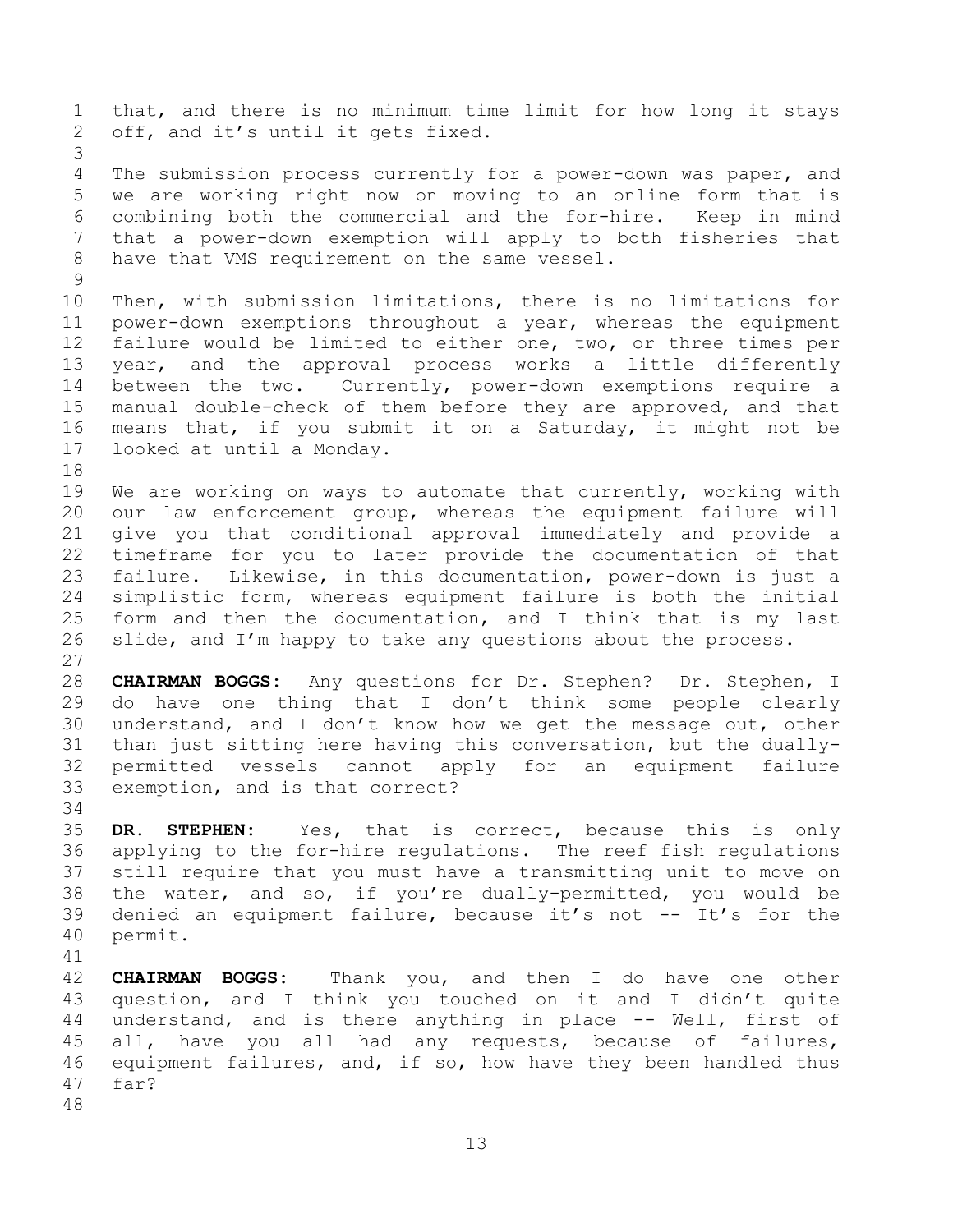that, and there is no minimum time limit for how long it stays off, and it's until it gets fixed. The submission process currently for a power-down was paper, and we are working right now on moving to an online form that is combining both the commercial and the for-hire. Keep in mind that a power-down exemption will apply to both fisheries that have that VMS requirement on the same vessel. Then, with submission limitations, there is no limitations for power-down exemptions throughout a year, whereas the equipment failure would be limited to either one, two, or three times per year, and the approval process works a little differently between the two. Currently, power-down exemptions require a manual double-check of them before they are approved, and that means that, if you submit it on a Saturday, it might not be looked at until a Monday. We are working on ways to automate that currently, working with our law enforcement group, whereas the equipment failure will give you that conditional approval immediately and provide a timeframe for you to later provide the documentation of that failure. Likewise, in this documentation, power-down is just a simplistic form, whereas equipment failure is both the initial form and then the documentation, and I think that is my last slide, and I'm happy to take any questions about the process. **CHAIRMAN BOGGS:** Any questions for Dr. Stephen? Dr. Stephen, I do have one thing that I don't think some people clearly understand, and I don't know how we get the message out, other than just sitting here having this conversation, but the dually- permitted vessels cannot apply for an equipment failure exemption, and is that correct? **DR. STEPHEN:** Yes, that is correct, because this is only applying to the for-hire regulations. The reef fish regulations still require that you must have a transmitting unit to move on the water, and so, if you're dually-permitted, you would be denied an equipment failure, because it's not -- It's for the permit.

 **CHAIRMAN BOGGS:** Thank you, and then I do have one other question, and I think you touched on it and I didn't quite 44 understand, and is there anything in place -- Well, first of all, have you all had any requests, because of failures, equipment failures, and, if so, how have they been handled thus far?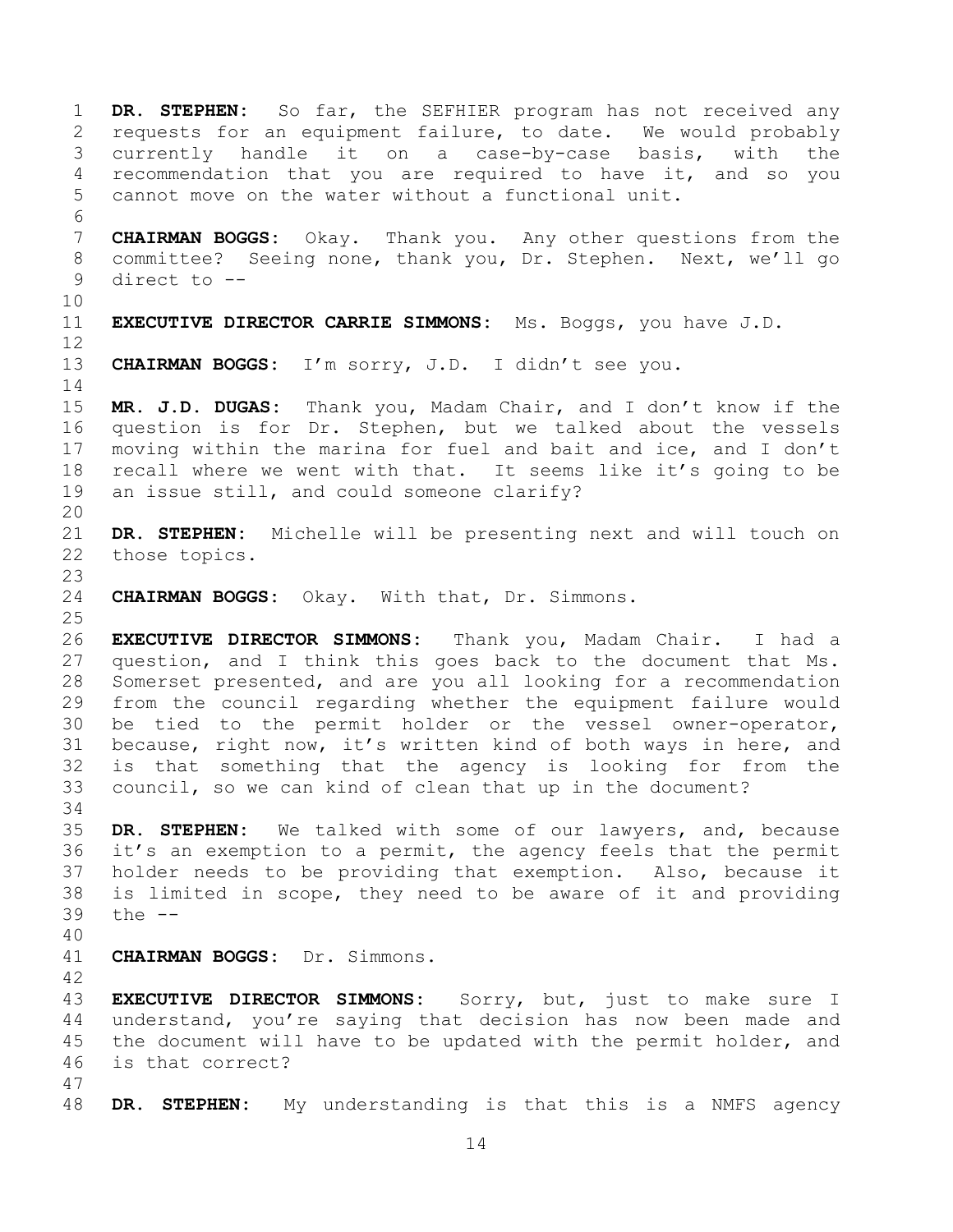**DR. STEPHEN:** So far, the SEFHIER program has not received any requests for an equipment failure, to date. We would probably currently handle it on a case-by-case basis, with the recommendation that you are required to have it, and so you cannot move on the water without a functional unit. **CHAIRMAN BOGGS:** Okay. Thank you. Any other questions from the committee? Seeing none, thank you, Dr. Stephen. Next, we'll go direct to -- **EXECUTIVE DIRECTOR CARRIE SIMMONS:** Ms. Boggs, you have J.D. **CHAIRMAN BOGGS:** I'm sorry, J.D. I didn't see you. **MR. J.D. DUGAS:** Thank you, Madam Chair, and I don't know if the question is for Dr. Stephen, but we talked about the vessels moving within the marina for fuel and bait and ice, and I don't recall where we went with that. It seems like it's going to be an issue still, and could someone clarify? **DR. STEPHEN:** Michelle will be presenting next and will touch on those topics. **CHAIRMAN BOGGS:** Okay. With that, Dr. Simmons. **EXECUTIVE DIRECTOR SIMMONS:** Thank you, Madam Chair. I had a question, and I think this goes back to the document that Ms. Somerset presented, and are you all looking for a recommendation from the council regarding whether the equipment failure would be tied to the permit holder or the vessel owner-operator, because, right now, it's written kind of both ways in here, and is that something that the agency is looking for from the council, so we can kind of clean that up in the document? **DR. STEPHEN:** We talked with some of our lawyers, and, because it's an exemption to a permit, the agency feels that the permit holder needs to be providing that exemption. Also, because it is limited in scope, they need to be aware of it and providing the -- **CHAIRMAN BOGGS:** Dr. Simmons. **EXECUTIVE DIRECTOR SIMMONS:** Sorry, but, just to make sure I understand, you're saying that decision has now been made and 45 the document will have to be updated with the permit holder, and is that correct? **DR. STEPHEN:** My understanding is that this is a NMFS agency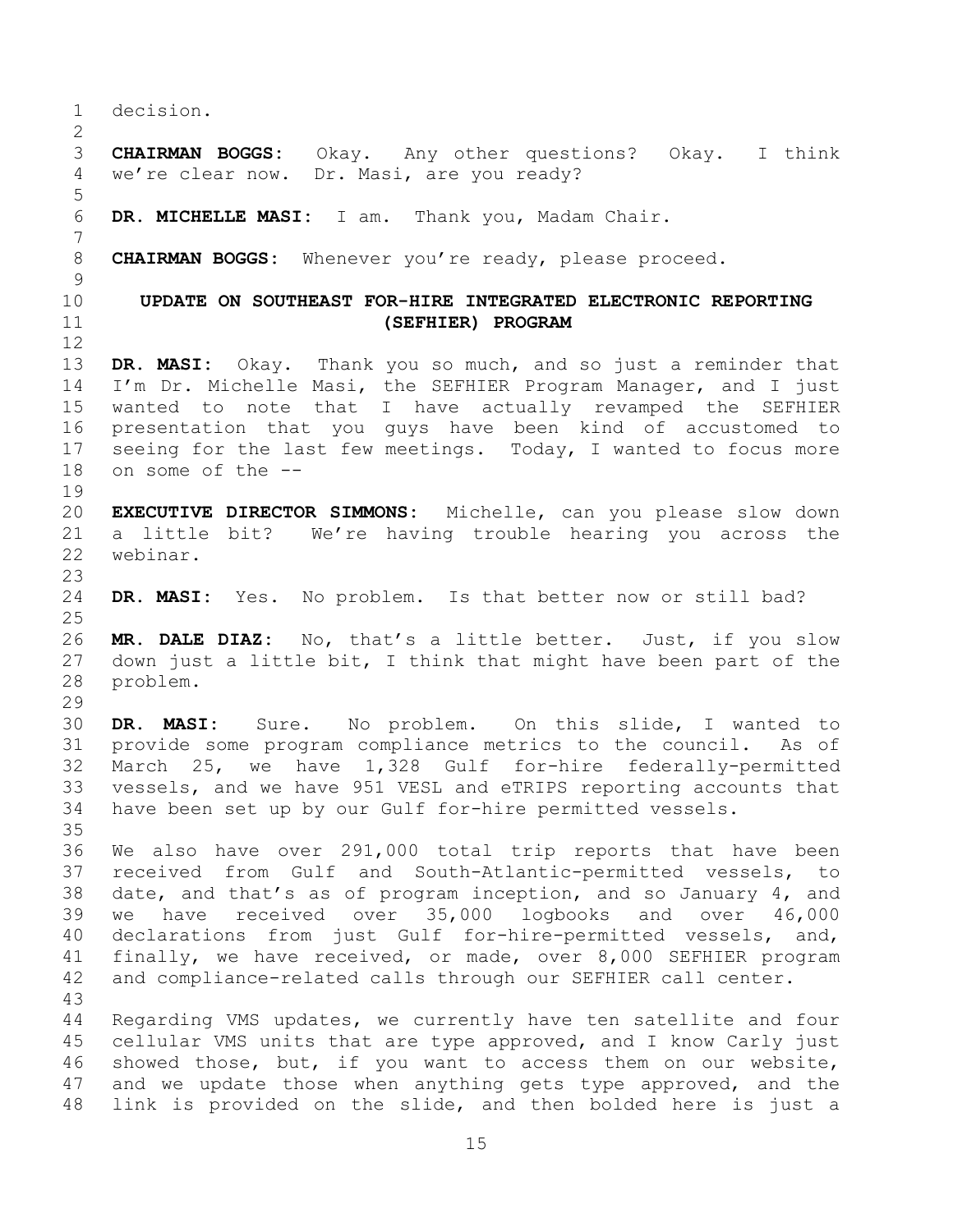<span id="page-14-0"></span> decision. **CHAIRMAN BOGGS:** Okay. Any other questions? Okay. I think we're clear now. Dr. Masi, are you ready? **DR. MICHELLE MASI:** I am. Thank you, Madam Chair. **CHAIRMAN BOGGS:** Whenever you're ready, please proceed. **UPDATE ON SOUTHEAST FOR-HIRE INTEGRATED ELECTRONIC REPORTING (SEFHIER) PROGRAM DR. MASI:** Okay. Thank you so much, and so just a reminder that I'm Dr. Michelle Masi, the SEFHIER Program Manager, and I just wanted to note that I have actually revamped the SEFHIER presentation that you guys have been kind of accustomed to 17 seeing for the last few meetings. Today, I wanted to focus more on some of the -- **EXECUTIVE DIRECTOR SIMMONS:** Michelle, can you please slow down a little bit? We're having trouble hearing you across the webinar. **DR. MASI:** Yes. No problem. Is that better now or still bad? **MR. DALE DIAZ:** No, that's a little better. Just, if you slow down just a little bit, I think that might have been part of the problem. **DR. MASI:** Sure. No problem. On this slide, I wanted to provide some program compliance metrics to the council. As of March 25, we have 1,328 Gulf for-hire federally-permitted vessels, and we have 951 VESL and eTRIPS reporting accounts that have been set up by our Gulf for-hire permitted vessels. We also have over 291,000 total trip reports that have been received from Gulf and South-Atlantic-permitted vessels, to date, and that's as of program inception, and so January 4, and we have received over 35,000 logbooks and over 46,000 declarations from just Gulf for-hire-permitted vessels, and, finally, we have received, or made, over 8,000 SEFHIER program and compliance-related calls through our SEFHIER call center. Regarding VMS updates, we currently have ten satellite and four cellular VMS units that are type approved, and I know Carly just showed those, but, if you want to access them on our website, and we update those when anything gets type approved, and the link is provided on the slide, and then bolded here is just a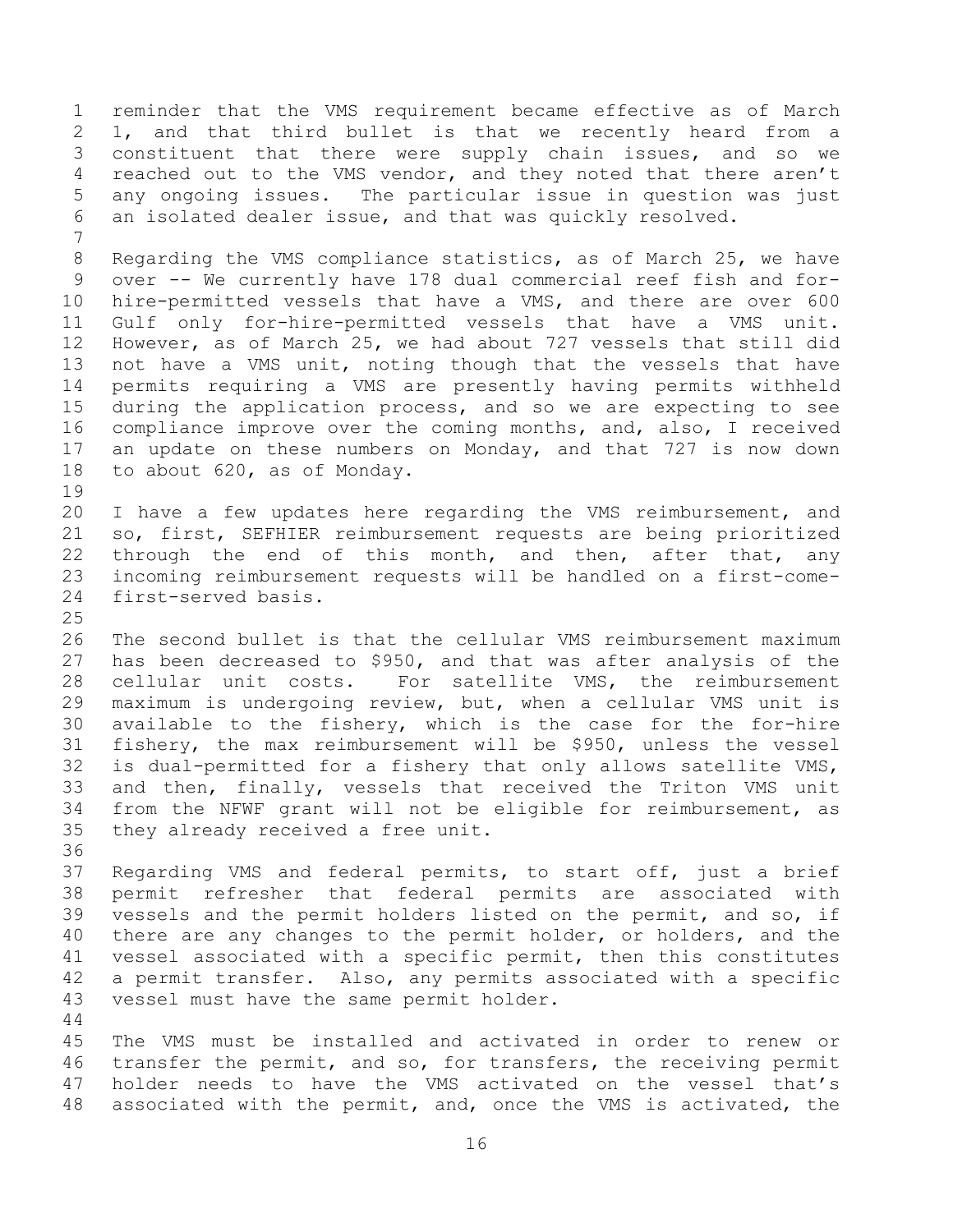reminder that the VMS requirement became effective as of March 1, and that third bullet is that we recently heard from a constituent that there were supply chain issues, and so we reached out to the VMS vendor, and they noted that there aren't any ongoing issues. The particular issue in question was just an isolated dealer issue, and that was quickly resolved. Regarding the VMS compliance statistics, as of March 25, we have over -- We currently have 178 dual commercial reef fish and for- hire-permitted vessels that have a VMS, and there are over 600 Gulf only for-hire-permitted vessels that have a VMS unit. However, as of March 25, we had about 727 vessels that still did not have a VMS unit, noting though that the vessels that have permits requiring a VMS are presently having permits withheld during the application process, and so we are expecting to see compliance improve over the coming months, and, also, I received an update on these numbers on Monday, and that 727 is now down to about 620, as of Monday. I have a few updates here regarding the VMS reimbursement, and so, first, SEFHIER reimbursement requests are being prioritized 22 through the end of this month, and then, after that, any incoming reimbursement requests will be handled on a first-come- first-served basis. The second bullet is that the cellular VMS reimbursement maximum has been decreased to \$950, and that was after analysis of the cellular unit costs. For satellite VMS, the reimbursement maximum is undergoing review, but, when a cellular VMS unit is available to the fishery, which is the case for the for-hire fishery, the max reimbursement will be \$950, unless the vessel is dual-permitted for a fishery that only allows satellite VMS, and then, finally, vessels that received the Triton VMS unit from the NFWF grant will not be eligible for reimbursement, as they already received a free unit. Regarding VMS and federal permits, to start off, just a brief permit refresher that federal permits are associated with vessels and the permit holders listed on the permit, and so, if there are any changes to the permit holder, or holders, and the vessel associated with a specific permit, then this constitutes a permit transfer. Also, any permits associated with a specific vessel must have the same permit holder. The VMS must be installed and activated in order to renew or transfer the permit, and so, for transfers, the receiving permit holder needs to have the VMS activated on the vessel that's associated with the permit, and, once the VMS is activated, the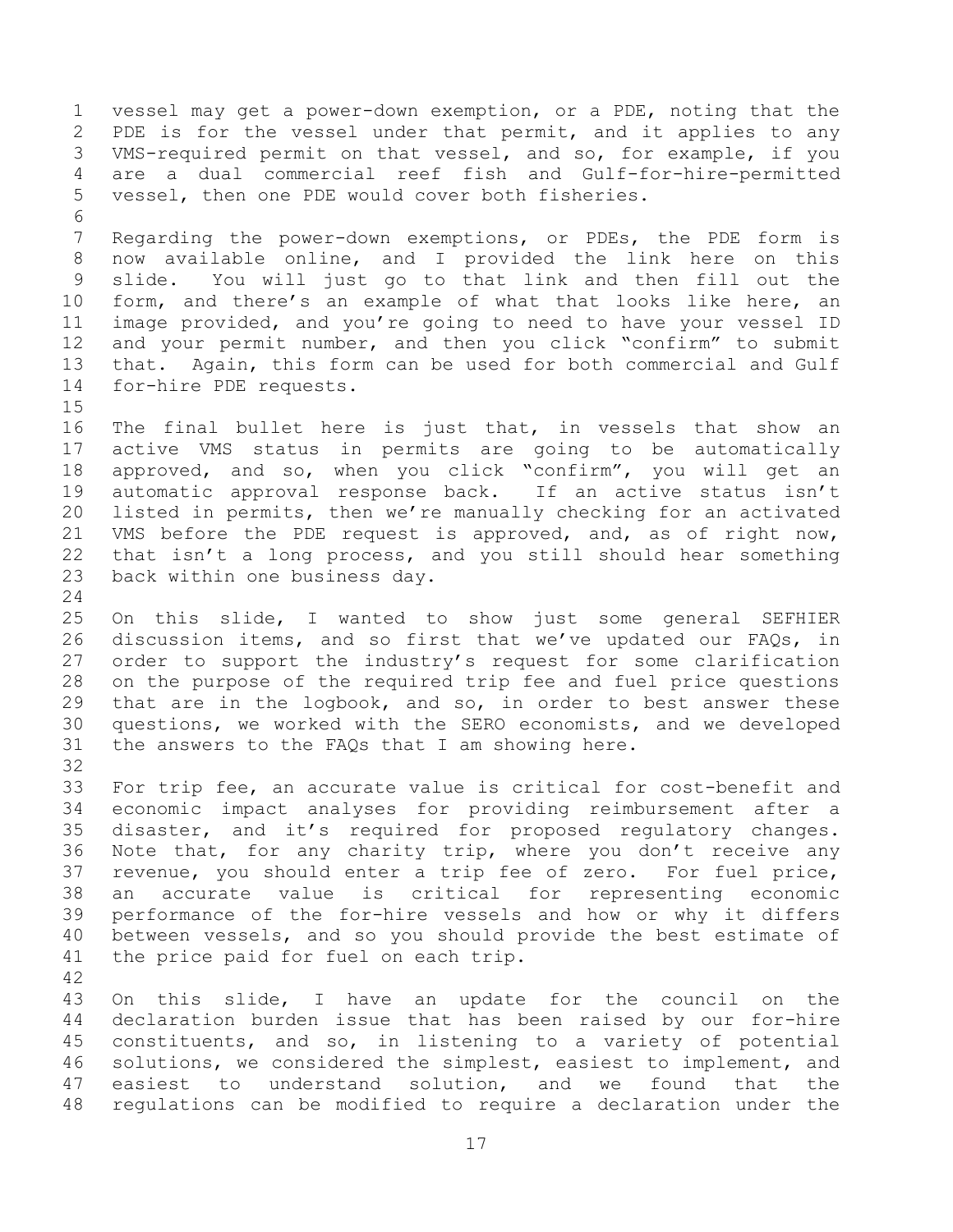vessel may get a power-down exemption, or a PDE, noting that the PDE is for the vessel under that permit, and it applies to any VMS-required permit on that vessel, and so, for example, if you are a dual commercial reef fish and Gulf-for-hire-permitted vessel, then one PDE would cover both fisheries. Regarding the power-down exemptions, or PDEs, the PDE form is now available online, and I provided the link here on this slide. You will just go to that link and then fill out the form, and there's an example of what that looks like here, an image provided, and you're going to need to have your vessel ID and your permit number, and then you click "confirm" to submit that. Again, this form can be used for both commercial and Gulf for-hire PDE requests. The final bullet here is just that, in vessels that show an active VMS status in permits are going to be automatically approved, and so, when you click "confirm", you will get an automatic approval response back. If an active status isn't listed in permits, then we're manually checking for an activated VMS before the PDE request is approved, and, as of right now, that isn't a long process, and you still should hear something back within one business day. On this slide, I wanted to show just some general SEFHIER discussion items, and so first that we've updated our FAQs, in order to support the industry's request for some clarification on the purpose of the required trip fee and fuel price questions that are in the logbook, and so, in order to best answer these questions, we worked with the SERO economists, and we developed the answers to the FAQs that I am showing here. For trip fee, an accurate value is critical for cost-benefit and economic impact analyses for providing reimbursement after a disaster, and it's required for proposed regulatory changes. Note that, for any charity trip, where you don't receive any revenue, you should enter a trip fee of zero. For fuel price, an accurate value is critical for representing economic performance of the for-hire vessels and how or why it differs between vessels, and so you should provide the best estimate of the price paid for fuel on each trip. On this slide, I have an update for the council on the declaration burden issue that has been raised by our for-hire constituents, and so, in listening to a variety of potential solutions, we considered the simplest, easiest to implement, and easiest to understand solution, and we found that the regulations can be modified to require a declaration under the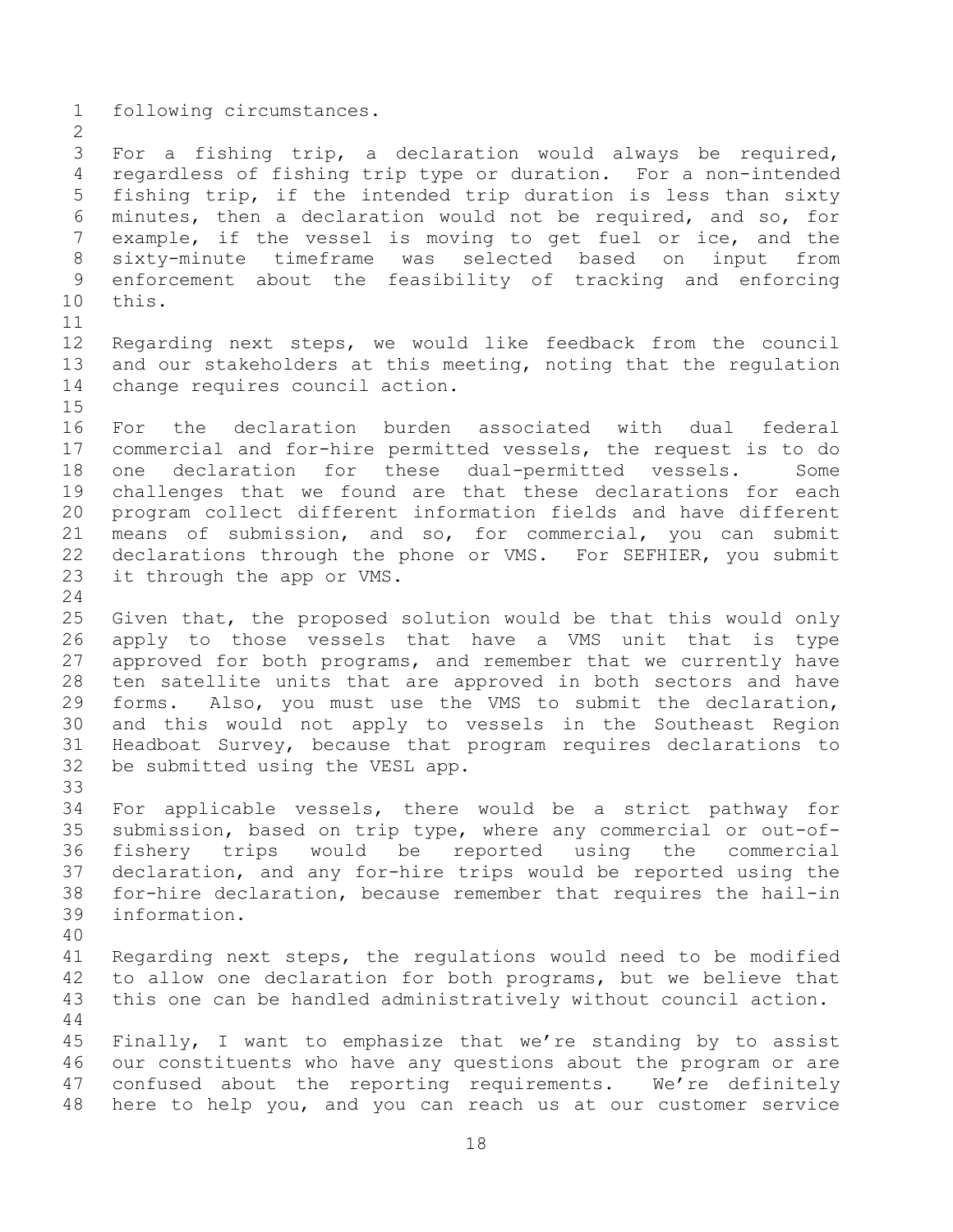following circumstances.

 For a fishing trip, a declaration would always be required, regardless of fishing trip type or duration. For a non-intended fishing trip, if the intended trip duration is less than sixty minutes, then a declaration would not be required, and so, for example, if the vessel is moving to get fuel or ice, and the sixty-minute timeframe was selected based on input from enforcement about the feasibility of tracking and enforcing this. 

 Regarding next steps, we would like feedback from the council 13 and our stakeholders at this meeting, noting that the regulation change requires council action.

 For the declaration burden associated with dual federal commercial and for-hire permitted vessels, the request is to do one declaration for these dual-permitted vessels. Some challenges that we found are that these declarations for each program collect different information fields and have different means of submission, and so, for commercial, you can submit declarations through the phone or VMS. For SEFHIER, you submit it through the app or VMS.

 Given that, the proposed solution would be that this would only apply to those vessels that have a VMS unit that is type approved for both programs, and remember that we currently have ten satellite units that are approved in both sectors and have forms. Also, you must use the VMS to submit the declaration, and this would not apply to vessels in the Southeast Region Headboat Survey, because that program requires declarations to be submitted using the VESL app. 

 For applicable vessels, there would be a strict pathway for submission, based on trip type, where any commercial or out-of- fishery trips would be reported using the commercial declaration, and any for-hire trips would be reported using the for-hire declaration, because remember that requires the hail-in information.

 Regarding next steps, the regulations would need to be modified to allow one declaration for both programs, but we believe that this one can be handled administratively without council action. 

 Finally, I want to emphasize that we're standing by to assist our constituents who have any questions about the program or are confused about the reporting requirements. We're definitely here to help you, and you can reach us at our customer service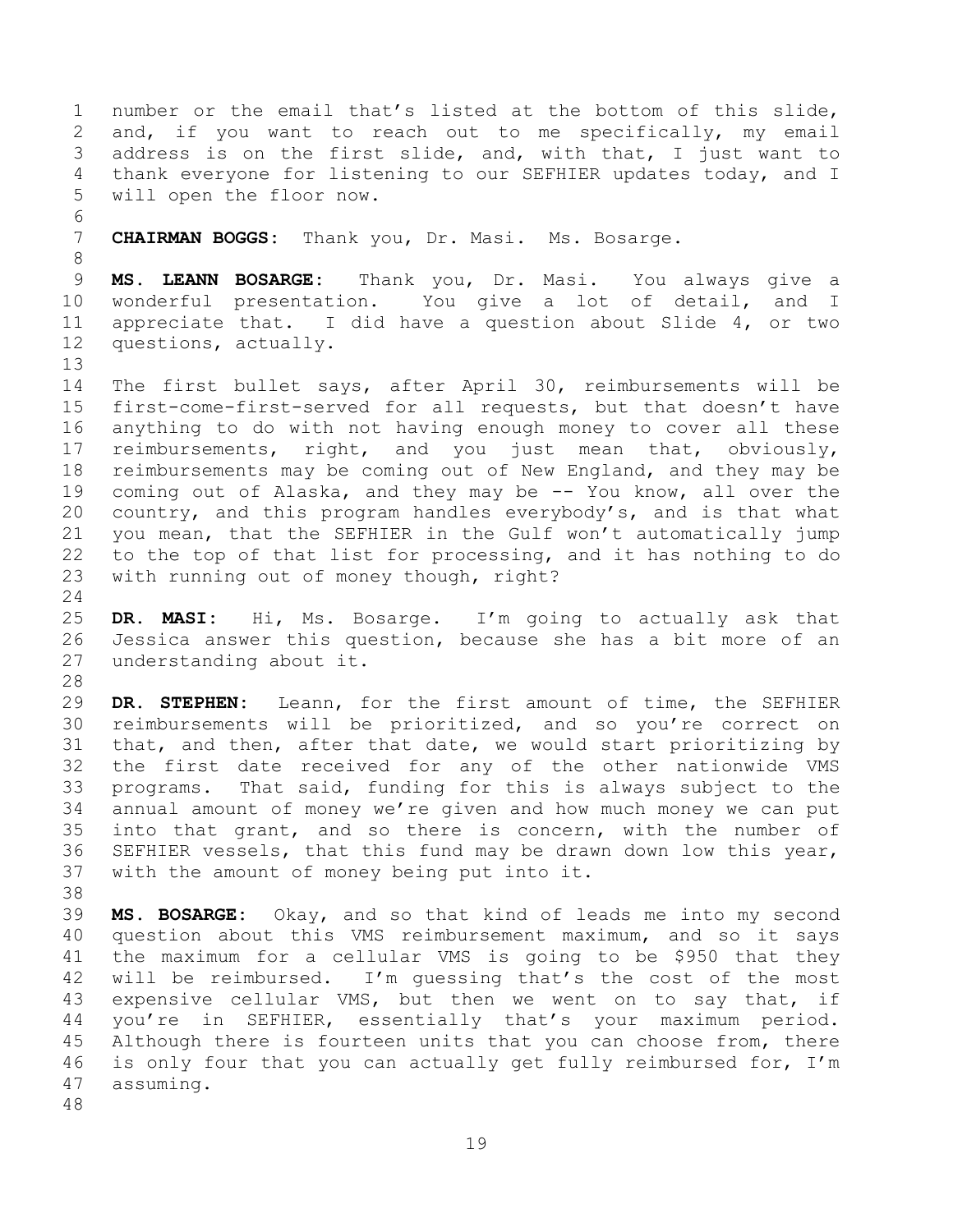number or the email that's listed at the bottom of this slide, and, if you want to reach out to me specifically, my email address is on the first slide, and, with that, I just want to thank everyone for listening to our SEFHIER updates today, and I will open the floor now. **CHAIRMAN BOGGS:** Thank you, Dr. Masi. Ms. Bosarge. **MS. LEANN BOSARGE:** Thank you, Dr. Masi. You always give a wonderful presentation. You give a lot of detail, and I appreciate that. I did have a question about Slide 4, or two questions, actually. The first bullet says, after April 30, reimbursements will be first-come-first-served for all requests, but that doesn't have anything to do with not having enough money to cover all these reimbursements, right, and you just mean that, obviously, reimbursements may be coming out of New England, and they may be coming out of Alaska, and they may be -- You know, all over the country, and this program handles everybody's, and is that what you mean, that the SEFHIER in the Gulf won't automatically jump to the top of that list for processing, and it has nothing to do with running out of money though, right? **DR. MASI:** Hi, Ms. Bosarge. I'm going to actually ask that Jessica answer this question, because she has a bit more of an understanding about it. **DR. STEPHEN:** Leann, for the first amount of time, the SEFHIER reimbursements will be prioritized, and so you're correct on that, and then, after that date, we would start prioritizing by the first date received for any of the other nationwide VMS programs. That said, funding for this is always subject to the annual amount of money we're given and how much money we can put into that grant, and so there is concern, with the number of SEFHIER vessels, that this fund may be drawn down low this year, with the amount of money being put into it. **MS. BOSARGE:** Okay, and so that kind of leads me into my second question about this VMS reimbursement maximum, and so it says the maximum for a cellular VMS is going to be \$950 that they will be reimbursed. I'm guessing that's the cost of the most 43 expensive cellular VMS, but then we went on to say that, if you're in SEFHIER, essentially that's your maximum period. 45 Although there is fourteen units that you can choose from, there is only four that you can actually get fully reimbursed for, I'm assuming.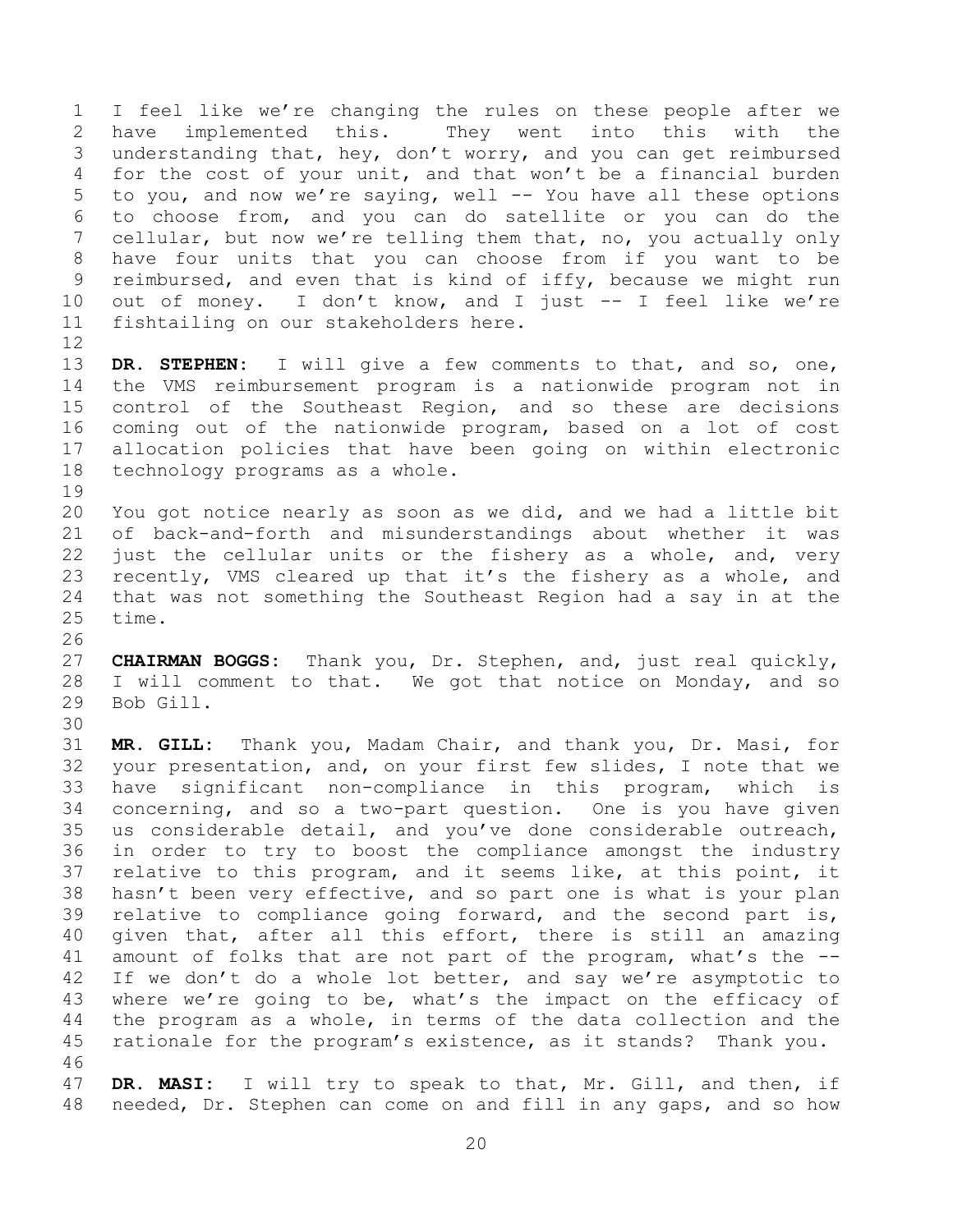I feel like we're changing the rules on these people after we have implemented this. They went into this with the understanding that, hey, don't worry, and you can get reimbursed for the cost of your unit, and that won't be a financial burden to you, and now we're saying, well -- You have all these options to choose from, and you can do satellite or you can do the cellular, but now we're telling them that, no, you actually only have four units that you can choose from if you want to be reimbursed, and even that is kind of iffy, because we might run out of money. I don't know, and I just -- I feel like we're fishtailing on our stakeholders here.

 **DR. STEPHEN:** I will give a few comments to that, and so, one, the VMS reimbursement program is a nationwide program not in control of the Southeast Region, and so these are decisions coming out of the nationwide program, based on a lot of cost allocation policies that have been going on within electronic technology programs as a whole.

- You got notice nearly as soon as we did, and we had a little bit of back-and-forth and misunderstandings about whether it was 22 just the cellular units or the fishery as a whole, and, very recently, VMS cleared up that it's the fishery as a whole, and that was not something the Southeast Region had a say in at the time.
- **CHAIRMAN BOGGS:** Thank you, Dr. Stephen, and, just real quickly, I will comment to that. We got that notice on Monday, and so Bob Gill.
- **MR. GILL:** Thank you, Madam Chair, and thank you, Dr. Masi, for your presentation, and, on your first few slides, I note that we have significant non-compliance in this program, which is concerning, and so a two-part question. One is you have given us considerable detail, and you've done considerable outreach, in order to try to boost the compliance amongst the industry relative to this program, and it seems like, at this point, it hasn't been very effective, and so part one is what is your plan relative to compliance going forward, and the second part is, given that, after all this effort, there is still an amazing amount of folks that are not part of the program, what's the -- 42 If we don't do a whole lot better, and say we're asymptotic to where we're going to be, what's the impact on the efficacy of the program as a whole, in terms of the data collection and the rationale for the program's existence, as it stands? Thank you.
- **DR. MASI:** I will try to speak to that, Mr. Gill, and then, if needed, Dr. Stephen can come on and fill in any gaps, and so how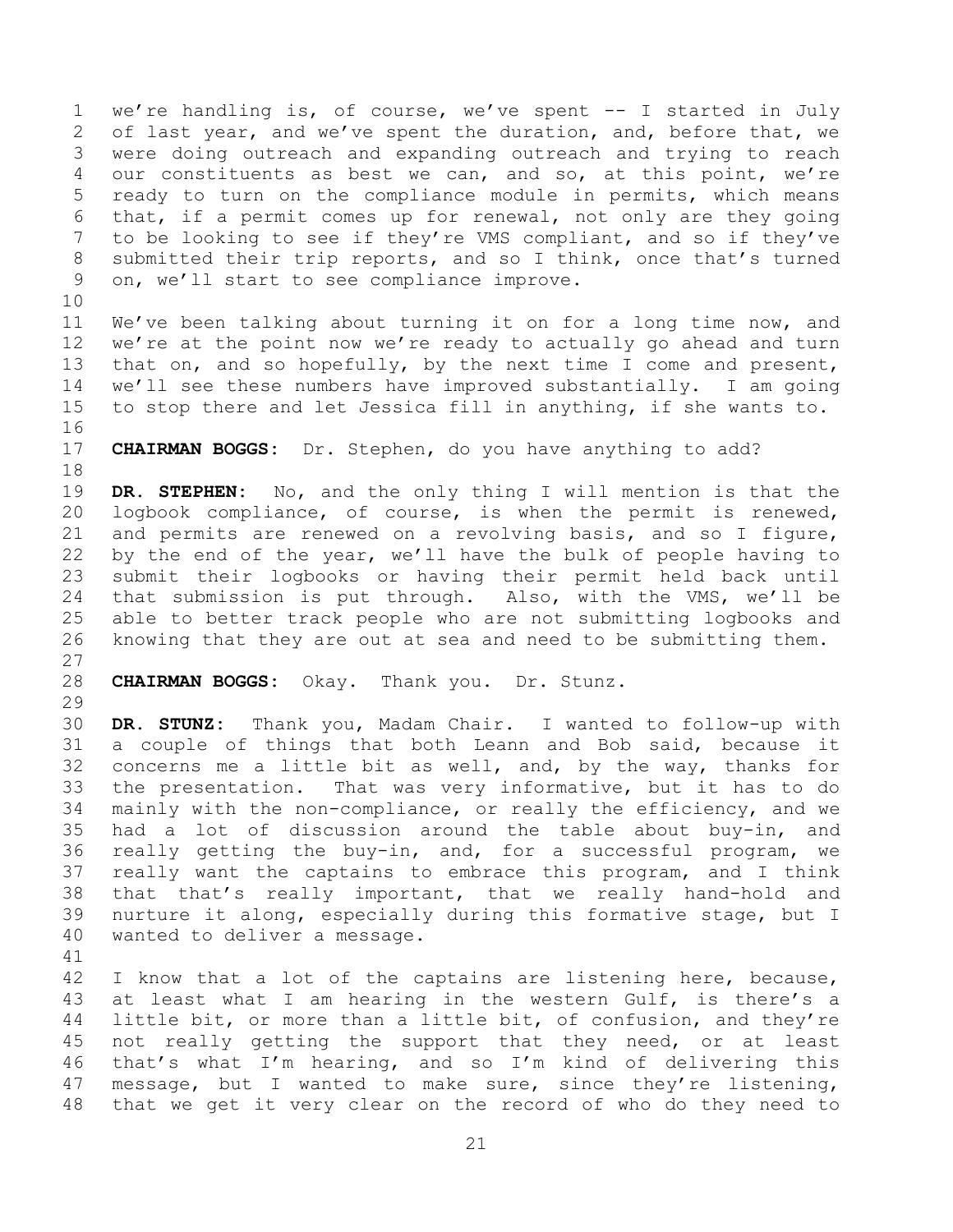we're handling is, of course, we've spent -- I started in July of last year, and we've spent the duration, and, before that, we were doing outreach and expanding outreach and trying to reach our constituents as best we can, and so, at this point, we're ready to turn on the compliance module in permits, which means that, if a permit comes up for renewal, not only are they going to be looking to see if they're VMS compliant, and so if they've submitted their trip reports, and so I think, once that's turned on, we'll start to see compliance improve.

 We've been talking about turning it on for a long time now, and we're at the point now we're ready to actually go ahead and turn that on, and so hopefully, by the next time I come and present, we'll see these numbers have improved substantially. I am going to stop there and let Jessica fill in anything, if she wants to. 

**CHAIRMAN BOGGS:** Dr. Stephen, do you have anything to add?

 **DR. STEPHEN:** No, and the only thing I will mention is that the logbook compliance, of course, is when the permit is renewed, and permits are renewed on a revolving basis, and so I figure, by the end of the year, we'll have the bulk of people having to submit their logbooks or having their permit held back until that submission is put through. Also, with the VMS, we'll be able to better track people who are not submitting logbooks and knowing that they are out at sea and need to be submitting them. 

**CHAIRMAN BOGGS:** Okay. Thank you. Dr. Stunz.

 **DR. STUNZ:** Thank you, Madam Chair. I wanted to follow-up with a couple of things that both Leann and Bob said, because it concerns me a little bit as well, and, by the way, thanks for the presentation. That was very informative, but it has to do mainly with the non-compliance, or really the efficiency, and we had a lot of discussion around the table about buy-in, and really getting the buy-in, and, for a successful program, we really want the captains to embrace this program, and I think that that's really important, that we really hand-hold and nurture it along, especially during this formative stage, but I wanted to deliver a message.

 I know that a lot of the captains are listening here, because, at least what I am hearing in the western Gulf, is there's a little bit, or more than a little bit, of confusion, and they're 45 not really getting the support that they need, or at least that's what I'm hearing, and so I'm kind of delivering this message, but I wanted to make sure, since they're listening, that we get it very clear on the record of who do they need to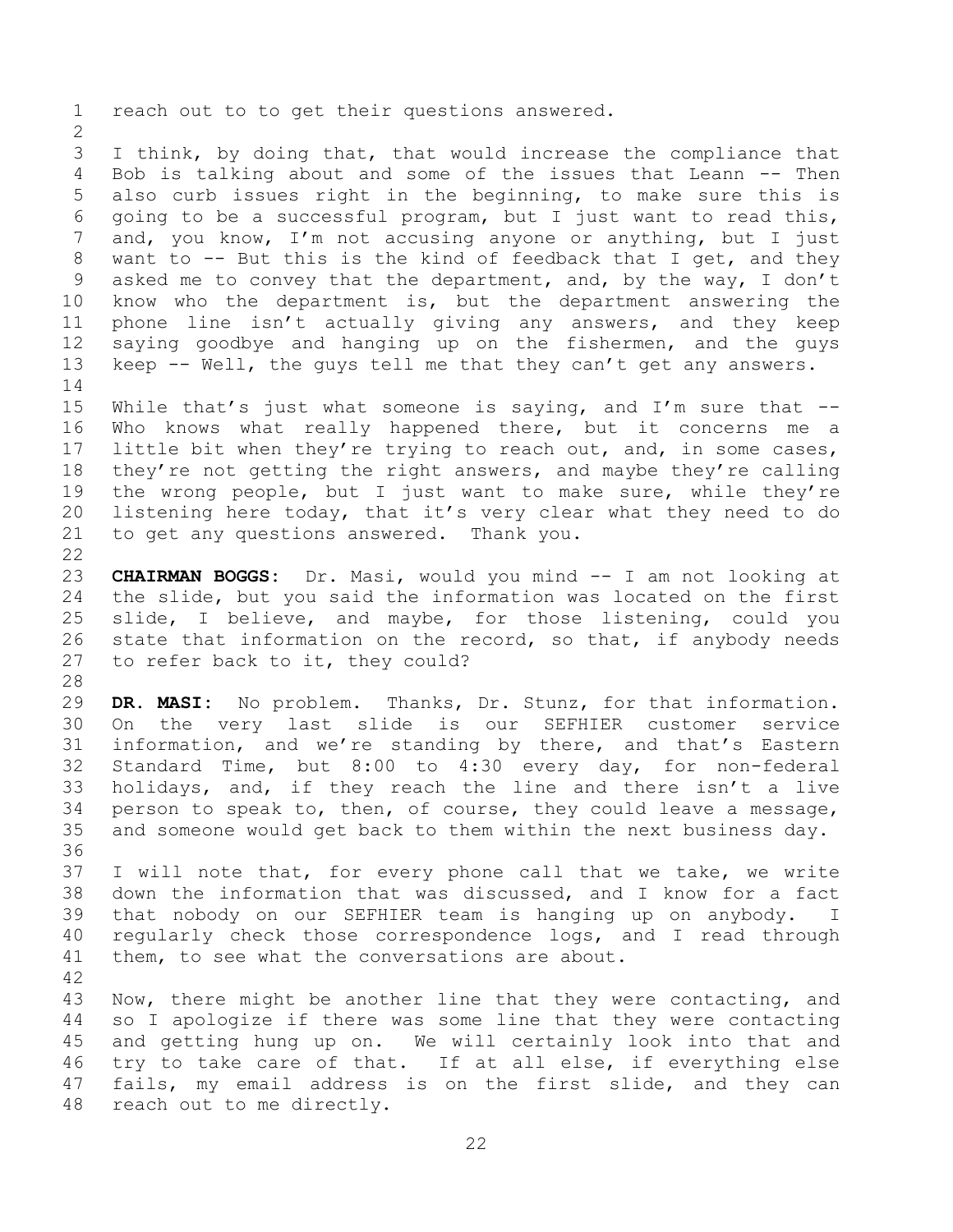reach out to to get their questions answered. I think, by doing that, that would increase the compliance that Bob is talking about and some of the issues that Leann -- Then also curb issues right in the beginning, to make sure this is going to be a successful program, but I just want to read this, and, you know, I'm not accusing anyone or anything, but I just want to -- But this is the kind of feedback that I get, and they asked me to convey that the department, and, by the way, I don't know who the department is, but the department answering the phone line isn't actually giving any answers, and they keep saying goodbye and hanging up on the fishermen, and the guys 13 keep -- Well, the guys tell me that they can't get any answers. While that's just what someone is saying, and I'm sure that -- Who knows what really happened there, but it concerns me a little bit when they're trying to reach out, and, in some cases, they're not getting the right answers, and maybe they're calling the wrong people, but I just want to make sure, while they're listening here today, that it's very clear what they need to do to get any questions answered. Thank you. **CHAIRMAN BOGGS:** Dr. Masi, would you mind -- I am not looking at the slide, but you said the information was located on the first slide, I believe, and maybe, for those listening, could you state that information on the record, so that, if anybody needs to refer back to it, they could? **DR. MASI:** No problem. Thanks, Dr. Stunz, for that information. On the very last slide is our SEFHIER customer service information, and we're standing by there, and that's Eastern Standard Time, but 8:00 to 4:30 every day, for non-federal holidays, and, if they reach the line and there isn't a live person to speak to, then, of course, they could leave a message, and someone would get back to them within the next business day. I will note that, for every phone call that we take, we write down the information that was discussed, and I know for a fact that nobody on our SEFHIER team is hanging up on anybody. I regularly check those correspondence logs, and I read through 41 them, to see what the conversations are about. Now, there might be another line that they were contacting, and so I apologize if there was some line that they were contacting and getting hung up on. We will certainly look into that and try to take care of that. If at all else, if everything else fails, my email address is on the first slide, and they can reach out to me directly.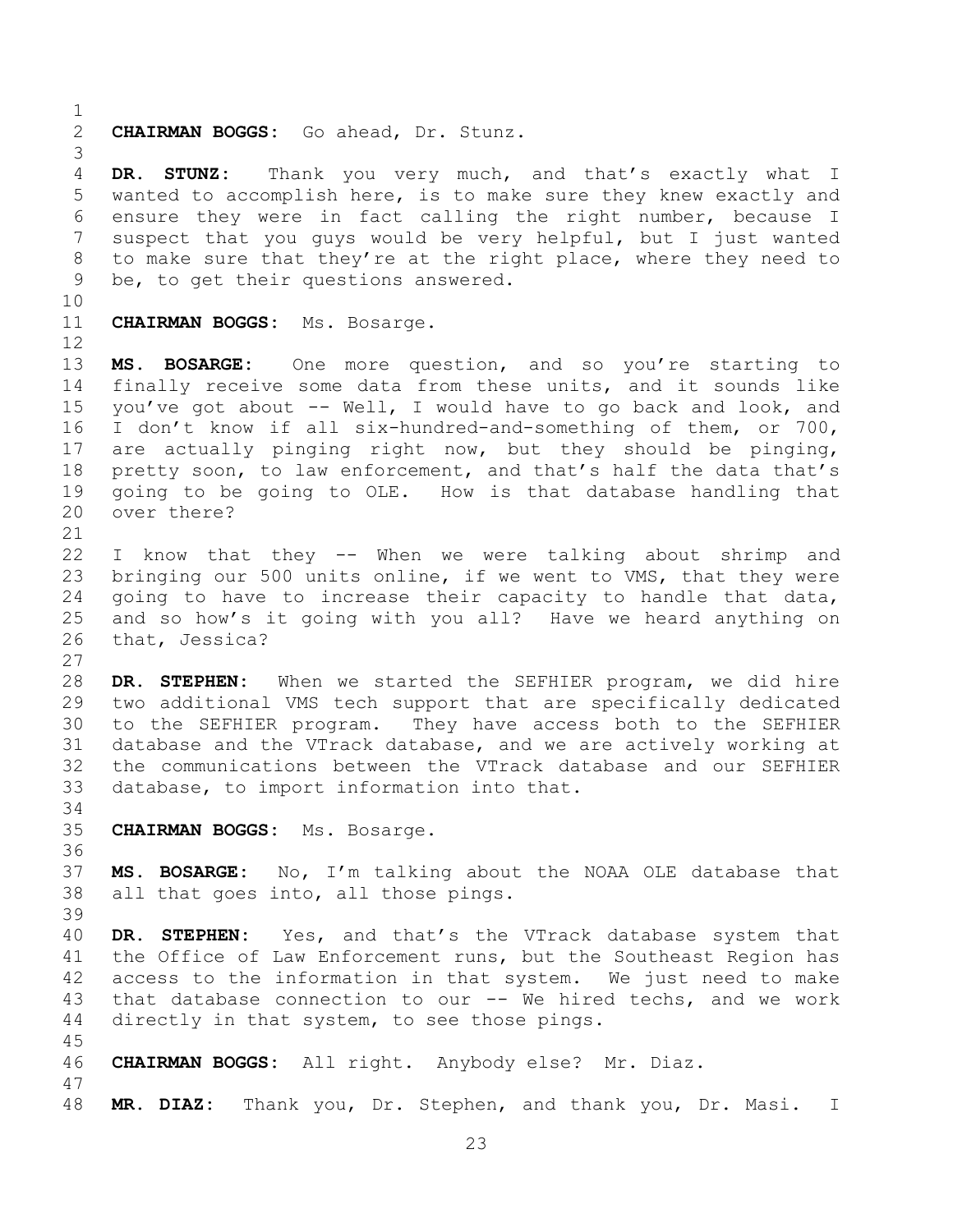**CHAIRMAN BOGGS:** Go ahead, Dr. Stunz. **DR. STUNZ:** Thank you very much, and that's exactly what I wanted to accomplish here, is to make sure they knew exactly and ensure they were in fact calling the right number, because I suspect that you guys would be very helpful, but I just wanted to make sure that they're at the right place, where they need to be, to get their questions answered. **CHAIRMAN BOGGS:** Ms. Bosarge. **MS. BOSARGE:** One more question, and so you're starting to finally receive some data from these units, and it sounds like you've got about -- Well, I would have to go back and look, and I don't know if all six-hundred-and-something of them, or 700, are actually pinging right now, but they should be pinging, pretty soon, to law enforcement, and that's half the data that's going to be going to OLE. How is that database handling that over there? I know that they -- When we were talking about shrimp and bringing our 500 units online, if we went to VMS, that they were going to have to increase their capacity to handle that data, and so how's it going with you all? Have we heard anything on that, Jessica? **DR. STEPHEN:** When we started the SEFHIER program, we did hire two additional VMS tech support that are specifically dedicated to the SEFHIER program. They have access both to the SEFHIER database and the VTrack database, and we are actively working at the communications between the VTrack database and our SEFHIER database, to import information into that. **CHAIRMAN BOGGS:** Ms. Bosarge. **MS. BOSARGE:** No, I'm talking about the NOAA OLE database that all that goes into, all those pings. **DR. STEPHEN:** Yes, and that's the VTrack database system that the Office of Law Enforcement runs, but the Southeast Region has access to the information in that system. We just need to make that database connection to our -- We hired techs, and we work directly in that system, to see those pings. **CHAIRMAN BOGGS:** All right. Anybody else? Mr. Diaz. **MR. DIAZ:** Thank you, Dr. Stephen, and thank you, Dr. Masi. I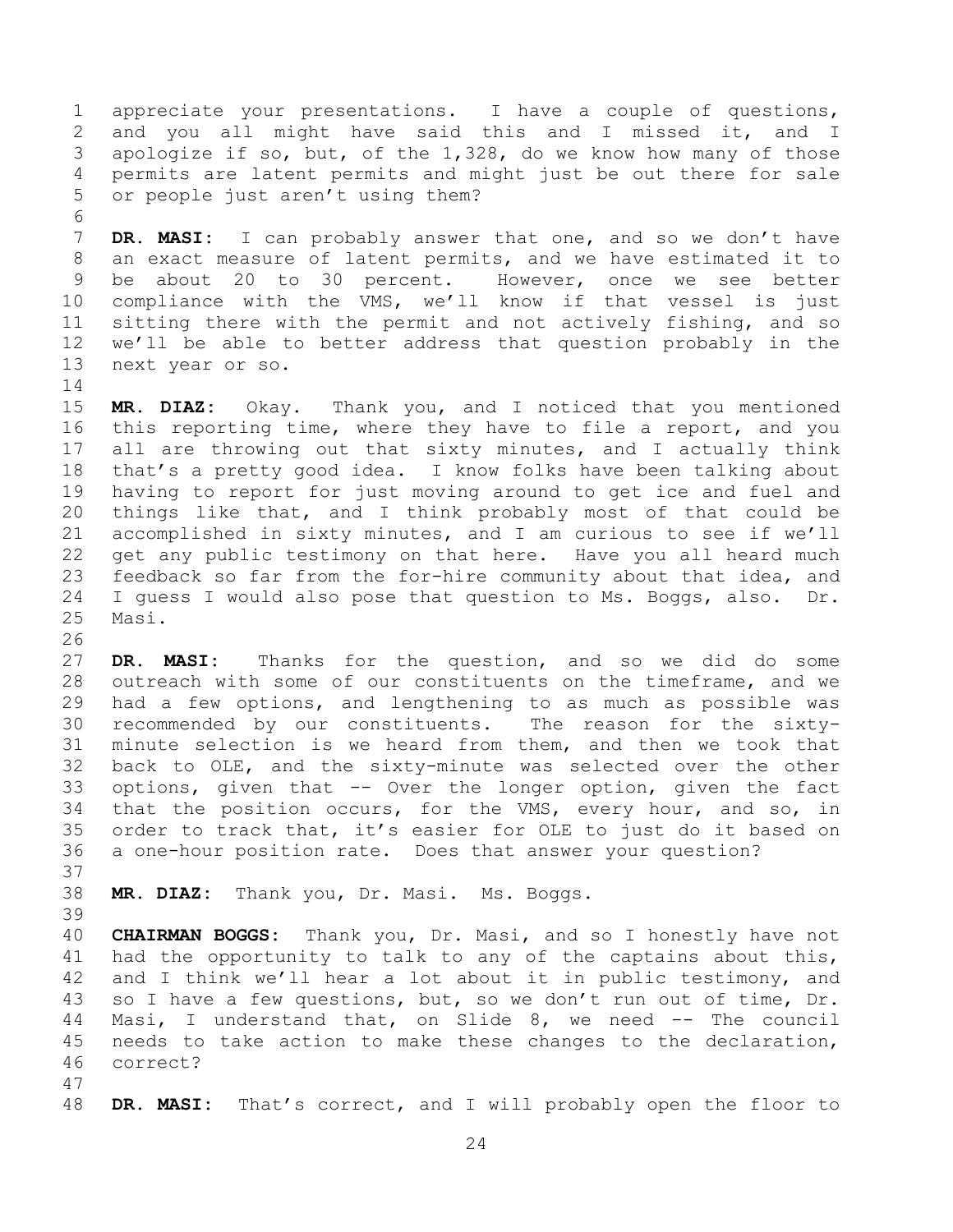appreciate your presentations. I have a couple of questions, and you all might have said this and I missed it, and I apologize if so, but, of the 1,328, do we know how many of those permits are latent permits and might just be out there for sale or people just aren't using them?

 **DR. MASI:** I can probably answer that one, and so we don't have an exact measure of latent permits, and we have estimated it to be about 20 to 30 percent. However, once we see better compliance with the VMS, we'll know if that vessel is just sitting there with the permit and not actively fishing, and so we'll be able to better address that question probably in the next year or so.

 **MR. DIAZ:** Okay. Thank you, and I noticed that you mentioned this reporting time, where they have to file a report, and you all are throwing out that sixty minutes, and I actually think that's a pretty good idea. I know folks have been talking about having to report for just moving around to get ice and fuel and things like that, and I think probably most of that could be accomplished in sixty minutes, and I am curious to see if we'll get any public testimony on that here. Have you all heard much feedback so far from the for-hire community about that idea, and I guess I would also pose that question to Ms. Boggs, also. Dr. Masi. 

 **DR. MASI:** Thanks for the question, and so we did do some outreach with some of our constituents on the timeframe, and we had a few options, and lengthening to as much as possible was recommended by our constituents. The reason for the sixty- minute selection is we heard from them, and then we took that back to OLE, and the sixty-minute was selected over the other options, given that -- Over the longer option, given the fact that the position occurs, for the VMS, every hour, and so, in order to track that, it's easier for OLE to just do it based on a one-hour position rate. Does that answer your question?

**MR. DIAZ:** Thank you, Dr. Masi. Ms. Boggs.

 **CHAIRMAN BOGGS:** Thank you, Dr. Masi, and so I honestly have not had the opportunity to talk to any of the captains about this, and I think we'll hear a lot about it in public testimony, and so I have a few questions, but, so we don't run out of time, Dr. Masi, I understand that, on Slide 8, we need -- The council needs to take action to make these changes to the declaration, correct?

**DR. MASI:** That's correct, and I will probably open the floor to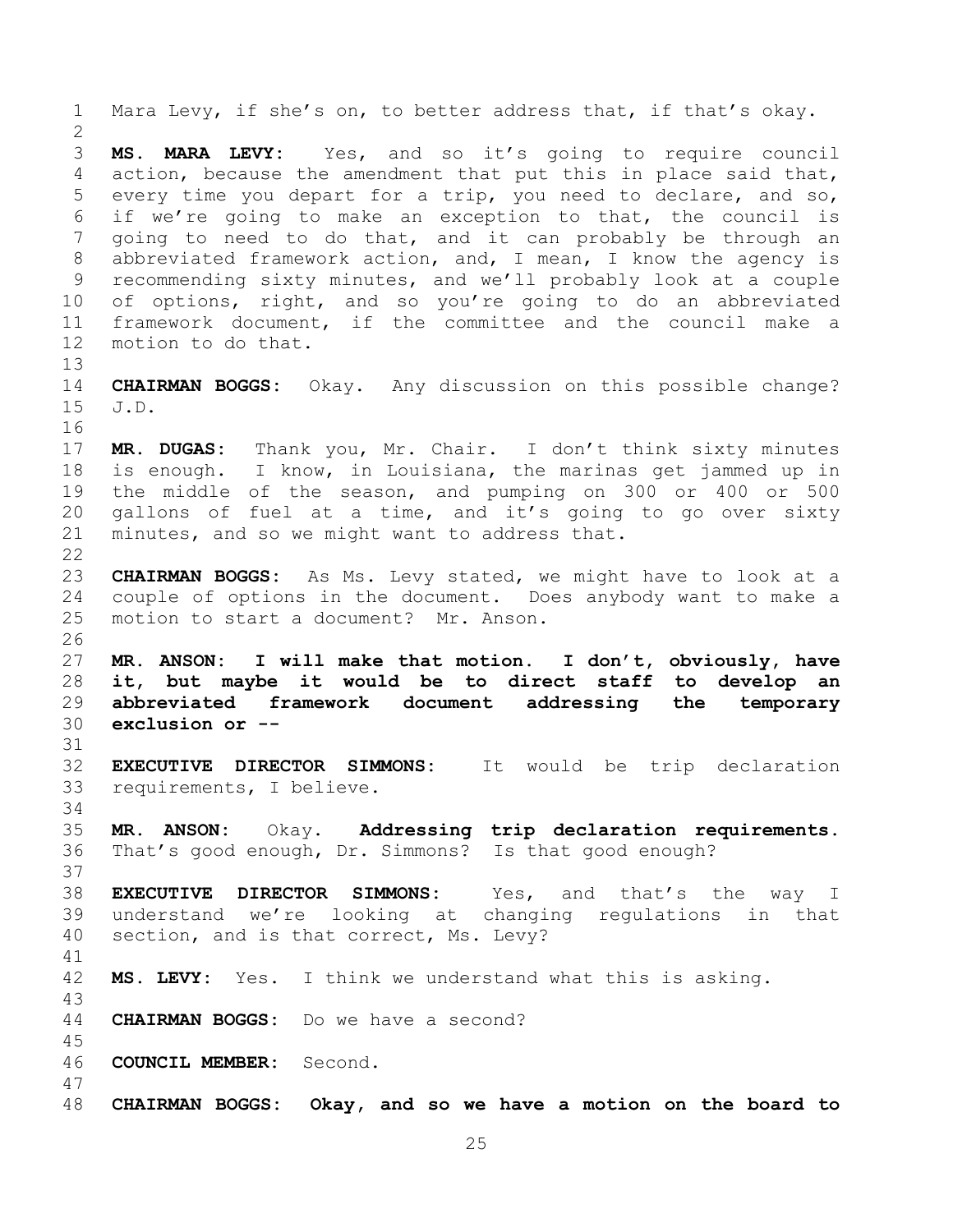<span id="page-24-0"></span> Mara Levy, if she's on, to better address that, if that's okay. **MS. MARA LEVY:** Yes, and so it's going to require council action, because the amendment that put this in place said that, every time you depart for a trip, you need to declare, and so, if we're going to make an exception to that, the council is going to need to do that, and it can probably be through an abbreviated framework action, and, I mean, I know the agency is recommending sixty minutes, and we'll probably look at a couple of options, right, and so you're going to do an abbreviated framework document, if the committee and the council make a motion to do that. **CHAIRMAN BOGGS:** Okay. Any discussion on this possible change? J.D. **MR. DUGAS:** Thank you, Mr. Chair. I don't think sixty minutes is enough. I know, in Louisiana, the marinas get jammed up in the middle of the season, and pumping on 300 or 400 or 500 gallons of fuel at a time, and it's going to go over sixty minutes, and so we might want to address that. **CHAIRMAN BOGGS:** As Ms. Levy stated, we might have to look at a couple of options in the document. Does anybody want to make a motion to start a document? Mr. Anson. **MR. ANSON: I will make that motion. I don't, obviously, have it, but maybe it would be to direct staff to develop an abbreviated framework document addressing the temporary exclusion or -- EXECUTIVE DIRECTOR SIMMONS:** It would be trip declaration requirements, I believe. **MR. ANSON:** Okay. **Addressing trip declaration requirements.**  That's good enough, Dr. Simmons? Is that good enough? **EXECUTIVE DIRECTOR SIMMONS:** Yes, and that's the way I understand we're looking at changing regulations in that section, and is that correct, Ms. Levy? **MS. LEVY:** Yes. I think we understand what this is asking. **CHAIRMAN BOGGS:** Do we have a second? **COUNCIL MEMBER:** Second. **CHAIRMAN BOGGS: Okay, and so we have a motion on the board to**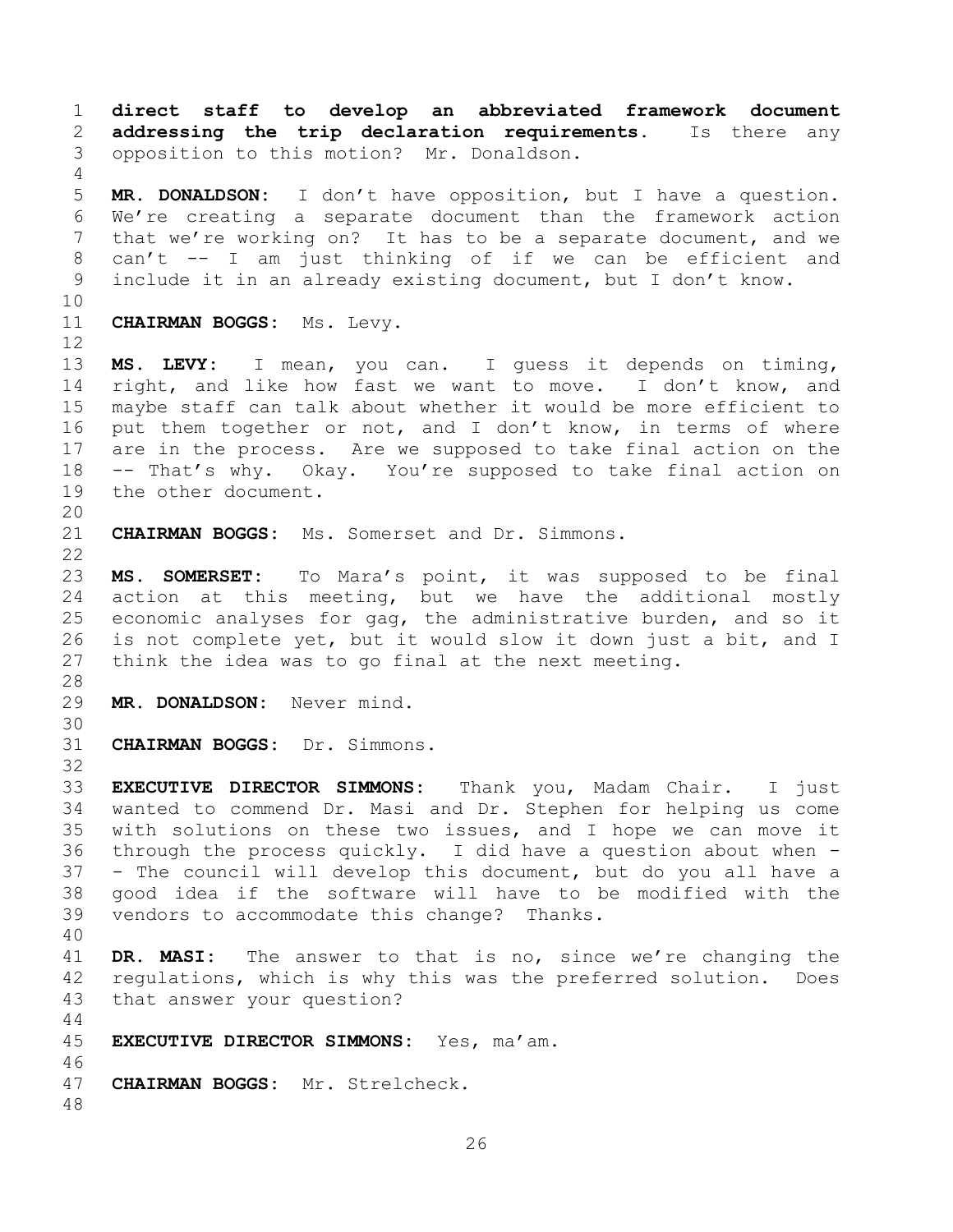**direct staff to develop an abbreviated framework document addressing the trip declaration requirements.** Is there any opposition to this motion?Mr. Donaldson. **MR. DONALDSON:** I don't have opposition, but I have a question. We're creating a separate document than the framework action that we're working on? It has to be a separate document, and we can't -- I am just thinking of if we can be efficient and include it in an already existing document, but I don't know. **CHAIRMAN BOGGS:** Ms. Levy. **MS. LEVY:** I mean, you can. I guess it depends on timing, right, and like how fast we want to move. I don't know, and maybe staff can talk about whether it would be more efficient to put them together or not, and I don't know, in terms of where are in the process. Are we supposed to take final action on the -- That's why. Okay. You're supposed to take final action on the other document. **CHAIRMAN BOGGS:** Ms. Somerset and Dr. Simmons. **MS. SOMERSET:** To Mara's point, it was supposed to be final action at this meeting, but we have the additional mostly economic analyses for gag, the administrative burden, and so it is not complete yet, but it would slow it down just a bit, and I think the idea was to go final at the next meeting. **MR. DONALDSON:** Never mind. **CHAIRMAN BOGGS:** Dr. Simmons. **EXECUTIVE DIRECTOR SIMMONS:** Thank you, Madam Chair. I just wanted to commend Dr. Masi and Dr. Stephen for helping us come with solutions on these two issues, and I hope we can move it through the process quickly. I did have a question about when - - The council will develop this document, but do you all have a good idea if the software will have to be modified with the vendors to accommodate this change? Thanks. **DR. MASI:** The answer to that is no, since we're changing the regulations, which is why this was the preferred solution. Does that answer your question? **EXECUTIVE DIRECTOR SIMMONS:** Yes, ma'am. **CHAIRMAN BOGGS:** Mr. Strelcheck.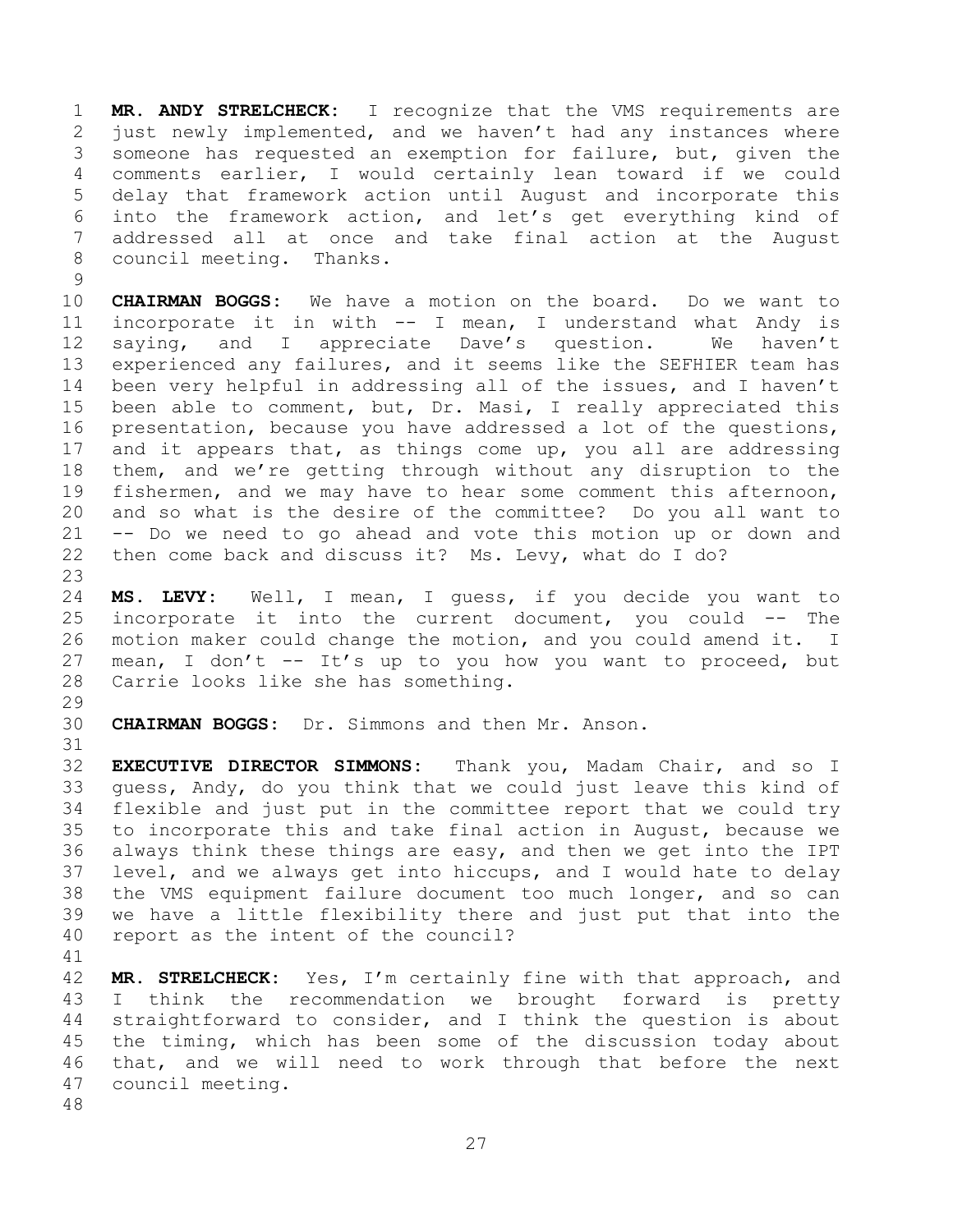**MR. ANDY STRELCHECK:** I recognize that the VMS requirements are just newly implemented, and we haven't had any instances where someone has requested an exemption for failure, but, given the comments earlier, I would certainly lean toward if we could delay that framework action until August and incorporate this into the framework action, and let's get everything kind of addressed all at once and take final action at the August council meeting. Thanks.

 **CHAIRMAN BOGGS:** We have a motion on the board. Do we want to incorporate it in with -- I mean, I understand what Andy is saying, and I appreciate Dave's question. We haven't experienced any failures, and it seems like the SEFHIER team has been very helpful in addressing all of the issues, and I haven't been able to comment, but, Dr. Masi, I really appreciated this presentation, because you have addressed a lot of the questions, and it appears that, as things come up, you all are addressing them, and we're getting through without any disruption to the fishermen, and we may have to hear some comment this afternoon, and so what is the desire of the committee? Do you all want to -- Do we need to go ahead and vote this motion up or down and then come back and discuss it? Ms. Levy, what do I do? 

 **MS. LEVY:** Well, I mean, I guess, if you decide you want to incorporate it into the current document, you could -- The motion maker could change the motion, and you could amend it. I 27 mean, I don't  $--$  It's up to you how you want to proceed, but Carrie looks like she has something.

**CHAIRMAN BOGGS:** Dr. Simmons and then Mr. Anson.

 **EXECUTIVE DIRECTOR SIMMONS:** Thank you, Madam Chair, and so I guess, Andy, do you think that we could just leave this kind of flexible and just put in the committee report that we could try to incorporate this and take final action in August, because we always think these things are easy, and then we get into the IPT level, and we always get into hiccups, and I would hate to delay the VMS equipment failure document too much longer, and so can we have a little flexibility there and just put that into the report as the intent of the council?

 **MR. STRELCHECK:** Yes, I'm certainly fine with that approach, and I think the recommendation we brought forward is pretty straightforward to consider, and I think the question is about the timing, which has been some of the discussion today about that, and we will need to work through that before the next council meeting.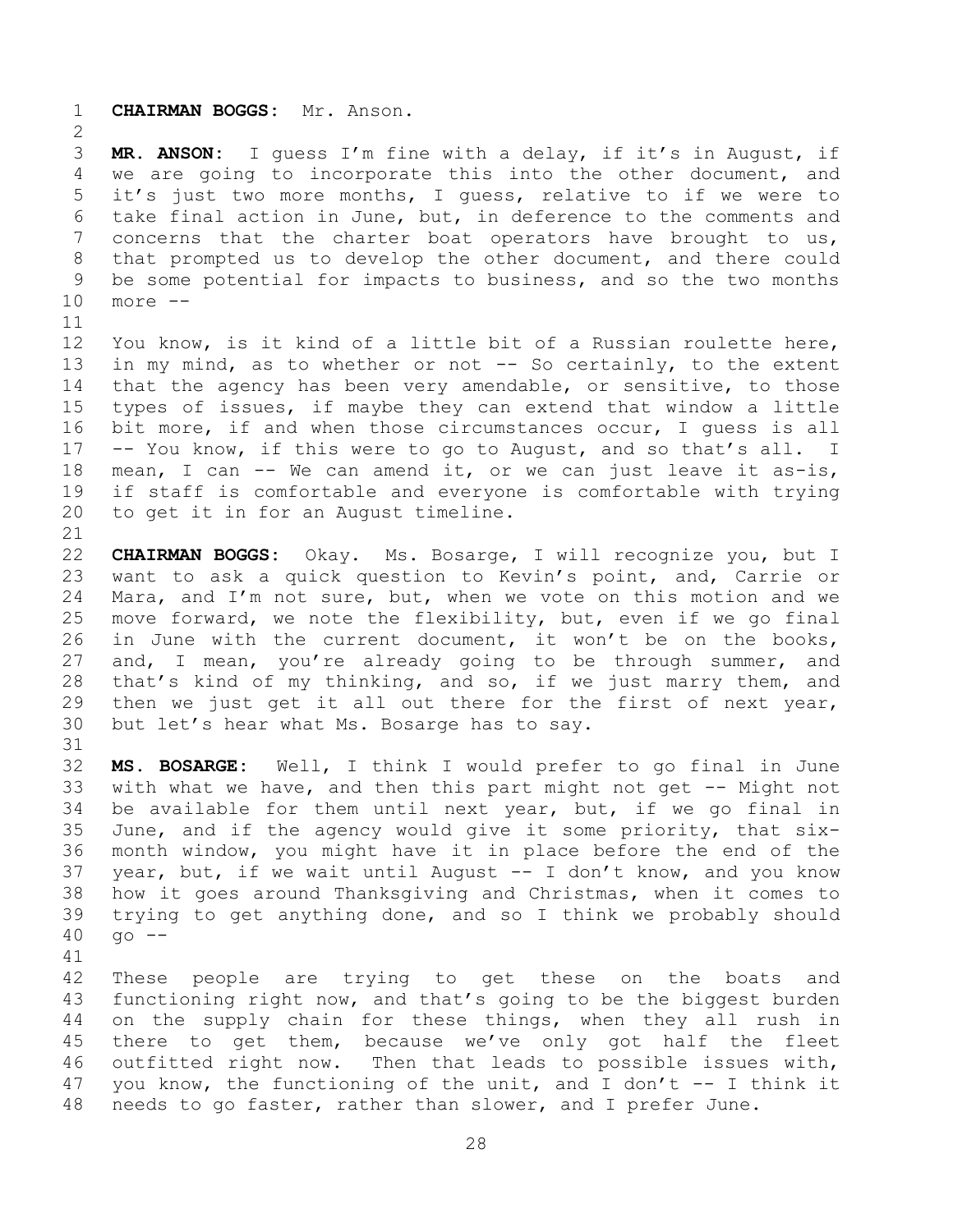**CHAIRMAN BOGGS:** Mr. Anson.

 **MR. ANSON:** I guess I'm fine with a delay, if it's in August, if we are going to incorporate this into the other document, and it's just two more months, I guess, relative to if we were to take final action in June, but, in deference to the comments and concerns that the charter boat operators have brought to us, that prompted us to develop the other document, and there could be some potential for impacts to business, and so the two months more --

 You know, is it kind of a little bit of a Russian roulette here, 13 in my mind, as to whether or not -- So certainly, to the extent that the agency has been very amendable, or sensitive, to those types of issues, if maybe they can extend that window a little bit more, if and when those circumstances occur, I guess is all -- You know, if this were to go to August, and so that's all. I mean, I can -- We can amend it, or we can just leave it as-is, if staff is comfortable and everyone is comfortable with trying to get it in for an August timeline.

 **CHAIRMAN BOGGS:** Okay. Ms. Bosarge, I will recognize you, but I want to ask a quick question to Kevin's point, and, Carrie or Mara, and I'm not sure, but, when we vote on this motion and we move forward, we note the flexibility, but, even if we go final in June with the current document, it won't be on the books, 27 and, I mean, you're already going to be through summer, and that's kind of my thinking, and so, if we just marry them, and then we just get it all out there for the first of next year, but let's hear what Ms. Bosarge has to say.

 **MS. BOSARGE:** Well, I think I would prefer to go final in June with what we have, and then this part might not get -- Might not be available for them until next year, but, if we go final in June, and if the agency would give it some priority, that six- month window, you might have it in place before the end of the year, but, if we wait until August -- I don't know, and you know how it goes around Thanksgiving and Christmas, when it comes to trying to get anything done, and so I think we probably should go --

 These people are trying to get these on the boats and functioning right now, and that's going to be the biggest burden on the supply chain for these things, when they all rush in there to get them, because we've only got half the fleet outfitted right now. Then that leads to possible issues with, 47 you know, the functioning of the unit, and I don't -- I think it needs to go faster, rather than slower, and I prefer June.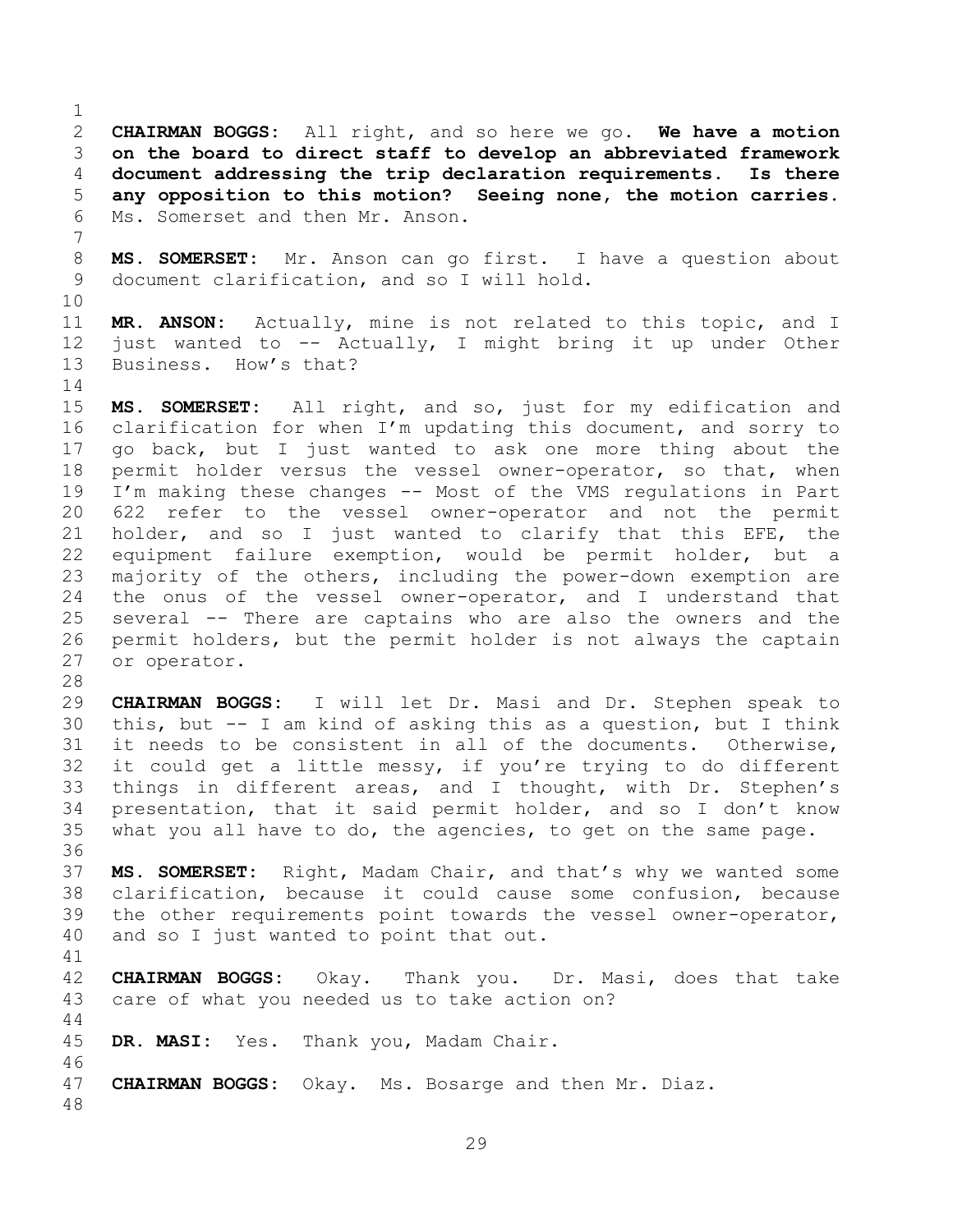**CHAIRMAN BOGGS:** All right, and so here we go. **We have a motion on the board to direct staff to develop an abbreviated framework document addressing the trip declaration requirements. Is there any opposition to this motion? Seeing none, the motion carries.** Ms. Somerset and then Mr. Anson.

 **MS. SOMERSET:** Mr. Anson can go first. I have a question about document clarification, and so I will hold.

 **MR. ANSON:** Actually, mine is not related to this topic, and I just wanted to -- Actually, I might bring it up under Other Business. How's that?

 **MS. SOMERSET:** All right, and so, just for my edification and clarification for when I'm updating this document, and sorry to go back, but I just wanted to ask one more thing about the permit holder versus the vessel owner-operator, so that, when I'm making these changes -- Most of the VMS regulations in Part 622 refer to the vessel owner-operator and not the permit holder, and so I just wanted to clarify that this EFE, the equipment failure exemption, would be permit holder, but a majority of the others, including the power-down exemption are the onus of the vessel owner-operator, and I understand that several -- There are captains who are also the owners and the permit holders, but the permit holder is not always the captain or operator.

 **CHAIRMAN BOGGS:** I will let Dr. Masi and Dr. Stephen speak to this, but -- I am kind of asking this as a question, but I think it needs to be consistent in all of the documents. Otherwise, it could get a little messy, if you're trying to do different things in different areas, and I thought, with Dr. Stephen's presentation, that it said permit holder, and so I don't know what you all have to do, the agencies, to get on the same page.

 **MS. SOMERSET:** Right, Madam Chair, and that's why we wanted some clarification, because it could cause some confusion, because the other requirements point towards the vessel owner-operator, and so I just wanted to point that out.

<span id="page-28-0"></span>

 **CHAIRMAN BOGGS:** Okay. Thank you. Dr. Masi, does that take care of what you needed us to take action on? 

**DR. MASI:** Yes. Thank you, Madam Chair.

**CHAIRMAN BOGGS:** Okay. Ms. Bosarge and then Mr. Diaz.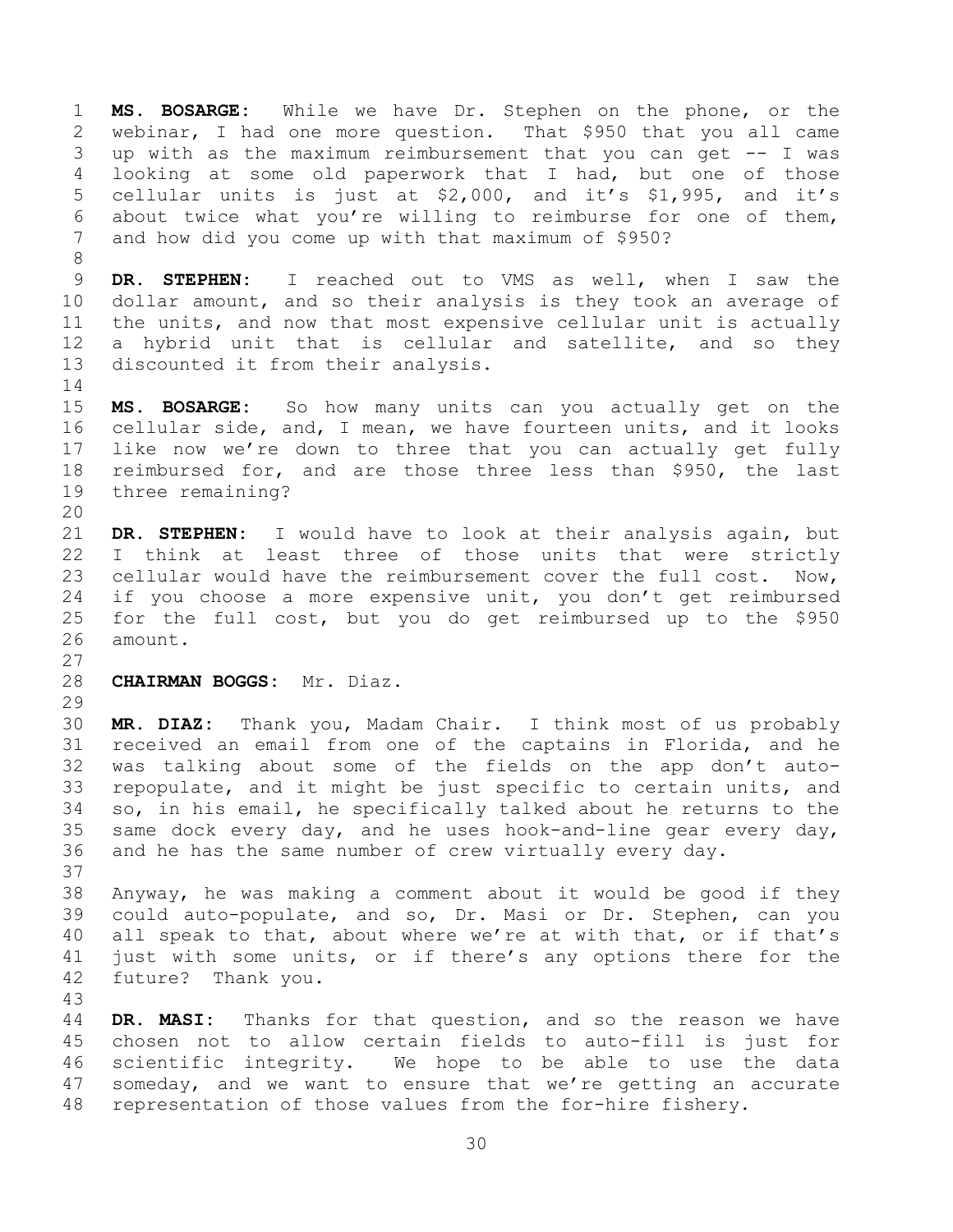**MS. BOSARGE:** While we have Dr. Stephen on the phone, or the webinar, I had one more question. That \$950 that you all came up with as the maximum reimbursement that you can get -- I was looking at some old paperwork that I had, but one of those cellular units is just at \$2,000, and it's \$1,995, and it's about twice what you're willing to reimburse for one of them, and how did you come up with that maximum of \$950?

 **DR. STEPHEN:** I reached out to VMS as well, when I saw the dollar amount, and so their analysis is they took an average of the units, and now that most expensive cellular unit is actually a hybrid unit that is cellular and satellite, and so they discounted it from their analysis.

 **MS. BOSARGE:** So how many units can you actually get on the cellular side, and, I mean, we have fourteen units, and it looks like now we're down to three that you can actually get fully reimbursed for, and are those three less than \$950, the last three remaining?

 **DR. STEPHEN:** I would have to look at their analysis again, but I think at least three of those units that were strictly cellular would have the reimbursement cover the full cost. Now, if you choose a more expensive unit, you don't get reimbursed for the full cost, but you do get reimbursed up to the \$950 amount.

## **CHAIRMAN BOGGS:** Mr. Diaz.

 **MR. DIAZ:** Thank you, Madam Chair. I think most of us probably received an email from one of the captains in Florida, and he was talking about some of the fields on the app don't auto- repopulate, and it might be just specific to certain units, and so, in his email, he specifically talked about he returns to the same dock every day, and he uses hook-and-line gear every day, and he has the same number of crew virtually every day. 

 Anyway, he was making a comment about it would be good if they could auto-populate, and so, Dr. Masi or Dr. Stephen, can you all speak to that, about where we're at with that, or if that's just with some units, or if there's any options there for the future? Thank you.

 **DR. MASI:** Thanks for that question, and so the reason we have chosen not to allow certain fields to auto-fill is just for scientific integrity. We hope to be able to use the data someday, and we want to ensure that we're getting an accurate representation of those values from the for-hire fishery.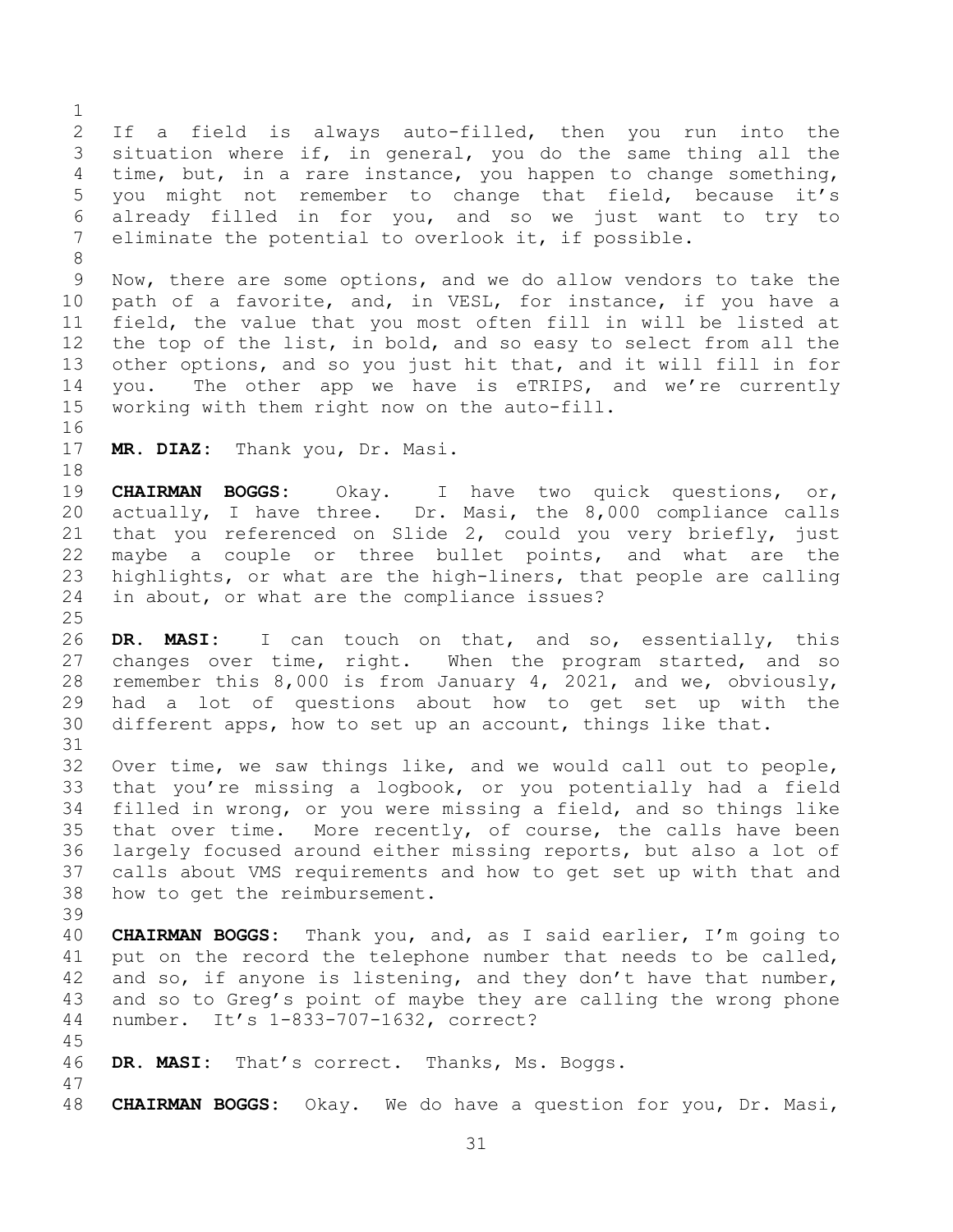If a field is always auto-filled, then you run into the situation where if, in general, you do the same thing all the time, but, in a rare instance, you happen to change something, you might not remember to change that field, because it's already filled in for you, and so we just want to try to eliminate the potential to overlook it, if possible.

 Now, there are some options, and we do allow vendors to take the path of a favorite, and, in VESL, for instance, if you have a field, the value that you most often fill in will be listed at the top of the list, in bold, and so easy to select from all the other options, and so you just hit that, and it will fill in for you. The other app we have is eTRIPS, and we're currently working with them right now on the auto-fill.

**MR. DIAZ:** Thank you, Dr. Masi.

 **CHAIRMAN BOGGS:** Okay. I have two quick questions, or, actually, I have three. Dr. Masi, the 8,000 compliance calls that you referenced on Slide 2, could you very briefly, just maybe a couple or three bullet points, and what are the highlights, or what are the high-liners, that people are calling in about, or what are the compliance issues?

 **DR. MASI:** I can touch on that, and so, essentially, this changes over time, right. When the program started, and so remember this 8,000 is from January 4, 2021, and we, obviously, had a lot of questions about how to get set up with the different apps, how to set up an account, things like that.

 Over time, we saw things like, and we would call out to people, that you're missing a logbook, or you potentially had a field filled in wrong, or you were missing a field, and so things like 35 that over time. More recently, of course, the calls have been largely focused around either missing reports, but also a lot of calls about VMS requirements and how to get set up with that and how to get the reimbursement.

- **CHAIRMAN BOGGS:** Thank you, and, as I said earlier, I'm going to put on the record the telephone number that needs to be called, and so, if anyone is listening, and they don't have that number, and so to Greg's point of maybe they are calling the wrong phone number. It's 1-833-707-1632, correct?
- 

- **DR. MASI:** That's correct. Thanks, Ms. Boggs.
- 
- **CHAIRMAN BOGGS:** Okay. We do have a question for you, Dr. Masi,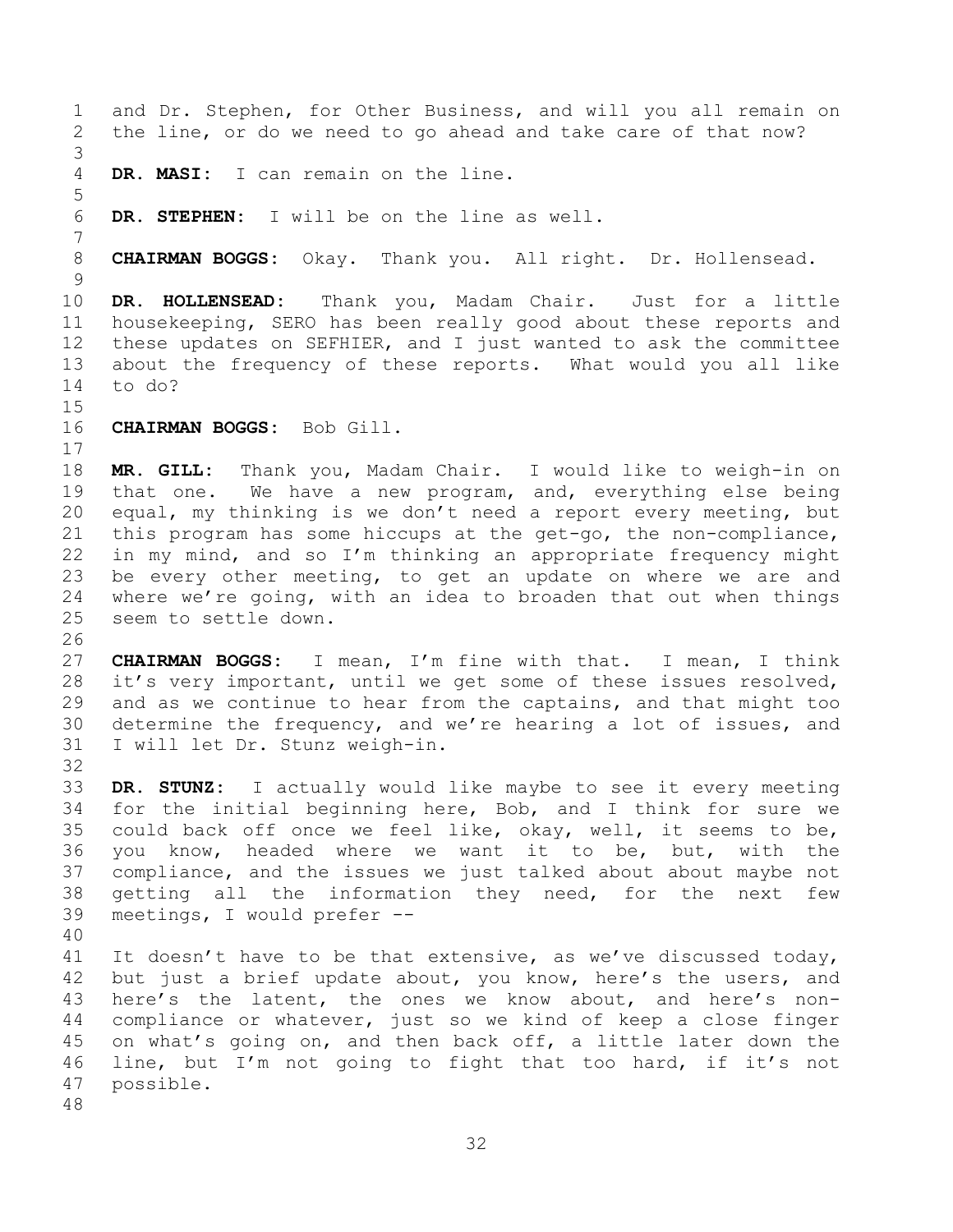and Dr. Stephen, for Other Business, and will you all remain on the line, or do we need to go ahead and take care of that now? **DR. MASI:** I can remain on the line. **DR. STEPHEN:** I will be on the line as well. **CHAIRMAN BOGGS:** Okay. Thank you. All right. Dr. Hollensead. **DR. HOLLENSEAD:** Thank you, Madam Chair. Just for a little housekeeping, SERO has been really good about these reports and these updates on SEFHIER, and I just wanted to ask the committee about the frequency of these reports. What would you all like to do? **CHAIRMAN BOGGS:** Bob Gill. **MR. GILL:** Thank you, Madam Chair. I would like to weigh-in on that one. We have a new program, and, everything else being equal, my thinking is we don't need a report every meeting, but this program has some hiccups at the get-go, the non-compliance, in my mind, and so I'm thinking an appropriate frequency might be every other meeting, to get an update on where we are and where we're going, with an idea to broaden that out when things seem to settle down. **CHAIRMAN BOGGS:** I mean, I'm fine with that. I mean, I think it's very important, until we get some of these issues resolved, and as we continue to hear from the captains, and that might too determine the frequency, and we're hearing a lot of issues, and I will let Dr. Stunz weigh-in. **DR. STUNZ:** I actually would like maybe to see it every meeting for the initial beginning here, Bob, and I think for sure we could back off once we feel like, okay, well, it seems to be, you know, headed where we want it to be, but, with the compliance, and the issues we just talked about about maybe not getting all the information they need, for the next few meetings, I would prefer -- It doesn't have to be that extensive, as we've discussed today, but just a brief update about, you know, here's the users, and here's the latent, the ones we know about, and here's non- compliance or whatever, just so we kind of keep a close finger on what's going on, and then back off, a little later down the line, but I'm not going to fight that too hard, if it's not possible.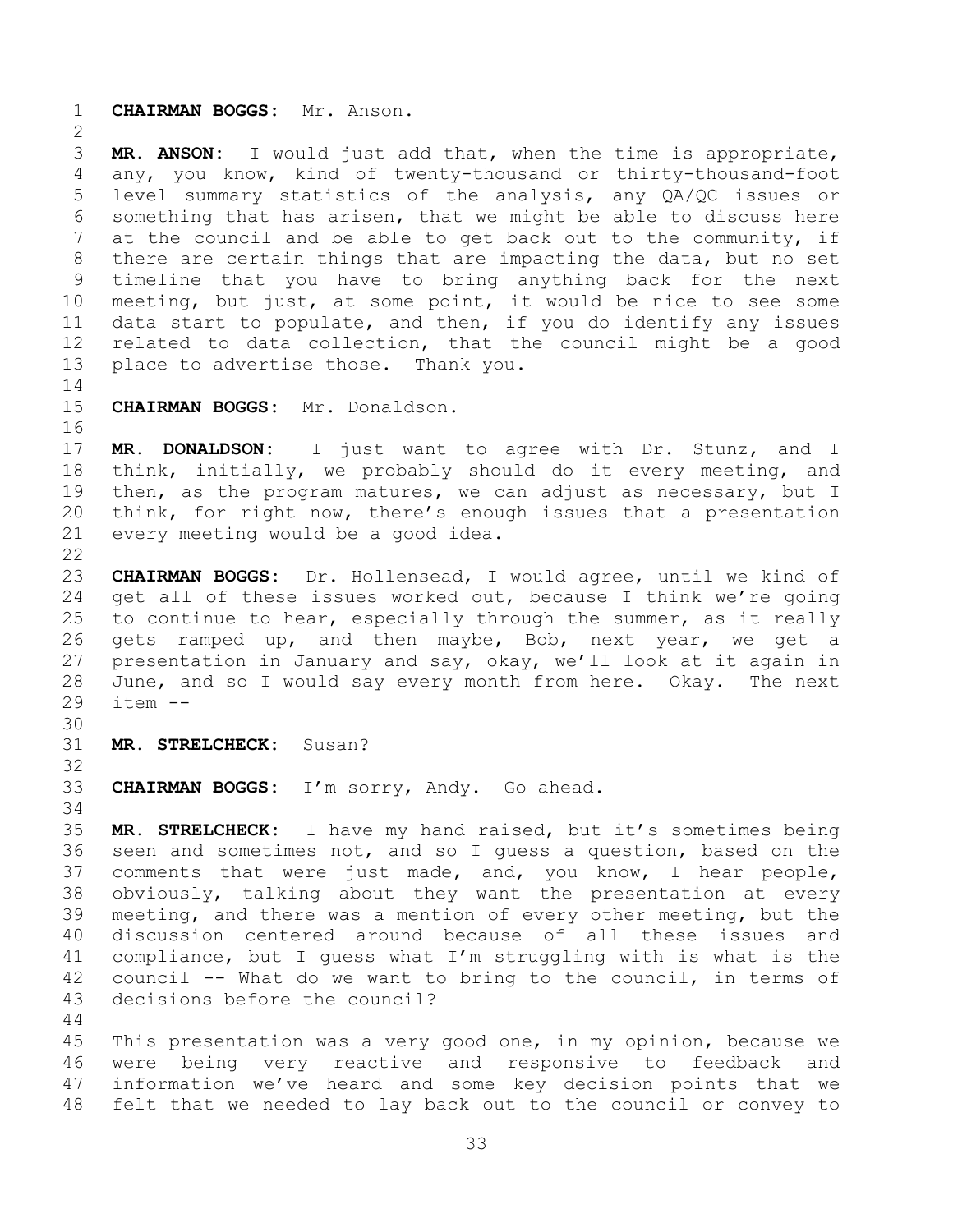**CHAIRMAN BOGGS:** Mr. Anson.

 **MR. ANSON:** I would just add that, when the time is appropriate, any, you know, kind of twenty-thousand or thirty-thousand-foot level summary statistics of the analysis, any QA/QC issues or something that has arisen, that we might be able to discuss here at the council and be able to get back out to the community, if there are certain things that are impacting the data, but no set timeline that you have to bring anything back for the next meeting, but just, at some point, it would be nice to see some data start to populate, and then, if you do identify any issues related to data collection, that the council might be a good place to advertise those. Thank you.

**CHAIRMAN BOGGS:** Mr. Donaldson.

 **MR. DONALDSON:** I just want to agree with Dr. Stunz, and I think, initially, we probably should do it every meeting, and then, as the program matures, we can adjust as necessary, but I think, for right now, there's enough issues that a presentation every meeting would be a good idea.

 **CHAIRMAN BOGGS:** Dr. Hollensead, I would agree, until we kind of 24 get all of these issues worked out, because I think we're going to continue to hear, especially through the summer, as it really gets ramped up, and then maybe, Bob, next year, we get a presentation in January and say, okay, we'll look at it again in June, and so I would say every month from here. Okay. The next item --

**MR. STRELCHECK:** Susan?

 

**CHAIRMAN BOGGS:** I'm sorry, Andy. Go ahead.

 **MR. STRELCHECK:** I have my hand raised, but it's sometimes being seen and sometimes not, and so I guess a question, based on the comments that were just made, and, you know, I hear people, obviously, talking about they want the presentation at every meeting, and there was a mention of every other meeting, but the discussion centered around because of all these issues and compliance, but I guess what I'm struggling with is what is the council -- What do we want to bring to the council, in terms of decisions before the council?

 This presentation was a very good one, in my opinion, because we were being very reactive and responsive to feedback and information we've heard and some key decision points that we felt that we needed to lay back out to the council or convey to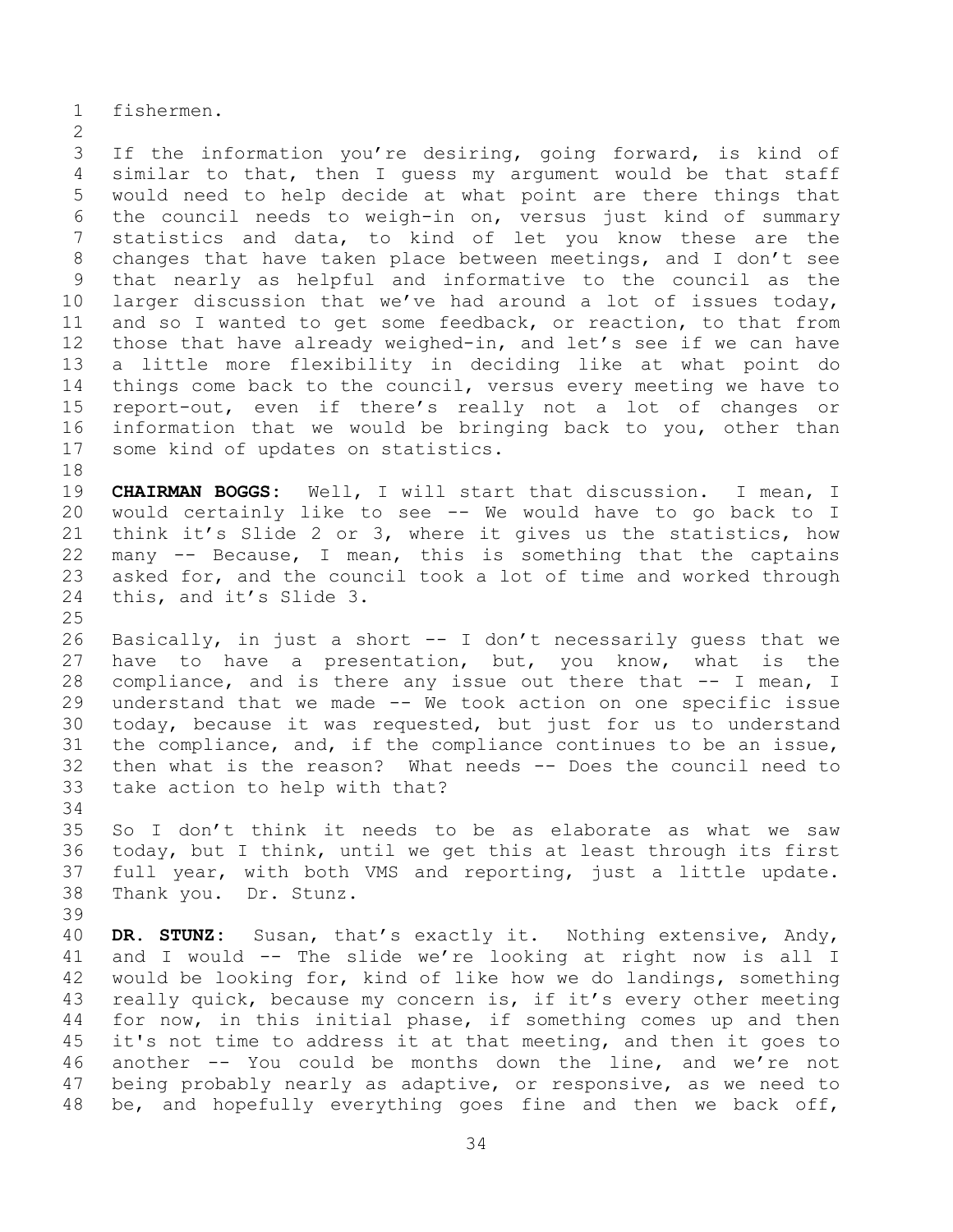fishermen.

 If the information you're desiring, going forward, is kind of similar to that, then I guess my argument would be that staff would need to help decide at what point are there things that the council needs to weigh-in on, versus just kind of summary statistics and data, to kind of let you know these are the changes that have taken place between meetings, and I don't see that nearly as helpful and informative to the council as the larger discussion that we've had around a lot of issues today, and so I wanted to get some feedback, or reaction, to that from those that have already weighed-in, and let's see if we can have a little more flexibility in deciding like at what point do things come back to the council, versus every meeting we have to report-out, even if there's really not a lot of changes or information that we would be bringing back to you, other than some kind of updates on statistics.

 **CHAIRMAN BOGGS:** Well, I will start that discussion. I mean, I would certainly like to see -- We would have to go back to I think it's Slide 2 or 3, where it gives us the statistics, how many -- Because, I mean, this is something that the captains asked for, and the council took a lot of time and worked through this, and it's Slide 3.

 Basically, in just a short -- I don't necessarily guess that we have to have a presentation, but, you know, what is the compliance, and is there any issue out there that -- I mean, I understand that we made -- We took action on one specific issue today, because it was requested, but just for us to understand the compliance, and, if the compliance continues to be an issue, then what is the reason? What needs -- Does the council need to take action to help with that?

 So I don't think it needs to be as elaborate as what we saw today, but I think, until we get this at least through its first full year, with both VMS and reporting, just a little update. Thank you. Dr. Stunz.

 **DR. STUNZ:** Susan, that's exactly it. Nothing extensive, Andy, and I would -- The slide we're looking at right now is all I would be looking for, kind of like how we do landings, something really quick, because my concern is, if it's every other meeting for now, in this initial phase, if something comes up and then it's not time to address it at that meeting, and then it goes to another -- You could be months down the line, and we're not being probably nearly as adaptive, or responsive, as we need to be, and hopefully everything goes fine and then we back off,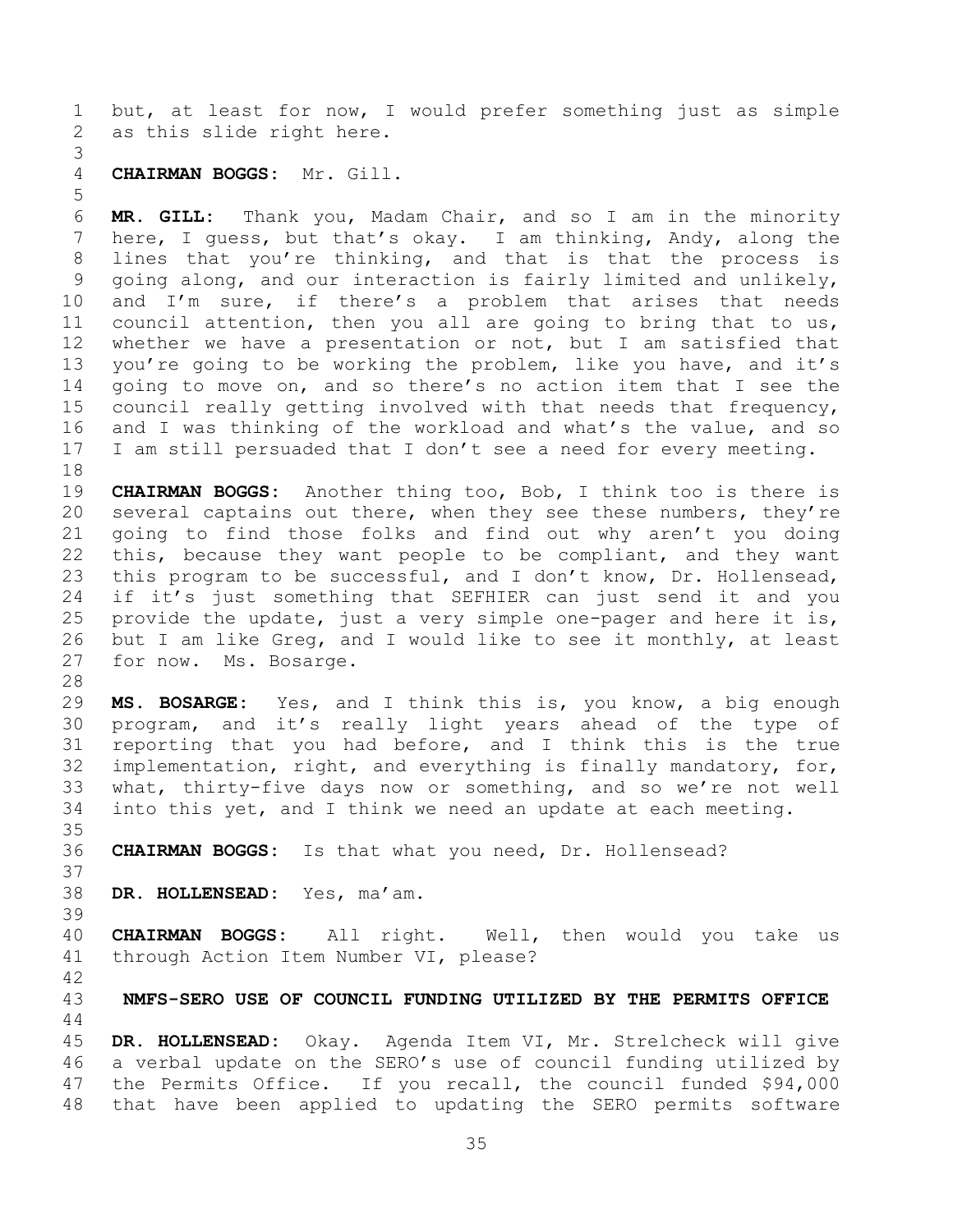but, at least for now, I would prefer something just as simple as this slide right here.

## **CHAIRMAN BOGGS:** Mr. Gill.

 **MR. GILL:** Thank you, Madam Chair, and so I am in the minority here, I guess, but that's okay. I am thinking, Andy, along the lines that you're thinking, and that is that the process is going along, and our interaction is fairly limited and unlikely, and I'm sure, if there's a problem that arises that needs council attention, then you all are going to bring that to us, whether we have a presentation or not, but I am satisfied that you're going to be working the problem, like you have, and it's going to move on, and so there's no action item that I see the council really getting involved with that needs that frequency, and I was thinking of the workload and what's the value, and so I am still persuaded that I don't see a need for every meeting.

 **CHAIRMAN BOGGS:** Another thing too, Bob, I think too is there is 20 several captains out there, when they see these numbers, they're going to find those folks and find out why aren't you doing this, because they want people to be compliant, and they want this program to be successful, and I don't know, Dr. Hollensead, if it's just something that SEFHIER can just send it and you provide the update, just a very simple one-pager and here it is, but I am like Greg, and I would like to see it monthly, at least for now. Ms. Bosarge.

 **MS. BOSARGE:** Yes, and I think this is, you know, a big enough program, and it's really light years ahead of the type of reporting that you had before, and I think this is the true implementation, right, and everything is finally mandatory, for, what, thirty-five days now or something, and so we're not well into this yet, and I think we need an update at each meeting.

**CHAIRMAN BOGGS:** Is that what you need, Dr. Hollensead?

- **DR. HOLLENSEAD:** Yes, ma'am.
- 

 **CHAIRMAN BOGGS:** All right. Well, then would you take us through Action Item Number VI, please?

<span id="page-34-0"></span>**NMFS-SERO USE OF COUNCIL FUNDING UTILIZED BY THE PERMITS OFFICE**

 **DR. HOLLENSEAD:** Okay. Agenda Item VI, Mr. Strelcheck will give a verbal update on the SERO's use of council funding utilized by the Permits Office. If you recall, the council funded \$94,000 that have been applied to updating the SERO permits software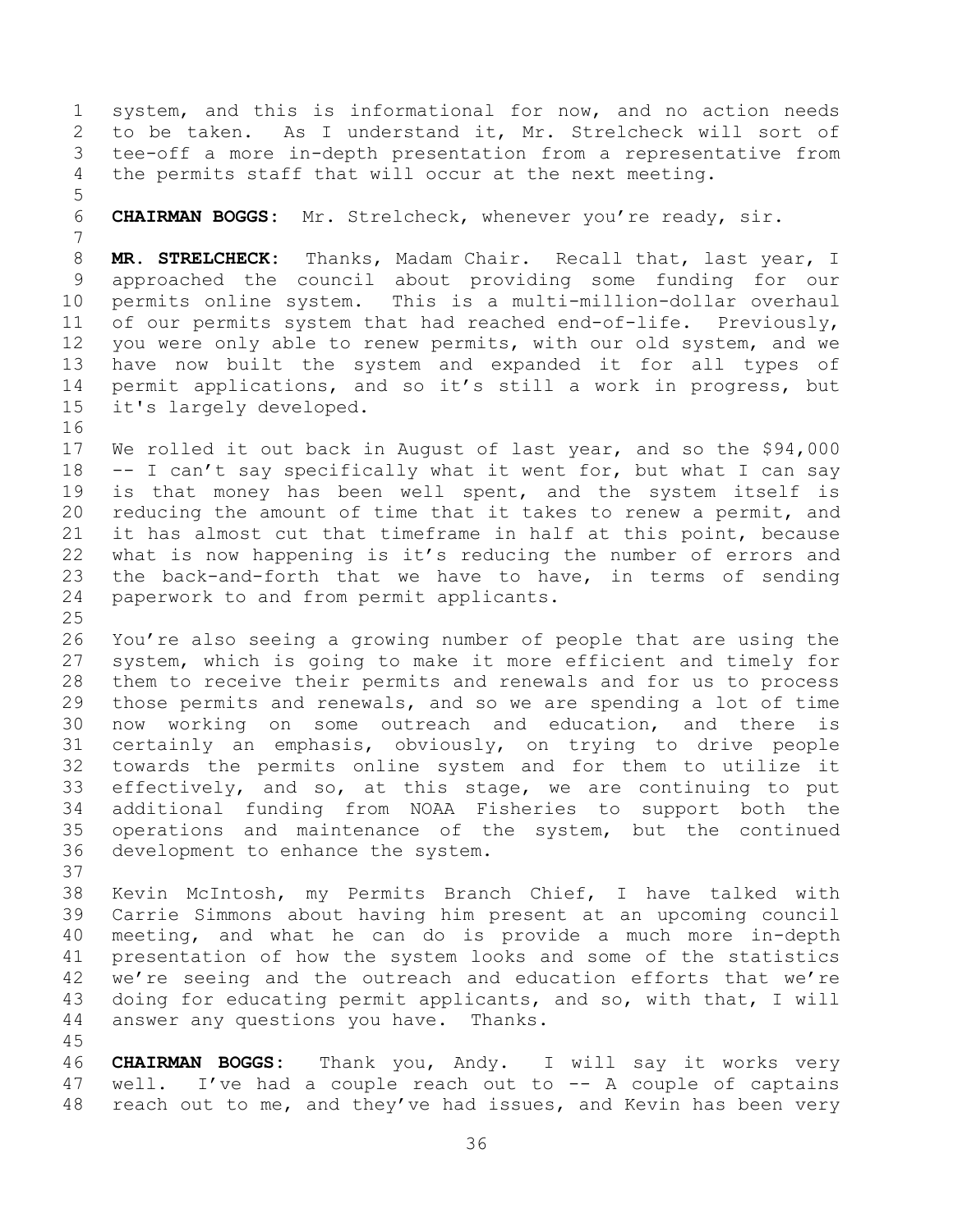system, and this is informational for now, and no action needs to be taken. As I understand it, Mr. Strelcheck will sort of tee-off a more in-depth presentation from a representative from the permits staff that will occur at the next meeting. 

**CHAIRMAN BOGGS:** Mr. Strelcheck, whenever you're ready, sir.

 **MR. STRELCHECK:** Thanks, Madam Chair. Recall that, last year, I approached the council about providing some funding for our permits online system. This is a multi-million-dollar overhaul of our permits system that had reached end-of-life. Previously, you were only able to renew permits, with our old system, and we have now built the system and expanded it for all types of permit applications, and so it's still a work in progress, but it's largely developed.

 We rolled it out back in August of last year, and so the \$94,000 -- I can't say specifically what it went for, but what I can say is that money has been well spent, and the system itself is reducing the amount of time that it takes to renew a permit, and it has almost cut that timeframe in half at this point, because what is now happening is it's reducing the number of errors and the back-and-forth that we have to have, in terms of sending paperwork to and from permit applicants.

 You're also seeing a growing number of people that are using the system, which is going to make it more efficient and timely for them to receive their permits and renewals and for us to process those permits and renewals, and so we are spending a lot of time now working on some outreach and education, and there is certainly an emphasis, obviously, on trying to drive people towards the permits online system and for them to utilize it effectively, and so, at this stage, we are continuing to put additional funding from NOAA Fisheries to support both the operations and maintenance of the system, but the continued development to enhance the system.

 Kevin McIntosh, my Permits Branch Chief, I have talked with Carrie Simmons about having him present at an upcoming council meeting, and what he can do is provide a much more in-depth presentation of how the system looks and some of the statistics we're seeing and the outreach and education efforts that we're doing for educating permit applicants, and so, with that, I will answer any questions you have. Thanks.

 **CHAIRMAN BOGGS:** Thank you, Andy. I will say it works very 47 well. I've had a couple reach out to -- A couple of captains 48 reach out to me, and they've had issues, and Kevin has been very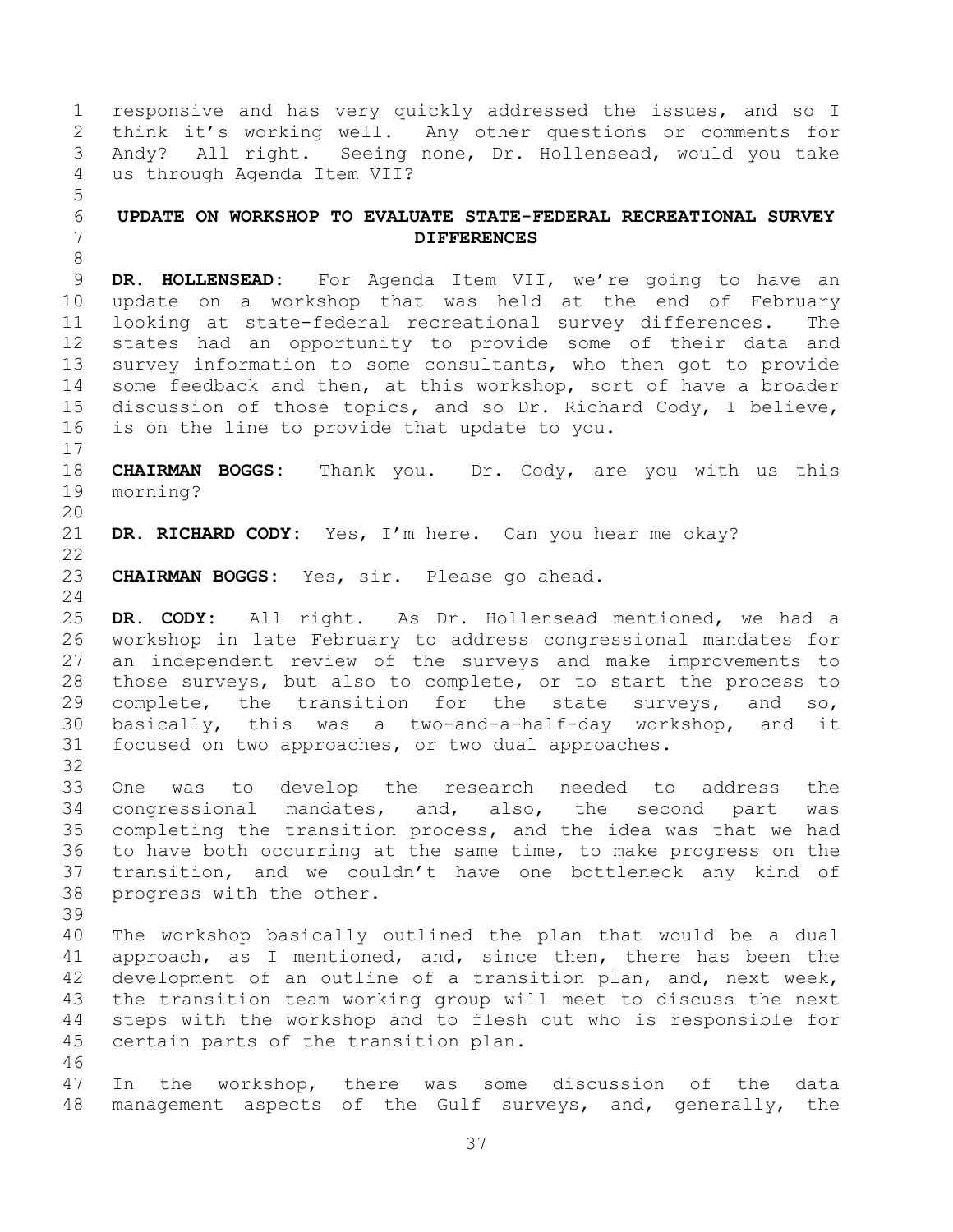<span id="page-36-0"></span> responsive and has very quickly addressed the issues, and so I think it's working well. Any other questions or comments for Andy? All right. Seeing none, Dr. Hollensead, would you take us through Agenda Item VII? **UPDATE ON WORKSHOP TO EVALUATE STATE-FEDERAL RECREATIONAL SURVEY DIFFERENCES DR. HOLLENSEAD:** For Agenda Item VII, we're going to have an update on a workshop that was held at the end of February looking at state-federal recreational survey differences. The states had an opportunity to provide some of their data and survey information to some consultants, who then got to provide some feedback and then, at this workshop, sort of have a broader discussion of those topics, and so Dr. Richard Cody, I believe, is on the line to provide that update to you. **CHAIRMAN BOGGS:** Thank you. Dr. Cody, are you with us this morning? **DR. RICHARD CODY:** Yes, I'm here. Can you hear me okay? **CHAIRMAN BOGGS:** Yes, sir. Please go ahead. **DR. CODY:** All right. As Dr. Hollensead mentioned, we had a workshop in late February to address congressional mandates for an independent review of the surveys and make improvements to those surveys, but also to complete, or to start the process to complete, the transition for the state surveys, and so, basically, this was a two-and-a-half-day workshop, and it focused on two approaches, or two dual approaches. One was to develop the research needed to address the congressional mandates, and, also, the second part was completing the transition process, and the idea was that we had to have both occurring at the same time, to make progress on the transition, and we couldn't have one bottleneck any kind of progress with the other. The workshop basically outlined the plan that would be a dual approach, as I mentioned, and, since then, there has been the development of an outline of a transition plan, and, next week, the transition team working group will meet to discuss the next steps with the workshop and to flesh out who is responsible for certain parts of the transition plan. In the workshop, there was some discussion of the data management aspects of the Gulf surveys, and, generally, the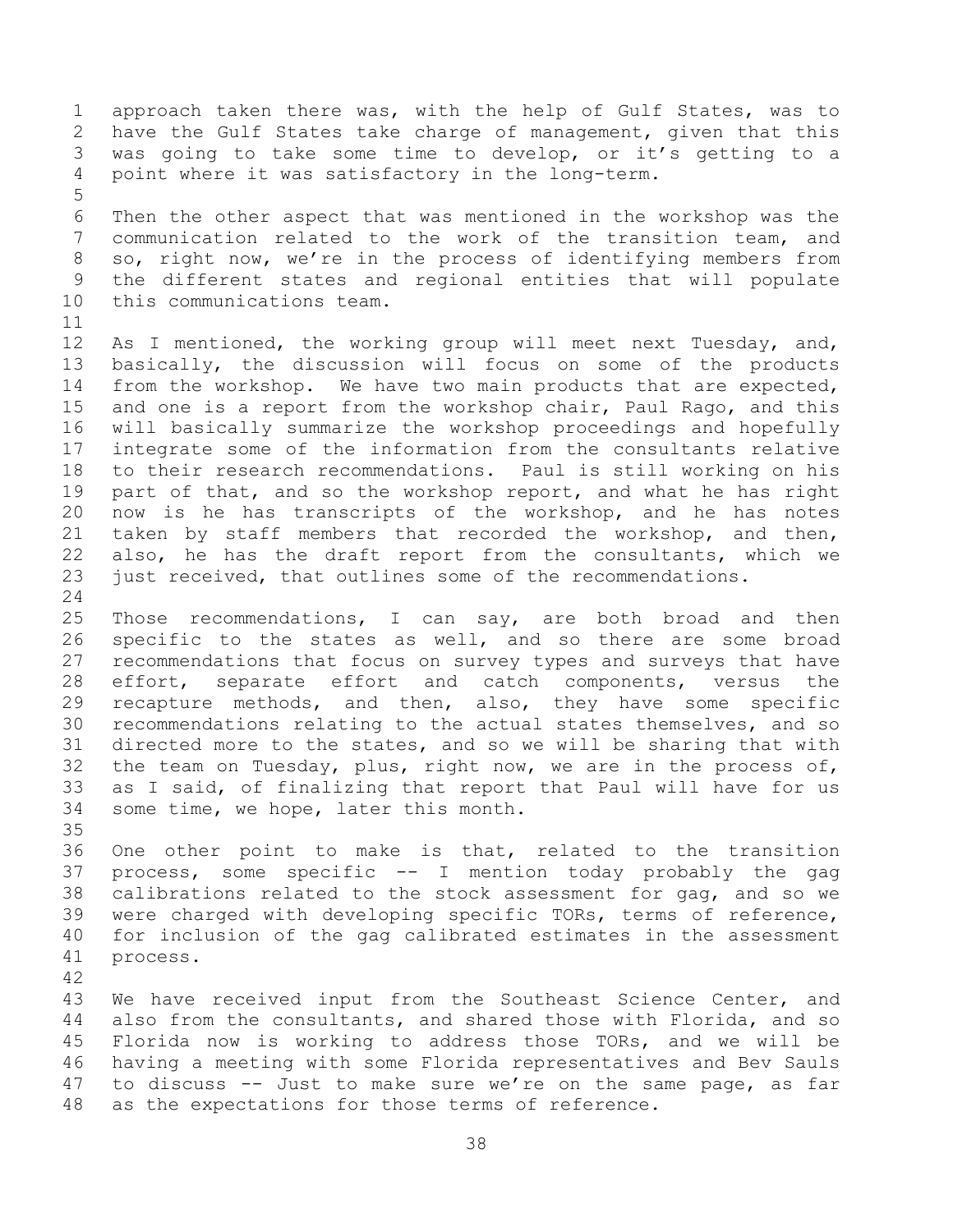approach taken there was, with the help of Gulf States, was to have the Gulf States take charge of management, given that this was going to take some time to develop, or it's getting to a point where it was satisfactory in the long-term. Then the other aspect that was mentioned in the workshop was the communication related to the work of the transition team, and so, right now, we're in the process of identifying members from the different states and regional entities that will populate this communications team. 12 As I mentioned, the working group will meet next Tuesday, and, basically, the discussion will focus on some of the products from the workshop. We have two main products that are expected, and one is a report from the workshop chair, Paul Rago, and this will basically summarize the workshop proceedings and hopefully integrate some of the information from the consultants relative to their research recommendations. Paul is still working on his part of that, and so the workshop report, and what he has right now is he has transcripts of the workshop, and he has notes taken by staff members that recorded the workshop, and then, also, he has the draft report from the consultants, which we just received, that outlines some of the recommendations. Those recommendations, I can say, are both broad and then specific to the states as well, and so there are some broad recommendations that focus on survey types and surveys that have effort, separate effort and catch components, versus the recapture methods, and then, also, they have some specific recommendations relating to the actual states themselves, and so directed more to the states, and so we will be sharing that with the team on Tuesday, plus, right now, we are in the process of, as I said, of finalizing that report that Paul will have for us some time, we hope, later this month. One other point to make is that, related to the transition process, some specific -- I mention today probably the gag calibrations related to the stock assessment for gag, and so we were charged with developing specific TORs, terms of reference, for inclusion of the gag calibrated estimates in the assessment process. We have received input from the Southeast Science Center, and also from the consultants, and shared those with Florida, and so Florida now is working to address those TORs, and we will be having a meeting with some Florida representatives and Bev Sauls to discuss -- Just to make sure we're on the same page, as far

- as the expectations for those terms of reference.
	-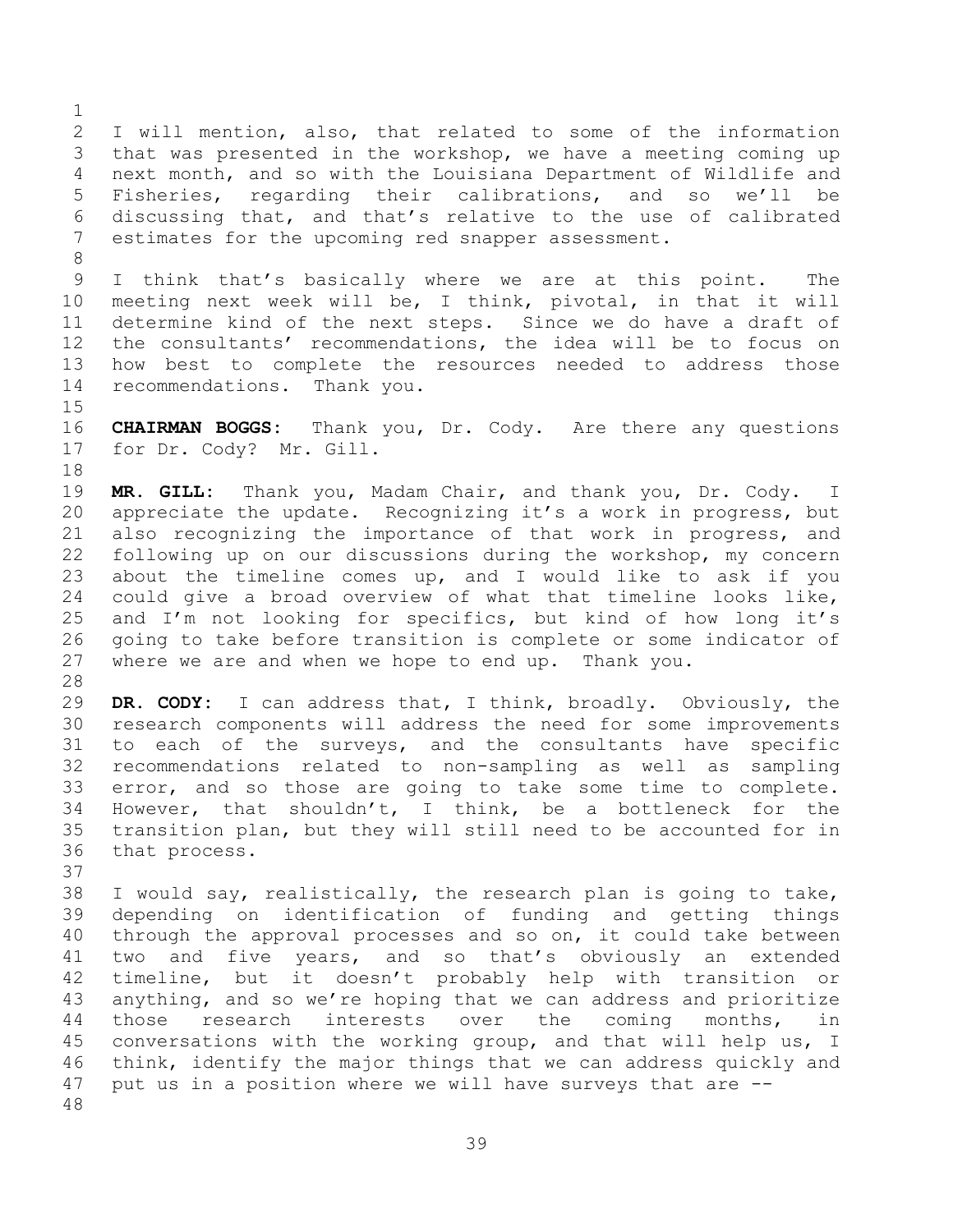I will mention, also, that related to some of the information that was presented in the workshop, we have a meeting coming up next month, and so with the Louisiana Department of Wildlife and Fisheries, regarding their calibrations, and so we'll be discussing that, and that's relative to the use of calibrated estimates for the upcoming red snapper assessment. 

 I think that's basically where we are at this point. The meeting next week will be, I think, pivotal, in that it will determine kind of the next steps. Since we do have a draft of the consultants' recommendations, the idea will be to focus on how best to complete the resources needed to address those recommendations. Thank you.

 **CHAIRMAN BOGGS:** Thank you, Dr. Cody. Are there any questions for Dr. Cody? Mr. Gill.

 **MR. GILL:** Thank you, Madam Chair, and thank you, Dr. Cody. I appreciate the update. Recognizing it's a work in progress, but also recognizing the importance of that work in progress, and following up on our discussions during the workshop, my concern about the timeline comes up, and I would like to ask if you could give a broad overview of what that timeline looks like, and I'm not looking for specifics, but kind of how long it's going to take before transition is complete or some indicator of where we are and when we hope to end up. Thank you. 

 **DR. CODY:** I can address that, I think, broadly. Obviously, the research components will address the need for some improvements to each of the surveys, and the consultants have specific recommendations related to non-sampling as well as sampling error, and so those are going to take some time to complete. However, that shouldn't, I think, be a bottleneck for the transition plan, but they will still need to be accounted for in that process.

 I would say, realistically, the research plan is going to take, depending on identification of funding and getting things through the approval processes and so on, it could take between two and five years, and so that's obviously an extended timeline, but it doesn't probably help with transition or anything, and so we're hoping that we can address and prioritize those research interests over the coming months, in conversations with the working group, and that will help us, I think, identify the major things that we can address quickly and put us in a position where we will have surveys that are --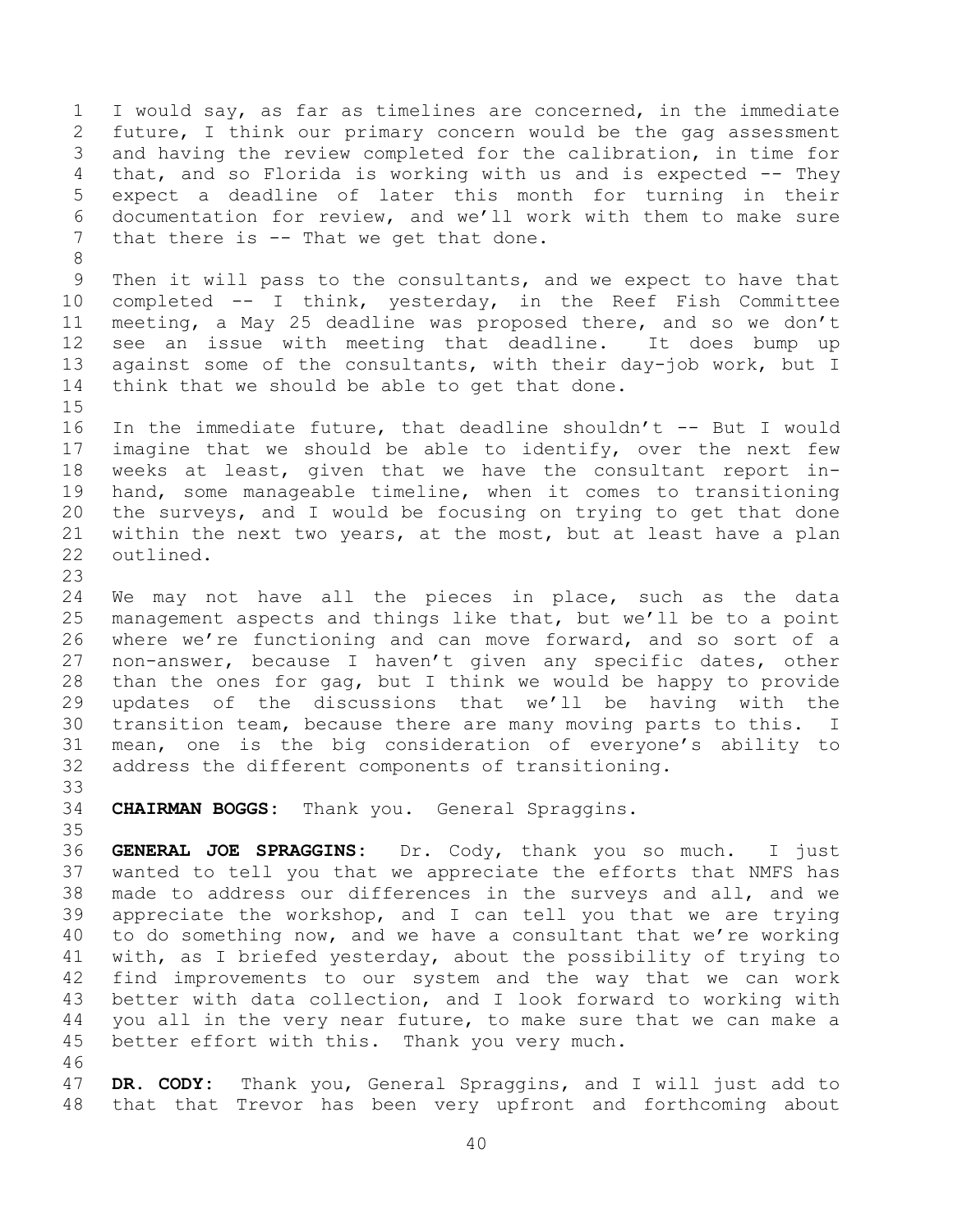I would say, as far as timelines are concerned, in the immediate future, I think our primary concern would be the gag assessment and having the review completed for the calibration, in time for that, and so Florida is working with us and is expected -- They expect a deadline of later this month for turning in their documentation for review, and we'll work with them to make sure 7 that there is -- That we get that done. Then it will pass to the consultants, and we expect to have that completed -- I think, yesterday, in the Reef Fish Committee meeting, a May 25 deadline was proposed there, and so we don't see an issue with meeting that deadline. It does bump up against some of the consultants, with their day-job work, but I think that we should be able to get that done. In the immediate future, that deadline shouldn't -- But I would imagine that we should be able to identify, over the next few weeks at least, given that we have the consultant report in- hand, some manageable timeline, when it comes to transitioning the surveys, and I would be focusing on trying to get that done within the next two years, at the most, but at least have a plan outlined. We may not have all the pieces in place, such as the data management aspects and things like that, but we'll be to a point where we're functioning and can move forward, and so sort of a non-answer, because I haven't given any specific dates, other than the ones for gag, but I think we would be happy to provide updates of the discussions that we'll be having with the transition team, because there are many moving parts to this. I mean, one is the big consideration of everyone's ability to address the different components of transitioning. **CHAIRMAN BOGGS:** Thank you. General Spraggins. **GENERAL JOE SPRAGGINS:** Dr. Cody, thank you so much. I just wanted to tell you that we appreciate the efforts that NMFS has made to address our differences in the surveys and all, and we appreciate the workshop, and I can tell you that we are trying to do something now, and we have a consultant that we're working with, as I briefed yesterday, about the possibility of trying to find improvements to our system and the way that we can work better with data collection, and I look forward to working with 44 you all in the very near future, to make sure that we can make a better effort with this. Thank you very much. 

 **DR. CODY:** Thank you, General Spraggins, and I will just add to that that Trevor has been very upfront and forthcoming about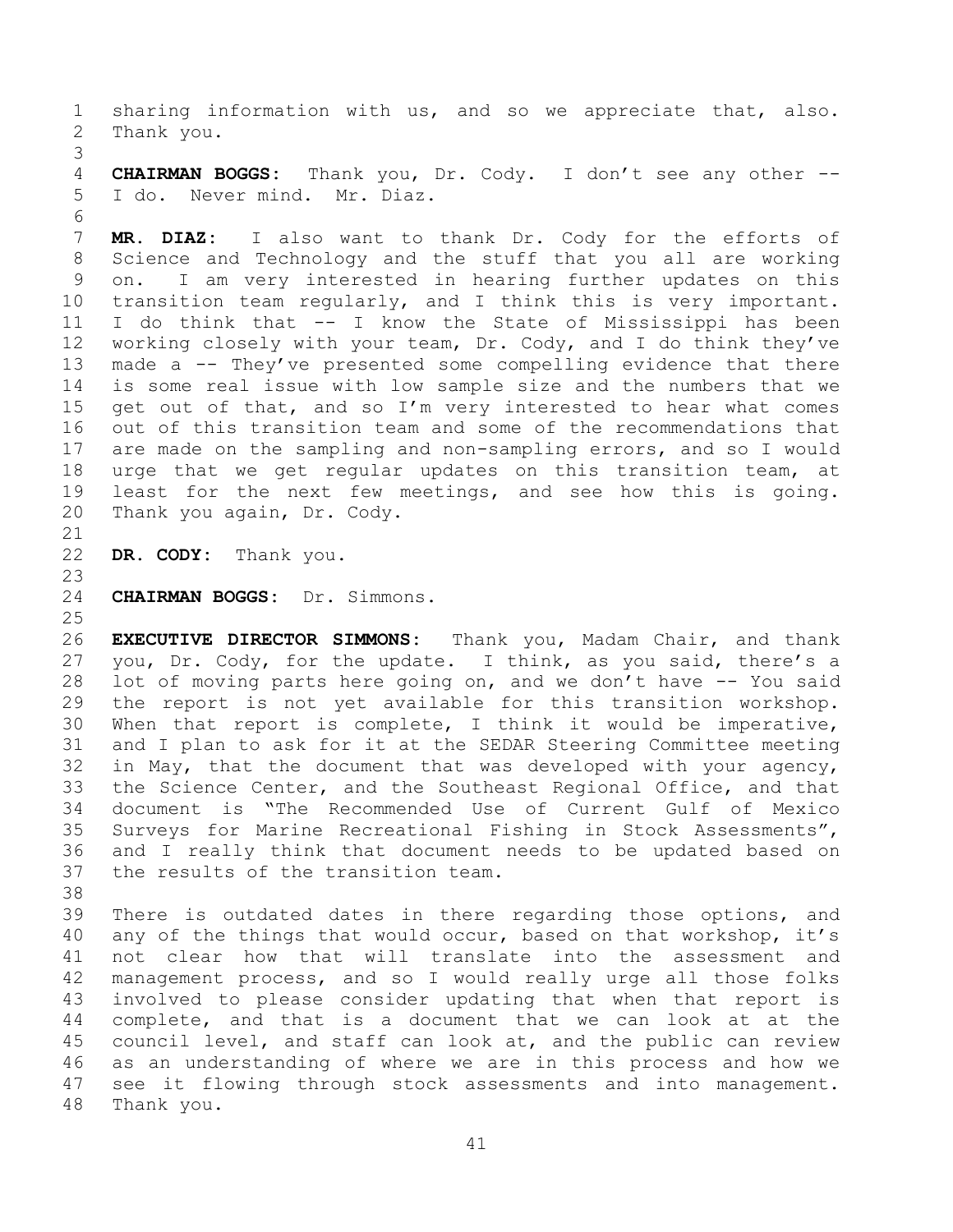sharing information with us, and so we appreciate that, also. Thank you.

 **CHAIRMAN BOGGS:** Thank you, Dr. Cody. I don't see any other -- I do. Never mind. Mr. Diaz. 

 **MR. DIAZ:** I also want to thank Dr. Cody for the efforts of Science and Technology and the stuff that you all are working on. I am very interested in hearing further updates on this transition team regularly, and I think this is very important. I do think that -- I know the State of Mississippi has been working closely with your team, Dr. Cody, and I do think they've made a -- They've presented some compelling evidence that there is some real issue with low sample size and the numbers that we get out of that, and so I'm very interested to hear what comes out of this transition team and some of the recommendations that are made on the sampling and non-sampling errors, and so I would urge that we get regular updates on this transition team, at least for the next few meetings, and see how this is going. Thank you again, Dr. Cody.

**DR. CODY:** Thank you.

**CHAIRMAN BOGGS:** Dr. Simmons.

 **EXECUTIVE DIRECTOR SIMMONS:** Thank you, Madam Chair, and thank you, Dr. Cody, for the update. I think, as you said, there's a lot of moving parts here going on, and we don't have -- You said the report is not yet available for this transition workshop. When that report is complete, I think it would be imperative, and I plan to ask for it at the SEDAR Steering Committee meeting in May, that the document that was developed with your agency, the Science Center, and the Southeast Regional Office, and that document is "The Recommended Use of Current Gulf of Mexico Surveys for Marine Recreational Fishing in Stock Assessments", and I really think that document needs to be updated based on the results of the transition team.

 There is outdated dates in there regarding those options, and 40 any of the things that would occur, based on that workshop, it's not clear how that will translate into the assessment and management process, and so I would really urge all those folks involved to please consider updating that when that report is complete, and that is a document that we can look at at the council level, and staff can look at, and the public can review as an understanding of where we are in this process and how we see it flowing through stock assessments and into management. Thank you.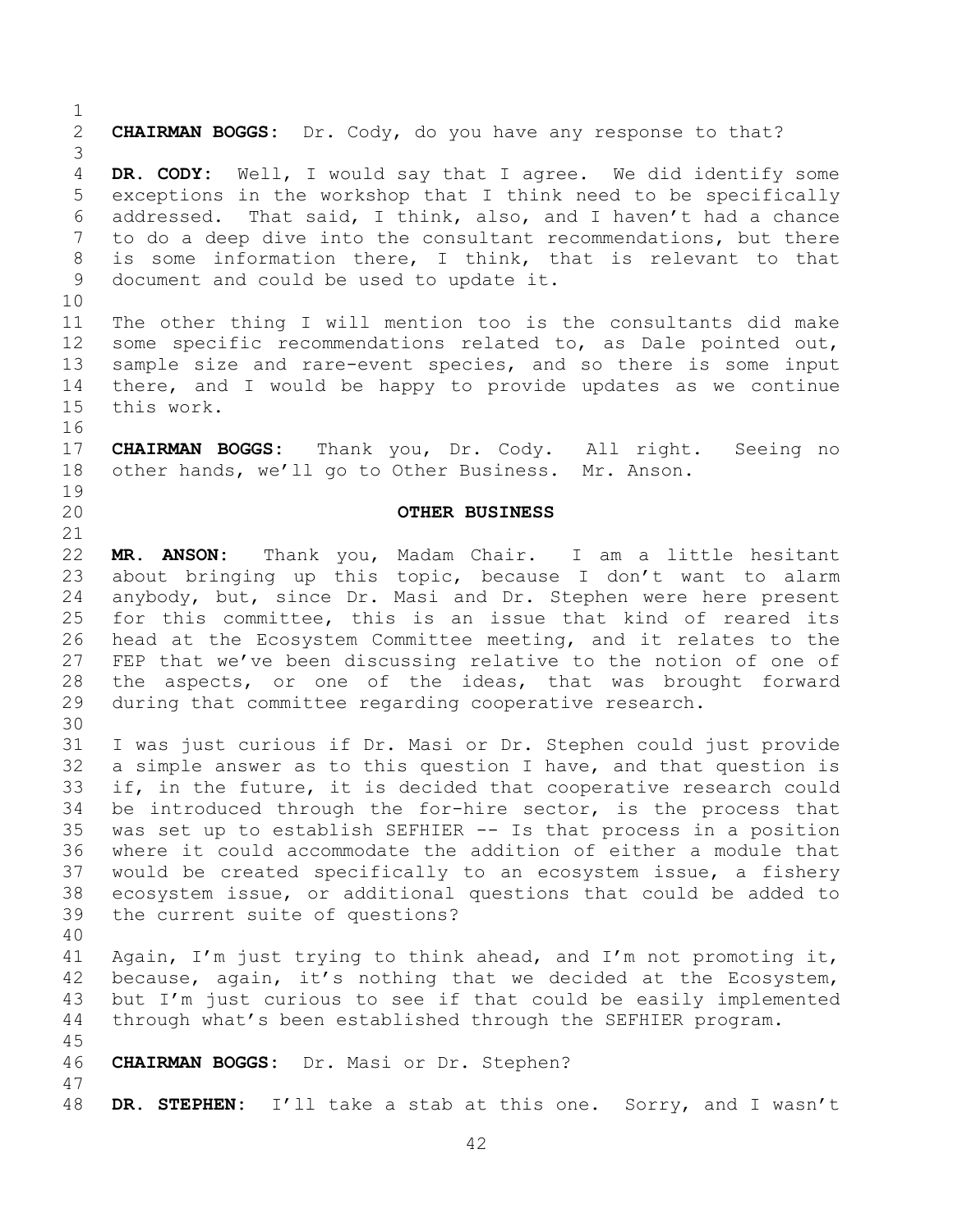<span id="page-41-0"></span> **CHAIRMAN BOGGS:** Dr. Cody, do you have any response to that? **DR. CODY:** Well, I would say that I agree. We did identify some exceptions in the workshop that I think need to be specifically addressed. That said, I think, also, and I haven't had a chance to do a deep dive into the consultant recommendations, but there is some information there, I think, that is relevant to that document and could be used to update it. The other thing I will mention too is the consultants did make some specific recommendations related to, as Dale pointed out, sample size and rare-event species, and so there is some input there, and I would be happy to provide updates as we continue this work. **CHAIRMAN BOGGS:** Thank you, Dr. Cody. All right. Seeing no other hands, we'll go to Other Business. Mr. Anson. **OTHER BUSINESS MR. ANSON:** Thank you, Madam Chair. I am a little hesitant about bringing up this topic, because I don't want to alarm anybody, but, since Dr. Masi and Dr. Stephen were here present for this committee, this is an issue that kind of reared its head at the Ecosystem Committee meeting, and it relates to the FEP that we've been discussing relative to the notion of one of the aspects, or one of the ideas, that was brought forward during that committee regarding cooperative research. I was just curious if Dr. Masi or Dr. Stephen could just provide a simple answer as to this question I have, and that question is if, in the future, it is decided that cooperative research could be introduced through the for-hire sector, is the process that was set up to establish SEFHIER -- Is that process in a position where it could accommodate the addition of either a module that would be created specifically to an ecosystem issue, a fishery ecosystem issue, or additional questions that could be added to the current suite of questions? Again, I'm just trying to think ahead, and I'm not promoting it, because, again, it's nothing that we decided at the Ecosystem, but I'm just curious to see if that could be easily implemented through what's been established through the SEFHIER program. **CHAIRMAN BOGGS:** Dr. Masi or Dr. Stephen? **DR. STEPHEN:** I'll take a stab at this one. Sorry, and I wasn't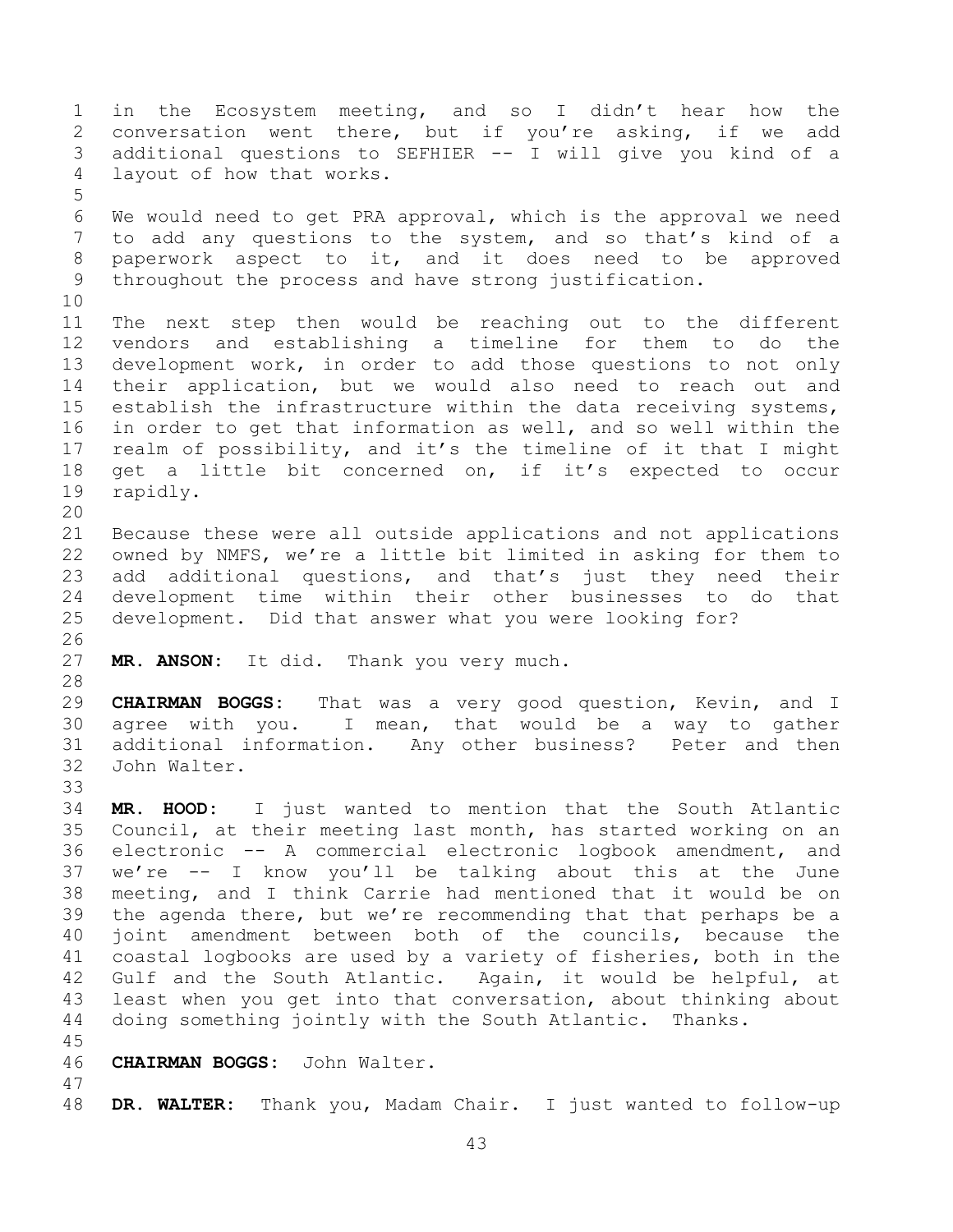in the Ecosystem meeting, and so I didn't hear how the conversation went there, but if you're asking, if we add additional questions to SEFHIER -- I will give you kind of a layout of how that works. We would need to get PRA approval, which is the approval we need to add any questions to the system, and so that's kind of a paperwork aspect to it, and it does need to be approved throughout the process and have strong justification. The next step then would be reaching out to the different vendors and establishing a timeline for them to do the development work, in order to add those questions to not only their application, but we would also need to reach out and establish the infrastructure within the data receiving systems, in order to get that information as well, and so well within the realm of possibility, and it's the timeline of it that I might get a little bit concerned on, if it's expected to occur rapidly. Because these were all outside applications and not applications owned by NMFS, we're a little bit limited in asking for them to add additional questions, and that's just they need their development time within their other businesses to do that development. Did that answer what you were looking for? **MR. ANSON:** It did. Thank you very much. **CHAIRMAN BOGGS:** That was a very good question, Kevin, and I agree with you. I mean, that would be a way to gather additional information. Any other business? Peter and then John Walter. **MR. HOOD:** I just wanted to mention that the South Atlantic Council, at their meeting last month, has started working on an electronic -- A commercial electronic logbook amendment, and we're -- I know you'll be talking about this at the June meeting, and I think Carrie had mentioned that it would be on the agenda there, but we're recommending that that perhaps be a joint amendment between both of the councils, because the coastal logbooks are used by a variety of fisheries, both in the Gulf and the South Atlantic. Again, it would be helpful, at least when you get into that conversation, about thinking about doing something jointly with the South Atlantic. Thanks. **CHAIRMAN BOGGS:** John Walter. 

**DR. WALTER:** Thank you, Madam Chair. I just wanted to follow-up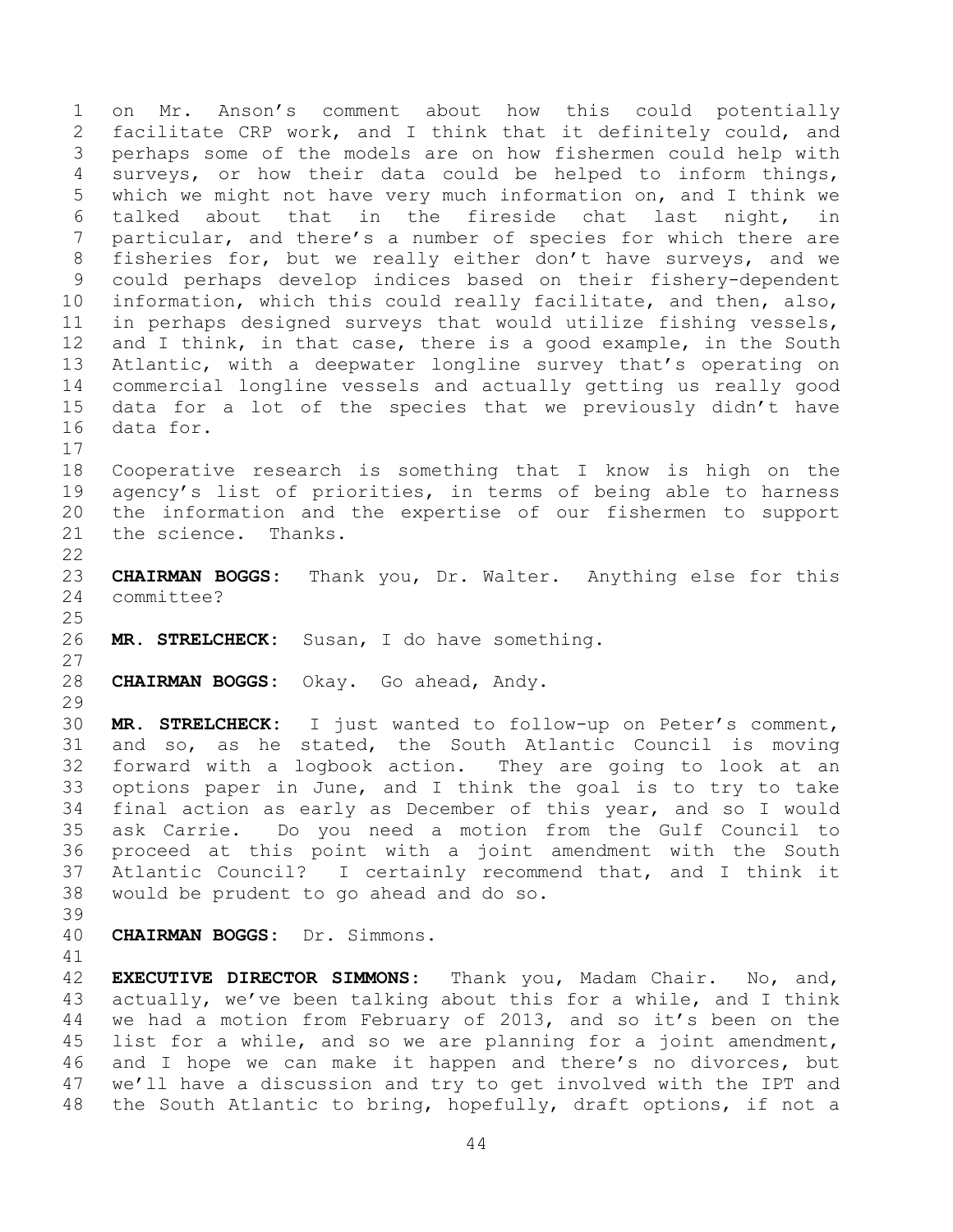on Mr. Anson's comment about how this could potentially facilitate CRP work, and I think that it definitely could, and perhaps some of the models are on how fishermen could help with surveys, or how their data could be helped to inform things, which we might not have very much information on, and I think we talked about that in the fireside chat last night, in particular, and there's a number of species for which there are fisheries for, but we really either don't have surveys, and we could perhaps develop indices based on their fishery-dependent information, which this could really facilitate, and then, also, in perhaps designed surveys that would utilize fishing vessels, 12 and I think, in that case, there is a good example, in the South Atlantic, with a deepwater longline survey that's operating on commercial longline vessels and actually getting us really good data for a lot of the species that we previously didn't have data for. Cooperative research is something that I know is high on the agency's list of priorities, in terms of being able to harness the information and the expertise of our fishermen to support the science. Thanks. **CHAIRMAN BOGGS:** Thank you, Dr. Walter. Anything else for this committee? **MR. STRELCHECK:** Susan, I do have something. **CHAIRMAN BOGGS:** Okay. Go ahead, Andy. **MR. STRELCHECK:** I just wanted to follow-up on Peter's comment, and so, as he stated, the South Atlantic Council is moving forward with a logbook action. They are going to look at an options paper in June, and I think the goal is to try to take final action as early as December of this year, and so I would ask Carrie. Do you need a motion from the Gulf Council to proceed at this point with a joint amendment with the South Atlantic Council? I certainly recommend that, and I think it would be prudent to go ahead and do so. **CHAIRMAN BOGGS:** Dr. Simmons. **EXECUTIVE DIRECTOR SIMMONS:** Thank you, Madam Chair. No, and, actually, we've been talking about this for a while, and I think we had a motion from February of 2013, and so it's been on the list for a while, and so we are planning for a joint amendment,

 and I hope we can make it happen and there's no divorces, but we'll have a discussion and try to get involved with the IPT and the South Atlantic to bring, hopefully, draft options, if not a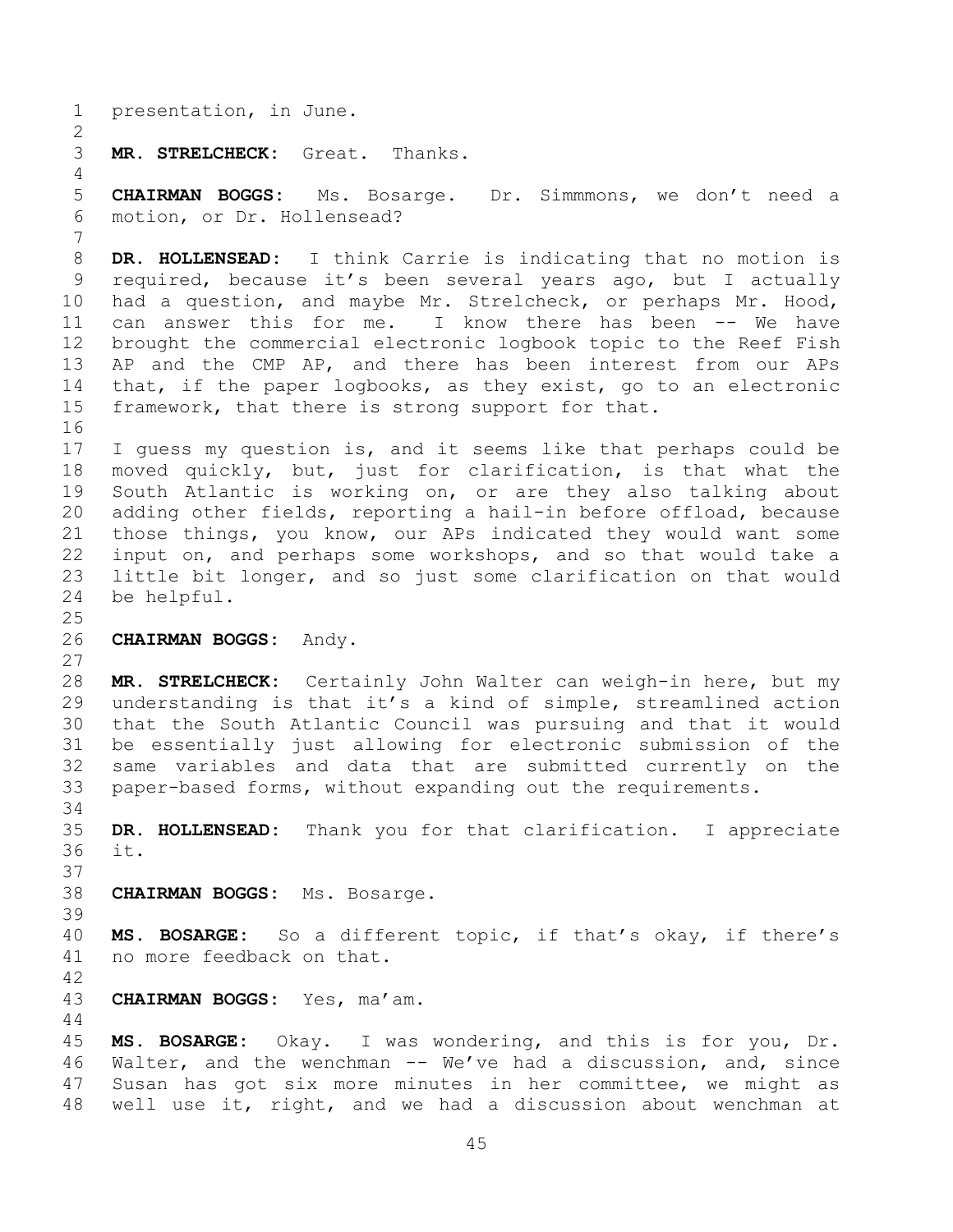presentation, in June. **MR. STRELCHECK:** Great. Thanks. **CHAIRMAN BOGGS:** Ms. Bosarge. Dr. Simmmons, we don't need a motion, or Dr. Hollensead? **DR. HOLLENSEAD:** I think Carrie is indicating that no motion is required, because it's been several years ago, but I actually had a question, and maybe Mr. Strelcheck, or perhaps Mr. Hood, can answer this for me. I know there has been -- We have brought the commercial electronic logbook topic to the Reef Fish AP and the CMP AP, and there has been interest from our APs that, if the paper logbooks, as they exist, go to an electronic framework, that there is strong support for that. I guess my question is, and it seems like that perhaps could be moved quickly, but, just for clarification, is that what the South Atlantic is working on, or are they also talking about adding other fields, reporting a hail-in before offload, because those things, you know, our APs indicated they would want some input on, and perhaps some workshops, and so that would take a little bit longer, and so just some clarification on that would be helpful. **CHAIRMAN BOGGS:** Andy. **MR. STRELCHECK:** Certainly John Walter can weigh-in here, but my understanding is that it's a kind of simple, streamlined action that the South Atlantic Council was pursuing and that it would be essentially just allowing for electronic submission of the same variables and data that are submitted currently on the paper-based forms, without expanding out the requirements. **DR. HOLLENSEAD:** Thank you for that clarification. I appreciate it. **CHAIRMAN BOGGS:** Ms. Bosarge. **MS. BOSARGE:** So a different topic, if that's okay, if there's no more feedback on that. **CHAIRMAN BOGGS:** Yes, ma'am. **MS. BOSARGE:** Okay. I was wondering, and this is for you, Dr. Walter, and the wenchman -- We've had a discussion, and, since Susan has got six more minutes in her committee, we might as well use it, right, and we had a discussion about wenchman at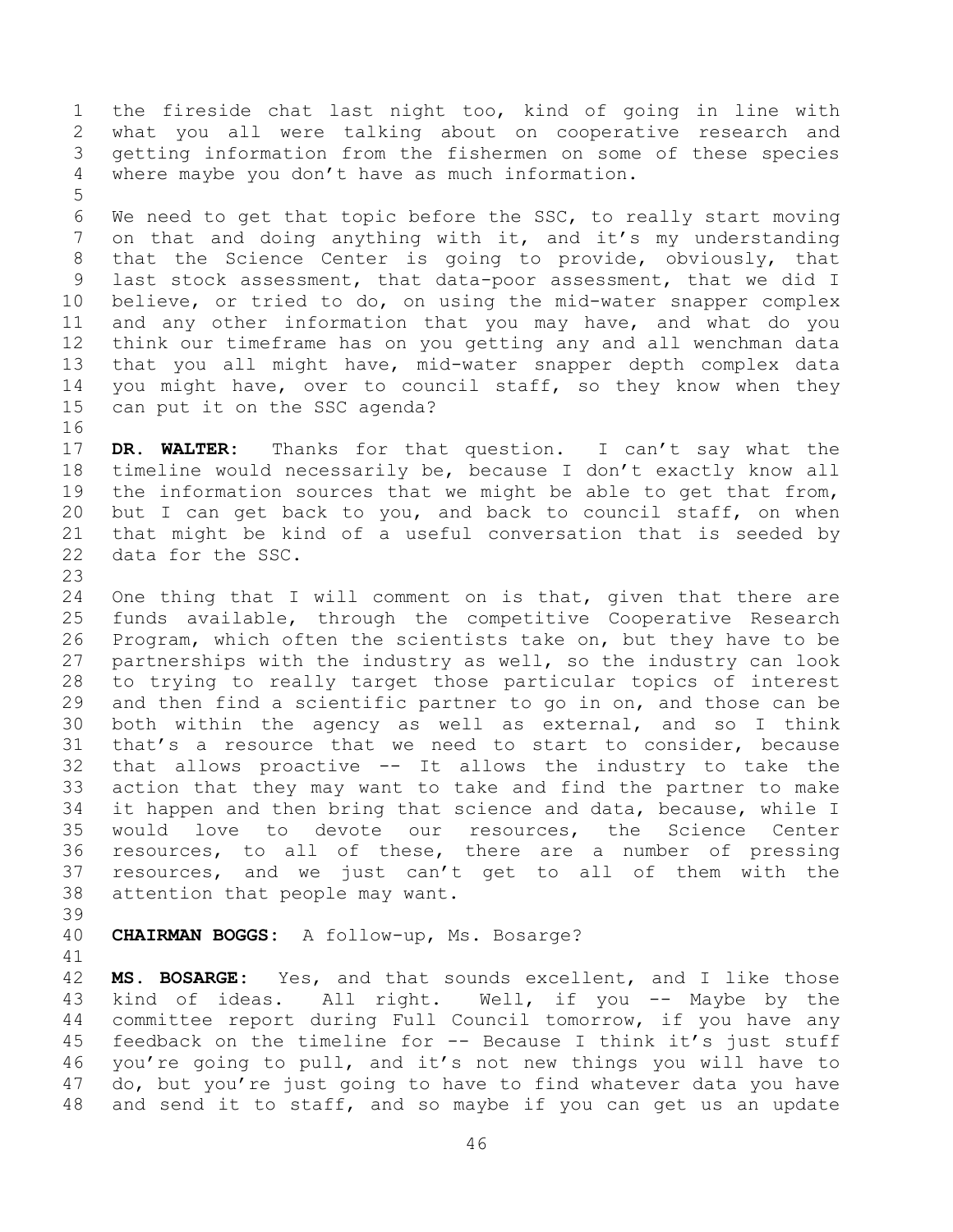the fireside chat last night too, kind of going in line with what you all were talking about on cooperative research and getting information from the fishermen on some of these species where maybe you don't have as much information.

 We need to get that topic before the SSC, to really start moving 7 on that and doing anything with it, and it's my understanding that the Science Center is going to provide, obviously, that last stock assessment, that data-poor assessment, that we did I believe, or tried to do, on using the mid-water snapper complex and any other information that you may have, and what do you think our timeframe has on you getting any and all wenchman data that you all might have, mid-water snapper depth complex data you might have, over to council staff, so they know when they can put it on the SSC agenda?

 **DR. WALTER:** Thanks for that question. I can't say what the timeline would necessarily be, because I don't exactly know all the information sources that we might be able to get that from, but I can get back to you, and back to council staff, on when that might be kind of a useful conversation that is seeded by data for the SSC.

 One thing that I will comment on is that, given that there are funds available, through the competitive Cooperative Research Program, which often the scientists take on, but they have to be partnerships with the industry as well, so the industry can look to trying to really target those particular topics of interest and then find a scientific partner to go in on, and those can be both within the agency as well as external, and so I think that's a resource that we need to start to consider, because that allows proactive -- It allows the industry to take the action that they may want to take and find the partner to make it happen and then bring that science and data, because, while I would love to devote our resources, the Science Center resources, to all of these, there are a number of pressing resources, and we just can't get to all of them with the attention that people may want.

**CHAIRMAN BOGGS:** A follow-up, Ms. Bosarge?

 **MS. BOSARGE:** Yes, and that sounds excellent, and I like those 43 kind of ideas. All right. Well, if you -- Maybe by the committee report during Full Council tomorrow, if you have any feedback on the timeline for -- Because I think it's just stuff you're going to pull, and it's not new things you will have to do, but you're just going to have to find whatever data you have and send it to staff, and so maybe if you can get us an update